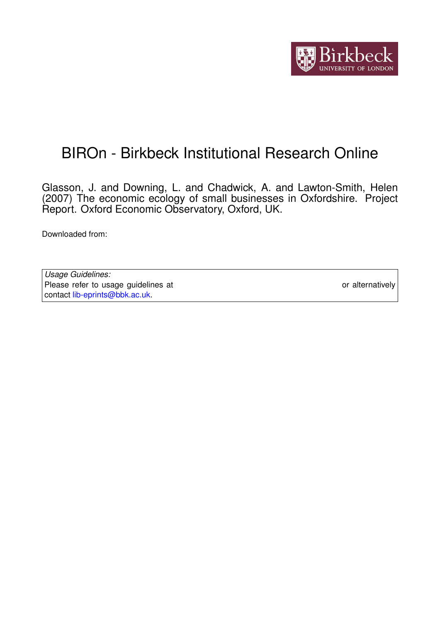

# BIROn - Birkbeck Institutional Research Online

Glasson, J. and Downing, L. and Chadwick, A. and Lawton-Smith, Helen (2007) The economic ecology of small businesses in Oxfordshire. Project Report. Oxford Economic Observatory, Oxford, UK.

Downloaded from: <https://eprints.bbk.ac.uk/id/eprint/8031/>

*Usage Guidelines:* Please refer to usage guidelines at <https://eprints.bbk.ac.uk/policies.html> or alternatively contact [lib-eprints@bbk.ac.uk.](mailto:lib-eprints@bbk.ac.uk)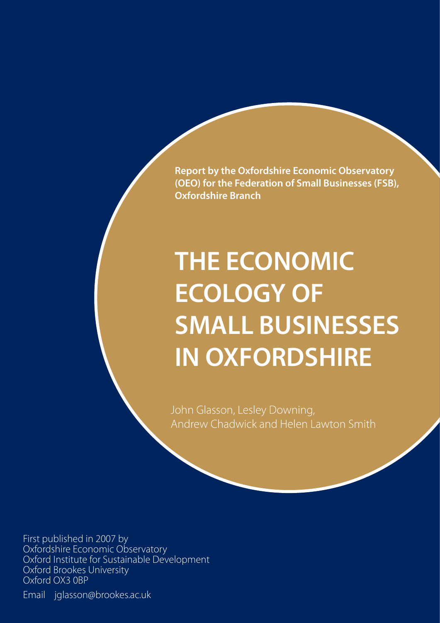**Report by the Oxfordshire Economic Observatory (OEO) for the Federation of Small Businesses (FSB), Oxfordshire Branch**

# **THE ECONOMIC ECOLOGY OF SMALL BUSINESSES IN OXFORDSHIRE**

John Glasson, Lesley Downing, Andrew Chadwick and Helen Lawton Smith

First published in 2007 by Oxfordshire Economic Observatory Oxford Institute for Sustainable Development Oxford Brookes University Oxford OX3 0BP

Email jglasson@brookes.ac.uk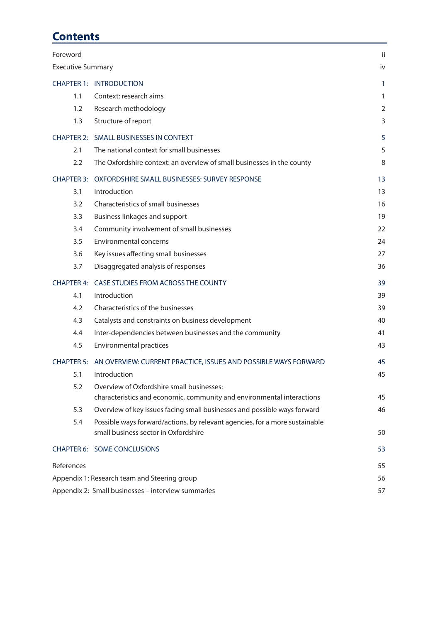# **Contents**

| Foreword                 |                                                                                                                     | ii             |
|--------------------------|---------------------------------------------------------------------------------------------------------------------|----------------|
| <b>Executive Summary</b> |                                                                                                                     | iv             |
|                          | <b>CHAPTER 1: INTRODUCTION</b>                                                                                      | 1              |
| 1.1                      | Context: research aims                                                                                              | 1              |
| 1.2                      | Research methodology                                                                                                | $\overline{2}$ |
| 1.3                      | Structure of report                                                                                                 | 3              |
|                          | CHAPTER 2: SMALL BUSINESSES IN CONTEXT                                                                              | 5              |
| 2.1                      | The national context for small businesses                                                                           | 5              |
| 2.2                      | The Oxfordshire context: an overview of small businesses in the county                                              | 8              |
| <b>CHAPTER 3:</b>        | OXFORDSHIRE SMALL BUSINESSES: SURVEY RESPONSE                                                                       | 13             |
| 3.1                      | Introduction                                                                                                        | 13             |
| 3.2                      | Characteristics of small businesses                                                                                 | 16             |
| 3.3                      | <b>Business linkages and support</b>                                                                                | 19             |
| 3.4                      | Community involvement of small businesses                                                                           | 22             |
| 3.5                      | Environmental concerns                                                                                              | 24             |
| 3.6                      | Key issues affecting small businesses                                                                               | 27             |
| 3.7                      | Disaggregated analysis of responses                                                                                 | 36             |
| <b>CHAPTER 4:</b>        | CASE STUDIES FROM ACROSS THE COUNTY                                                                                 | 39             |
| 4.1                      | Introduction                                                                                                        | 39             |
|                          |                                                                                                                     |                |
| 4.2                      | Characteristics of the businesses                                                                                   | 39             |
| 4.3                      | Catalysts and constraints on business development                                                                   | 40             |
| 4.4                      | Inter-dependencies between businesses and the community                                                             | 41             |
| 4.5                      | Environmental practices                                                                                             | 43             |
|                          | CHAPTER 5: AN OVERVIEW: CURRENT PRACTICE, ISSUES AND POSSIBLE WAYS FORWARD                                          | 45             |
| 5.1                      | Introduction                                                                                                        | 45             |
| 5.2                      | Overview of Oxfordshire small businesses:                                                                           |                |
|                          | characteristics and economic, community and environmental interactions                                              | 45             |
| 5.3                      | Overview of key issues facing small businesses and possible ways forward                                            | 46             |
| 5.4                      | Possible ways forward/actions, by relevant agencies, for a more sustainable<br>small business sector in Oxfordshire | 50             |
|                          | <b>CHAPTER 6: SOME CONCLUSIONS</b>                                                                                  | 53             |
| References               |                                                                                                                     | 55             |
|                          | Appendix 1: Research team and Steering group                                                                        | 56             |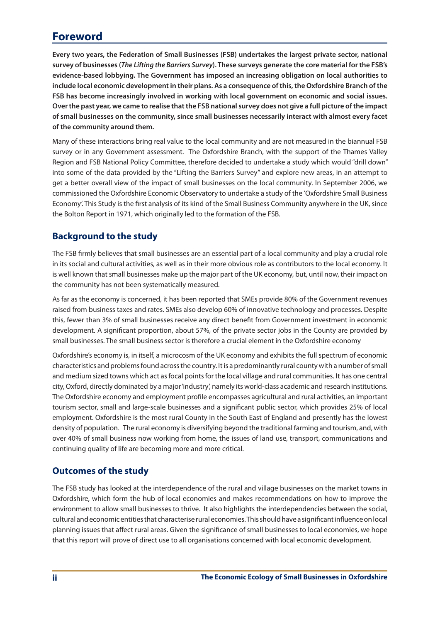# **Foreword**

**Every two years, the Federation of Small Businesses (FSB) undertakes the largest private sector, national survey of businesses (***The Lifting the Barriers Survey***). These surveys generate the core material for the FSB's evidence-based lobbying. The Government has imposed an increasing obligation on local authorities to include local economic development in their plans. As a consequence of this, the Oxfordshire Branch of the FSB has become increasingly involved in working with local government on economic and social issues. Over the past year, we came to realise that the FSB national survey does not give a full picture of the impact of small businesses on the community, since small businesses necessarily interact with almost every facet of the community around them.**

Many of these interactions bring real value to the local community and are not measured in the biannual FSB survey or in any Government assessment. The Oxfordshire Branch, with the support of the Thames Valley Region and FSB National Policy Committee, therefore decided to undertake a study which would "drill down" into some of the data provided by the "Lifting the Barriers Survey" and explore new areas, in an attempt to get a better overall view of the impact of small businesses on the local community. In September 2006, we commissioned the Oxfordshire Economic Observatory to undertake a study of the 'Oxfordshire Small Business Economy'. This Study is the first analysis of its kind of the Small Business Community anywhere in the UK, since the Bolton Report in 1971, which originally led to the formation of the FSB.

# **Background to the study**

The FSB firmly believes that small businesses are an essential part of a local community and play a crucial role in its social and cultural activities, as well as in their more obvious role as contributors to the local economy. It is well known that small businesses make up the major part of the UK economy, but, until now, their impact on the community has not been systematically measured.

As far as the economy is concerned, it has been reported that SMEs provide 80% of the Government revenues raised from business taxes and rates. SMEs also develop 60% of innovative technology and processes. Despite this, fewer than 3% of small businesses receive any direct benefit from Government investment in economic development. A significant proportion, about 57%, of the private sector jobs in the County are provided by small businesses. The small business sector is therefore a crucial element in the Oxfordshire economy

Oxfordshire's economy is, in itself, a microcosm of the UK economy and exhibits the full spectrum of economic characteristics and problemsfound acrossthe country. Itis a predominantly rural county with a number ofsmall and medium sized towns which act as focal points for the local village and rural communities. It has one central city,Oxford, directly dominated by a major'industry', namely its world-class academic and research institutions. The Oxfordshire economy and employment profile encompasses agricultural and rural activities, an important tourism sector, small and large-scale businesses and a significant public sector, which provides 25% of local employment. Oxfordshire is the most rural County in the South East of England and presently has the lowest density of population. The rural economy is diversifying beyond the traditional farming and tourism, and, with over 40% of small business now working from home, the issues of land use, transport, communications and continuing quality of life are becoming more and more critical.

# **Outcomes of the study**

The FSB study has looked at the interdependence of the rural and village businesses on the market towns in Oxfordshire, which form the hub of local economies and makes recommendations on how to improve the environment to allow small businesses to thrive. It also highlights the interdependencies between the social, culturalandeconomicentitiesthat characteriseruraleconomies.Thisshouldhaveasignificantinfluenceonlocal planning issues that affect rural areas. Given the significance of small businesses to local economies, we hope that this report will prove of direct use to all organisations concerned with local economic development.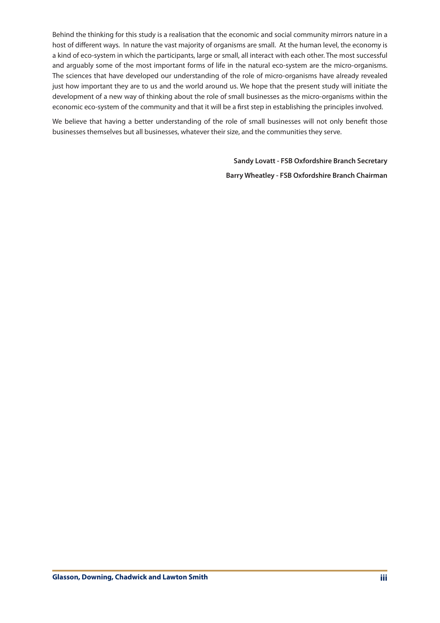Behind the thinking for this study is a realisation that the economic and social community mirrors nature in a host of different ways. In nature the vast majority of organisms are small. At the human level, the economy is a kind of eco-system in which the participants, large or small, all interact with each other. The most successful and arguably some of the most important forms of life in the natural eco-system are the micro-organisms. The sciences that have developed our understanding of the role of micro-organisms have already revealed just how important they are to us and the world around us. We hope that the present study will initiate the development of a new way of thinking about the role of small businesses as the micro-organisms within the economic eco-system of the community and that it will be a first step in establishing the principles involved.

We believe that having a better understanding of the role of small businesses will not only benefit those businesses themselves but all businesses, whatever their size, and the communities they serve.

> **Sandy Lovatt - FSB Oxfordshire Branch Secretary Barry Wheatley - FSB Oxfordshire Branch Chairman**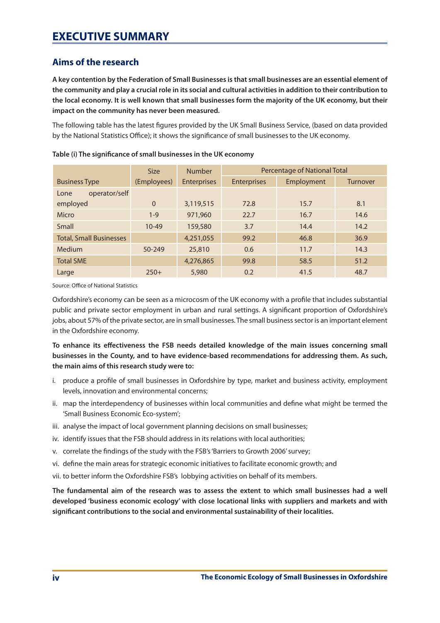# **Aims of the research**

**A key contention by the Federation of Small Businesses is that small businesses are an essential element of the community and play a crucial role in its social and cultural activities in addition to their contribution to the local economy. It is well known that small businesses form the majority of the UK economy, but their impact on the community has never been measured.** 

The following table has the latest figures provided by the UK Small Business Service, (based on data provided by the National Statistics Office); it shows the significance of small businesses to the UK economy.

|                                | <b>Size</b>  | <b>Number</b>      | <b>Percentage of National Total</b> |            |                 |
|--------------------------------|--------------|--------------------|-------------------------------------|------------|-----------------|
| <b>Business Type</b>           | (Employees)  | <b>Enterprises</b> | <b>Enterprises</b>                  | Employment | <b>Turnover</b> |
| operator/self<br>Lone          |              |                    |                                     |            |                 |
| employed                       | $\mathbf{0}$ | 3,119,515          | 72.8                                | 15.7       | 8.1             |
| Micro                          | $1 - 9$      | 971,960            | 22.7                                | 16.7       | 14.6            |
| Small                          | $10 - 49$    | 159,580            | 3.7                                 | 14.4       | 14.2            |
| <b>Total, Small Businesses</b> |              | 4,251,055          | 99.2                                | 46.8       | 36.9            |
| Medium                         | 50-249       | 25,810             | 0.6                                 | 11.7       | 14.3            |
| <b>Total SME</b>               |              | 4,276,865          | 99.8                                | 58.5       | 51.2            |
| Large                          | $250+$       | 5,980              | 0.2                                 | 41.5       | 48.7            |

**Table (i) The significance of small businesses in the UK economy**

Source: Office of National Statistics

Oxfordshire's economy can be seen as a microcosm of the UK economy with a profile that includes substantial public and private sector employment in urban and rural settings. A significant proportion of Oxfordshire's jobs, about 57% of the private sector, are in small businesses. The small businesssector is an important element in the Oxfordshire economy.

**To enhance its effectiveness the FSB needs detailed knowledge of the main issues concerning small businesses in the County, and to have evidence-based recommendations for addressing them. As such, the main aims of this research study were to:**

- i. produce a profile of small businesses in Oxfordshire by type, market and business activity, employment levels, innovation and environmental concerns;
- ii. map the interdependency of businesses within local communities and define what might be termed the 'Small Business Economic Eco-system';
- iii. analyse the impact of local government planning decisions on small businesses;
- iv. identify issues that the FSB should address in its relations with local authorities;
- v. correlate the findings of the study with the FSB's 'Barriers to Growth 2006' survey;
- vi. define the main areas for strategic economic initiatives to facilitate economic growth; and
- vii. to better inform the Oxfordshire FSB's lobbying activities on behalf of its members.

**The fundamental aim of the research was to assess the extent to which small businesses had a well developed 'business economic ecology' with close locational links with suppliers and markets and with significant contributions to the social and environmental sustainability of their localities.**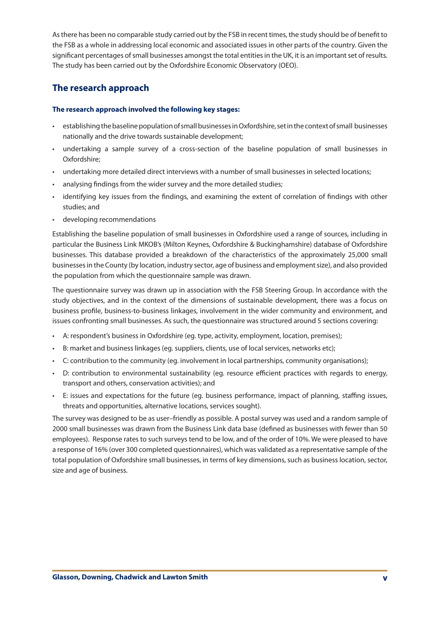Asthere has been no comparable study carried out by the FSB in recent times, the study should be of benefit to the FSB as a whole in addressing local economic and associated issues in other parts of the country. Given the significant percentages of small businesses amongst the total entities in the UK, it is an important set of results. The study has been carried out by the Oxfordshire Economic Observatory (OEO).

# **The research approach**

## **The research approach involved the following key stages:**

- establishing the baseline population of small businesses in Oxfordshire, set in the context of small businesses nationally and the drive towards sustainable development;
- • undertaking a sample survey of a cross-section of the baseline population of small businesses in Oxfordshire;
- • undertaking more detailed direct interviews with a number of small businesses in selected locations;
- analysing findings from the wider survey and the more detailed studies;
- identifying key issues from the findings, and examining the extent of correlation of findings with other studies; and
- developing recommendations

Establishing the baseline population of small businesses in Oxfordshire used a range of sources, including in particular the Business Link MKOB's (Milton Keynes, Oxfordshire & Buckinghamshire) database of Oxfordshire businesses. This database provided a breakdown of the characteristics of the approximately 25,000 small businessesin the County (by location, industry sector, age of business and employmentsize), and also provided the population from which the questionnaire sample was drawn.

The questionnaire survey was drawn up in association with the FSB Steering Group. In accordance with the study objectives, and in the context of the dimensions of sustainable development, there was a focus on business profile, business-to-business linkages, involvement in the wider community and environment, and issues confronting small businesses. As such, the questionnaire was structured around 5 sections covering:

- • A: respondent's business in Oxfordshire (eg. type, activity, employment, location, premises);
- B: market and business linkages (eg. suppliers, clients, use of local services, networks etc);
- • C: contribution to the community (eg. involvement in local partnerships, community organisations);
- • D: contribution to environmental sustainability (eg. resource efficient practices with regards to energy, transport and others, conservation activities); and
- • E: issues and expectations for the future (eg. business performance, impact of planning, staffing issues, threats and opportunities, alternative locations, services sought).

The survey was designed to be as user–friendly as possible. A postal survey was used and a random sample of 2000 small businesses was drawn from the Business Link data base (defined as businesses with fewer than 50 employees). Response rates to such surveys tend to be low, and of the order of 10%. We were pleased to have a response of 16% (over 300 completed questionnaires), which was validated as a representative sample of the total population of Oxfordshire small businesses, in terms of key dimensions, such as business location, sector, size and age of business.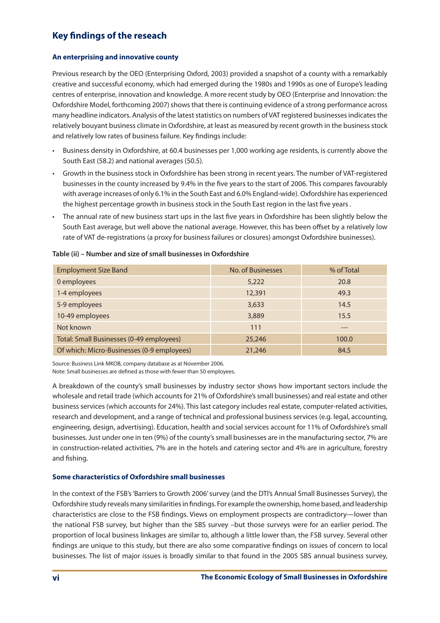# **Key findings of the reseach**

## **An enterprising and innovative county**

Previous research by the OEO (Enterprising Oxford, 2003) provided a snapshot of a county with a remarkably creative and successful economy, which had emerged during the 1980s and 1990s as one of Europe's leading centres of enterprise, innovation and knowledge. A more recent study by OEO (Enterprise and Innovation: the Oxfordshire Model, forthcoming 2007) shows that there is continuing evidence of a strong performance across many headline indicators. Analysis of the latest statistics on numbers of VAT registered businesses indicates the relatively bouyant business climate in Oxfordshire, at least as measured by recent growth in the businessstock and relatively low rates of business failure. Key findings include:

- Business density in Oxfordshire, at 60.4 businesses per 1,000 working age residents, is currently above the South East (58.2) and national averages (50.5).
- Growth in the business stock in Oxfordshire has been strong in recent years. The number of VAT-registered businesses in the county increased by 9.4% in the five years to the start of 2006. This compares favourably with average increases of only 6.1% in the South East and 6.0% England-wide). Oxfordshire has experienced the highest percentage growth in business stock in the South East region in the last five years .
- The annual rate of new business start ups in the last five years in Oxfordshire has been slightly below the South East average, but well above the national average. However, this has been offset by a relatively low rate of VAT de-registrations (a proxy for business failures or closures) amongst Oxfordshire businesses).

| <b>Employment Size Band</b>                | No. of Businesses | % of Total |
|--------------------------------------------|-------------------|------------|
| 0 employees                                | 5,222             | 20.8       |
| 1-4 employees                              | 12,391            | 49.3       |
| 5-9 employees                              | 3,633             | 14.5       |
| 10-49 employees                            | 3,889             | 15.5       |
| Not known                                  | 111               | $---$      |
| Total: Small Businesses (0-49 employees)   | 25,246            | 100.0      |
| Of which: Micro-Businesses (0-9 employees) | 21,246            | 84.5       |

#### **Table (ii) – Number and size of small businesses in Oxfordshire**

Source: Business Link MKOB, company database as at November 2006.

Note: Small businesses are defined as those with fewer than 50 employees.

A breakdown of the county's small businesses by industry sector shows how important sectors include the wholesale and retail trade (which accounts for 21% of Oxfordshire's small businesses) and real estate and other business services (which accounts for 24%). This last category includes real estate, computer-related activities, research and development, and a range of technical and professional business services (e.g. legal, accounting, engineering, design, advertising). Education, health and social services account for 11% of Oxfordshire's small businesses. Just under one in ten (9%) of the county'ssmall businesses are in the manufacturing sector, 7% are in construction-related activities, 7% are in the hotels and catering sector and 4% are in agriculture, forestry and fishing.

## **Some characteristics of Oxfordshire small businesses**

In the context of the FSB's 'Barriers to Growth 2006' survey (and the DTI's Annual Small Businesses Survey), the Oxfordshire study reveals many similaritiesin findings. For example the ownership, home based, and leadership characteristics are close to the FSB findings. Views on employment prospects are contradictory—lower than the national FSB survey, but higher than the SBS survey –but those surveys were for an earlier period. The proportion of local business linkages are similar to, although a little lower than, the FSB survey. Several other findings are unique to this study, but there are also some comparative findings on issues of concern to local businesses. The list of major issues is broadly similar to that found in the 2005 SBS annual business survey,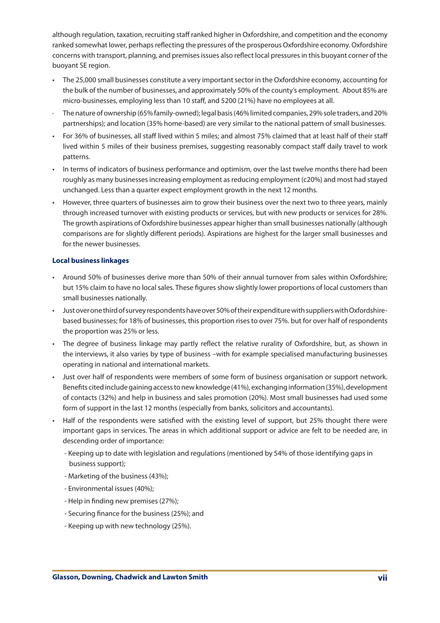although regulation, taxation, recruiting staff ranked higher in Oxfordshire, and competition and the economy ranked somewhat lower, perhaps reflecting the pressures of the prosperous Oxfordshire economy. Oxfordshire concerns with transport, planning, and premisesissues also reflect local pressuresin this buoyant corner of the buoyant SE region.

- The 25,000 small businesses constitute a very important sector in the Oxfordshire economy, accounting for the bulk of the number of businesses, and approximately 50% of the county's employment. About 85% are micro-businesses, employing less than 10 staff, and 5200 (21%) have no employees at all.
- The nature of ownership (65% family-owned); legal basis (46% limited companies, 29% sole traders, and 20% partnerships); and location (35% home-based) are very similar to the national pattern of small businesses.
- For 36% of businesses, all staff lived within 5 miles; and almost 75% claimed that at least half of their staff lived within 5 miles of their business premises, suggesting reasonably compact staff daily travel to work patterns.
- In terms of indicators of business performance and optimism, over the last twelve months there had been roughly as many businessesincreasing employment asreducing employment (c20%) and most had stayed unchanged. Less than a quarter expect employment growth in the next 12 months.
- However, three quarters of businesses aim to grow their business over the next two to three years, mainly through increased turnover with existing products or services, but with new products or services for 28%. The growth aspirations of Oxfordshire businesses appear higher than small businesses nationally (although comparisons are for slightly different periods). Aspirations are highest for the larger small businesses and for the newer businesses.

#### **Local business linkages**

- • Around 50% of businesses derive more than 50% of their annual turnover from sales within Oxfordshire; but 15% claim to have no local sales. These figures show slightly lower proportions of local customers than small businesses nationally.
- Just over one third of survey respondents have over 50% of their expenditure with suppliers with Oxfordshirebased businesses; for 18% of businesses, this proportion rises to over 75%. but for over half of respondents the proportion was 25% or less.
- The degree of business linkage may partly reflect the relative rurality of Oxfordshire, but, as shown in the interviews, it also varies by type of business –with for example specialised manufacturing businesses operating in national and international markets.
- Just over half of respondents were members of some form of business organisation or support network. Benefits cited include gaining access to new knowledge (41%), exchanging information (35%), development of contacts (32%) and help in business and sales promotion (20%). Most small businesses had used some form of support in the last 12 months (especially from banks, solicitors and accountants).
- Half of the respondents were satisfied with the existing level of support, but 25% thought there were important gaps in services. The areas in which additional support or advice are felt to be needed are, in descending order of importance:
	- Keeping up to date with legislation and regulations (mentioned by 54% of those identifying gaps in business support);
	- Marketing of the business (43%);
	- Environmental issues (40%);
	- Help in finding new premises (27%);
	- Securing finance for the business (25%); and
	- Keeping up with new technology (25%).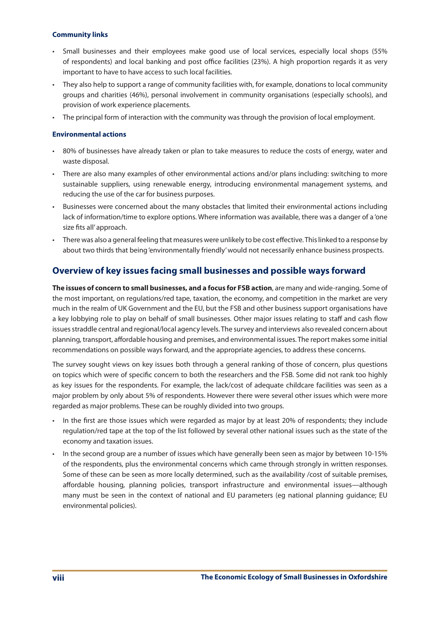## **Community links**

- Small businesses and their employees make good use of local services, especially local shops (55% of respondents) and local banking and post office facilities (23%). A high proportion regards it as very important to have to have access to such local facilities.
- They also help to support a range of community facilities with, for example, donations to local community groups and charities (46%), personal involvement in community organisations (especially schools), and provision of work experience placements.
- The principal form of interaction with the community was through the provision of local employment.

## **Environmental actions**

- • 80% of businesses have already taken or plan to take measures to reduce the costs of energy, water and waste disposal.
- • There are also many examples of other environmental actions and/or plans including: switching to more sustainable suppliers, using renewable energy, introducing environmental management systems, and reducing the use of the car for business purposes.
- Businesses were concerned about the many obstacles that limited their environmental actions including lack of information/time to explore options. Where information was available, there was a danger of a 'one size fits all' approach.
- There was also a general feeling that measures were unlikely to be cost effective. This linked to a response by about two thirds that being'environmentally friendly'would not necessarily enhance business prospects.

# **Overview of key issues facing small businesses and possible ways forward**

**The issues of concern to small businesses, and a focus for FSB action**, are many and wide-ranging. Some of the most important, on regulations/red tape, taxation, the economy, and competition in the market are very much in the realm of UK Government and the EU, but the FSB and other business support organisations have a key lobbying role to play on behalf of small businesses. Other major issues relating to staff and cash flow issues straddle central and regional/local agency levels. The survey and interviews also revealed concern about planning, transport, affordable housing and premises, and environmental issues. The report makes some initial recommendations on possible ways forward, and the appropriate agencies, to address these concerns.

The survey sought views on key issues both through a general ranking of those of concern, plus questions on topics which were of specific concern to both the researchers and the FSB. Some did not rank too highly as key issues for the respondents. For example, the lack/cost of adequate childcare facilities was seen as a major problem by only about 5% of respondents. However there were several other issues which were more regarded as major problems. These can be roughly divided into two groups.

- In the first are those issues which were regarded as major by at least 20% of respondents; they include regulation/red tape at the top of the list followed by several other national issues such as the state of the economy and taxation issues.
- • In the second group are a number of issues which have generally been seen as major by between 10-15% of the respondents, plus the environmental concerns which came through strongly in written responses. Some of these can be seen as more locally determined, such as the availability /cost of suitable premises, affordable housing, planning policies, transport infrastructure and environmental issues—although many must be seen in the context of national and EU parameters (eg national planning guidance; EU environmental policies).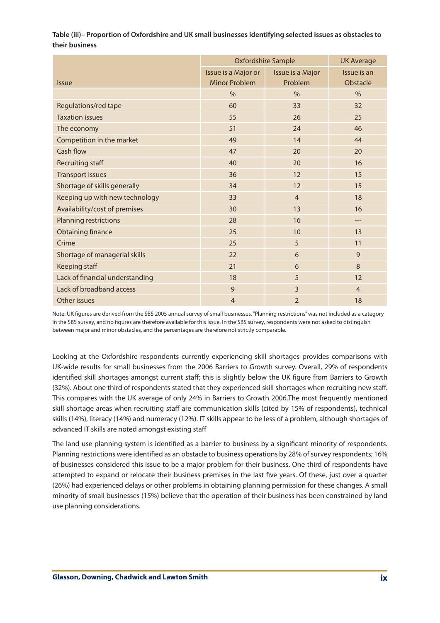## **Table (iii)– Proportion of Oxfordshire and UK small businesses identifying selected issues as obstacles to their business**

|                                 | <b>Oxfordshire Sample</b> |                  | <b>UK Average</b> |
|---------------------------------|---------------------------|------------------|-------------------|
|                                 | Issue is a Major or       | Issue is a Major | Issue is an       |
| <b>Issue</b>                    | Minor Problem             | Problem          | Obstacle          |
|                                 | $\%$                      | $\frac{0}{0}$    | %                 |
| Regulations/red tape            | 60                        | 33               | 32                |
| <b>Taxation issues</b>          | 55                        | 26               | 25                |
| The economy                     | 51                        | 24               | 46                |
| Competition in the market       | 49                        | 14               | 44                |
| Cash flow                       | 47                        | 20               | 20                |
| <b>Recruiting staff</b>         | 40                        | 20               | 16                |
| <b>Transport issues</b>         | 36                        | 12               | 15                |
| Shortage of skills generally    | 34                        | 12               | 15                |
| Keeping up with new technology  | 33                        | $\overline{4}$   | 18                |
| Availability/cost of premises   | 30                        | 13               | 16                |
| <b>Planning restrictions</b>    | 28                        | 16               | ---               |
| <b>Obtaining finance</b>        | 25                        | 10               | 13                |
| Crime                           | 25                        | 5                | 11                |
| Shortage of managerial skills   | 22                        | 6                | 9                 |
| Keeping staff                   | 21                        | 6                | 8                 |
| Lack of financial understanding | 18                        | 5                | 12                |
| Lack of broadband access        | 9                         | $\overline{3}$   | $\overline{4}$    |
| Other issues                    | $\overline{4}$            | $\overline{2}$   | 18                |

Note: UK figures are derived from the SBS 2005 annual survey of small businesses."Planning restrictions"was not included as a category in the SBS survey, and no figures are therefore available for this issue. In the SBS survey, respondents were not asked to distinguish between major and minor obstacles, and the percentages are therefore not strictly comparable.

Looking at the Oxfordshire respondents currently experiencing skill shortages provides comparisons with UK-wide results for small businesses from the 2006 Barriers to Growth survey. Overall, 29% of respondents identified skill shortages amongst current staff; this is slightly below the UK figure from Barriers to Growth (32%). About one third of respondents stated that they experienced skill shortages when recruiting new staff. This compares with the UK average of only 24% in Barriers to Growth 2006.The most frequently mentioned skill shortage areas when recruiting staff are communication skills (cited by 15% of respondents), technical skills (14%), literacy (14%) and numeracy (12%). IT skills appear to be less of a problem, although shortages of advanced IT skills are noted amongst existing staff

The land use planning system is identified as a barrier to business by a significant minority of respondents. Planning restrictions were identified as an obstacle to business operations by 28% of survey respondents; 16% of businesses considered this issue to be a major problem for their business. One third of respondents have attempted to expand or relocate their business premises in the last five years. Of these, just over a quarter (26%) had experienced delays or other problems in obtaining planning permission for these changes. A small minority of small businesses (15%) believe that the operation of their business has been constrained by land use planning considerations.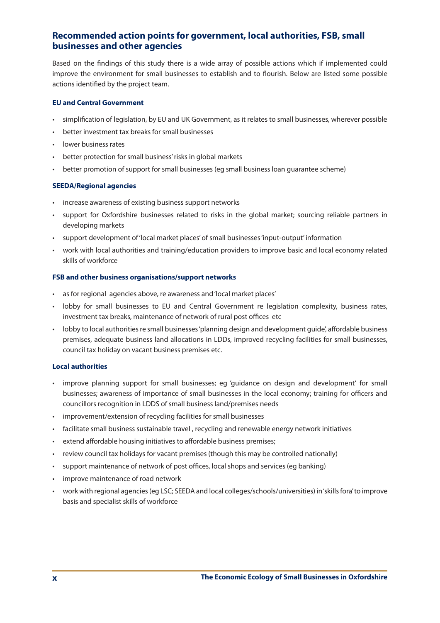# **Recommended action points for government, local authorities, FSB, small businesses and other agencies**

Based on the findings of this study there is a wide array of possible actions which if implemented could improve the environment for small businesses to establish and to flourish. Below are listed some possible actions identified by the project team.

## **EU and Central Government**

- simplification of legislation, by EU and UK Government, as it relates to small businesses, wherever possible
- better investment tax breaks for small businesses
- lower business rates
- better protection for small business' risks in global markets
- better promotion of support for small businesses (eg small business loan guarantee scheme)

#### **SEEDA/Regional agencies**

- • increase awareness of existing business support networks
- • support for Oxfordshire businesses related to risks in the global market; sourcing reliable partners in developing markets
- • support development of'local market places'of small businesses'input-output' information
- • work with local authorities and training/education providers to improve basic and local economy related skills of workforce

#### **FSB and other business organisations/support networks**

- • as for regional agencies above, re awareness and'local market places'
- • lobby for small businesses to EU and Central Government re legislation complexity, business rates, investment tax breaks, maintenance of network of rural post offices etc
- lobby to local authorities re small businesses 'planning design and development guide', affordable business premises, adequate business land allocations in LDDs, improved recycling facilities for small businesses, council tax holiday on vacant business premises etc.

#### **Local authorities**

- improve planning support for small businesses; eg 'guidance on design and development' for small businesses; awareness of importance of small businesses in the local economy; training for officers and councillors recognition in LDDS of small business land/premises needs
- improvement/extension of recycling facilities for small businesses
- facilitate small business sustainable travel, recycling and renewable energy network initiatives
- extend affordable housing initiatives to affordable business premises;
- review council tax holidays for vacant premises (though this may be controlled nationally)
- support maintenance of network of post offices, local shops and services (eg banking)
- improve maintenance of road network
- work with regional agencies (eg LSC; SEEDA and local colleges/schools/universities) in'skills fora'to improve basis and specialist skills of workforce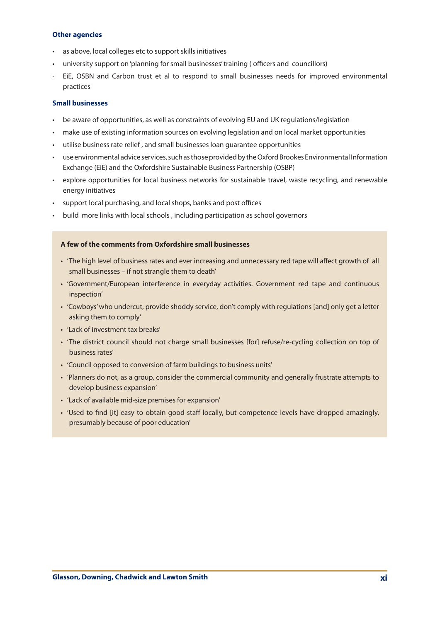#### **Other agencies**

- • as above, local colleges etc to support skills initiatives
- university support on 'planning for small businesses' training ( officers and councillors)
- EiE, OSBN and Carbon trust et al to respond to small businesses needs for improved environmental practices

## **Small businesses**

- be aware of opportunities, as well as constraints of evolving EU and UK regulations/legislation
- make use of existing information sources on evolving legislation and on local market opportunities
- utilise business rate relief, and small businesses loan quarantee opportunities
- use environmental advice services, such as those provided by the Oxford Brookes Environmental Information Exchange (EiE) and the Oxfordshire Sustainable Business Partnership (OSBP)
- • explore opportunities for local business networks for sustainable travel, waste recycling, and renewable energy initiatives
- • support local purchasing, and local shops, banks and post offices
- build more links with local schools, including participation as school governors

#### **A few of the comments from Oxfordshire small businesses**

- 'The high level of business rates and ever increasing and unnecessary red tape will affect growth of all small businesses – if not strangle them to death'
- • 'Government/European interference in everyday activities. Government red tape and continuous inspection'
- • 'Cowboys'who undercut, provide shoddy service, don't comply with regulations [and] only get a letter asking them to comply'
- 'Lack of investment tax breaks'
- • 'The district council should not charge small businesses [for] refuse/re-cycling collection on top of business rates'
- • 'Council opposed to conversion of farm buildings to business units'
- • 'Planners do not, as a group, consider the commercial community and generally frustrate attempts to develop business expansion'
- • 'Lack of available mid-size premises for expansion'
- • 'Used to find [it] easy to obtain good staff locally, but competence levels have dropped amazingly, presumably because of poor education'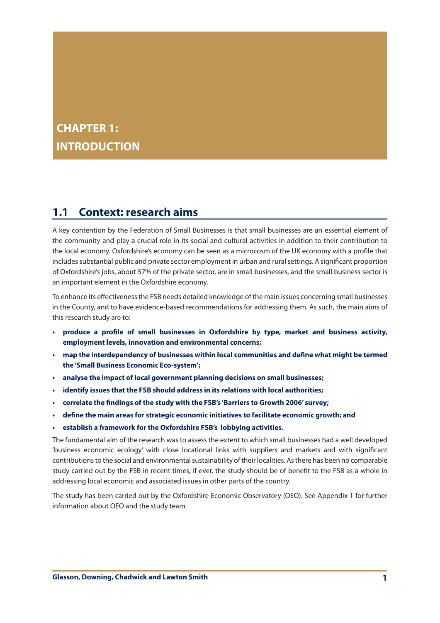# **CHAPTER 1: INTRODUCTION**

# **1.1 Context: research aims**

A key contention by the Federation of Small Businesses is that small businesses are an essential element of the community and play a crucial role in its social and cultural activities in addition to their contribution to the local economy. Oxfordshire's economy can be seen as a microcosm of the UK economy with a profile that includes substantial public and private sector employment in urban and rural settings. A significant proportion of Oxfordshire's jobs, about 57% of the private sector, are in small businesses, and the small business sector is an important element in the Oxfordshire economy.

To enhance its effectivenessthe FSB needs detailed knowledge of the main issues concerning small businesses in the County, and to have evidence-based recommendations for addressing them. As such, the main aims of this research study are to:

- **• produce a profile of small businesses in Oxfordshire by type, market and business activity, employment levels, innovation and environmental concerns;**
- **• map the interdependency of businesses within local communities and define what might be termed the 'Small Business Economic Eco-system';**
- **• analyse the impact of local government planning decisions on small businesses;**
- **• identify issues that the FSB should address in its relations with local authorities;**
- **• correlate the findings of the study with the FSB's 'Barriers to Growth 2006' survey;**
- **• define the main areas for strategic economic initiatives to facilitate economic growth; and**
- **• establish a framework for the Oxfordshire FSB's lobbying activities.**

The fundamental aim of the research was to assess the extent to which small businesses had a well developed 'business economic ecology' with close locational links with suppliers and markets and with significant contributions to the social and environmental sustainability of their localities. As there has been no comparable study carried out by the FSB in recent times, if ever, the study should be of benefit to the FSB as a whole in addressing local economic and associated issues in other parts of the country.

The study has been carried out by the Oxfordshire Economic Observatory (OEO). See Appendix 1 for further information about OEO and the study team.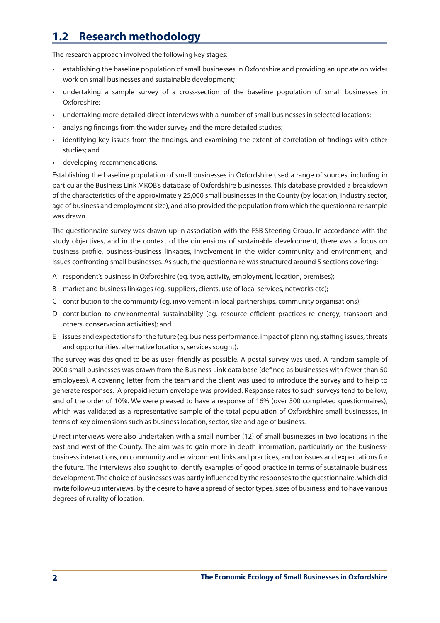# **1.2 Research methodology**

The research approach involved the following key stages:

- • establishing the baseline population of small businesses in Oxfordshire and providing an update on wider work on small businesses and sustainable development;
- undertaking a sample survey of a cross-section of the baseline population of small businesses in Oxfordshire;
- undertaking more detailed direct interviews with a number of small businesses in selected locations;
- analysing findings from the wider survey and the more detailed studies;
- identifying key issues from the findings, and examining the extent of correlation of findings with other studies; and
- • developing recommendations.

Establishing the baseline population of small businesses in Oxfordshire used a range of sources, including in particular the Business Link MKOB's database of Oxfordshire businesses. This database provided a breakdown of the characteristics of the approximately 25,000 small businesses in the County (by location, industry sector, age of business and employment size), and also provided the population from which the questionnaire sample was drawn.

The questionnaire survey was drawn up in association with the FSB Steering Group. In accordance with the study objectives, and in the context of the dimensions of sustainable development, there was a focus on business profile, business-business linkages, involvement in the wider community and environment, and issues confronting small businesses. As such, the questionnaire was structured around 5 sections covering:

- A respondent's business in Oxfordshire (eg. type, activity, employment, location, premises);
- B market and business linkages (eg. suppliers, clients, use of local services, networks etc);
- C contribution to the community (eg. involvement in local partnerships, community organisations);
- D contribution to environmental sustainability (eg. resource efficient practices re energy, transport and others, conservation activities); and
- E issues and expectations for the future (eg. business performance, impact of planning, staffing issues, threats and opportunities, alternative locations, services sought).

The survey was designed to be as user–friendly as possible. A postal survey was used. A random sample of 2000 small businesses was drawn from the Business Link data base (defined as businesses with fewer than 50 employees). A covering letter from the team and the client was used to introduce the survey and to help to generate responses. A prepaid return envelope was provided. Response rates to such surveys tend to be low, and of the order of 10%. We were pleased to have a response of 16% (over 300 completed questionnaires), which was validated as a representative sample of the total population of Oxfordshire small businesses, in terms of key dimensions such as business location, sector, size and age of business.

Direct interviews were also undertaken with a small number (12) of small businesses in two locations in the east and west of the County. The aim was to gain more in depth information, particularly on the businessbusiness interactions, on community and environment links and practices, and on issues and expectations for the future. The interviews also sought to identify examples of good practice in terms of sustainable business development. The choice of businesses was partly influenced by the responses to the questionnaire, which did invite follow-up interviews, by the desire to have a spread of sector types, sizes of business, and to have various degrees of rurality of location.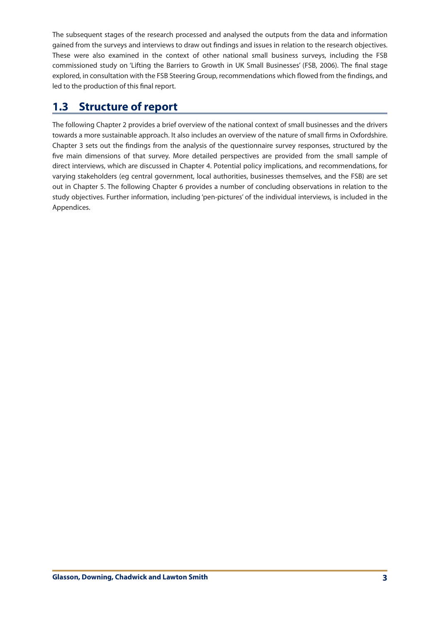The subsequent stages of the research processed and analysed the outputs from the data and information gained from the surveys and interviews to draw out findings and issues in relation to the research objectives. These were also examined in the context of other national small business surveys, including the FSB commissioned study on 'Lifting the Barriers to Growth in UK Small Businesses' (FSB, 2006). The final stage explored, in consultation with the FSB Steering Group, recommendations which flowed from the findings, and led to the production of this final report.

# **1.3 Structure of report**

The following Chapter 2 provides a brief overview of the national context of small businesses and the drivers towards a more sustainable approach. It also includes an overview of the nature of small firms in Oxfordshire. Chapter 3 sets out the findings from the analysis of the questionnaire survey responses, structured by the five main dimensions of that survey. More detailed perspectives are provided from the small sample of direct interviews, which are discussed in Chapter 4. Potential policy implications, and recommendations, for varying stakeholders (eg central government, local authorities, businesses themselves, and the FSB) are set out in Chapter 5. The following Chapter 6 provides a number of concluding observations in relation to the study objectives. Further information, including 'pen-pictures' of the individual interviews, is included in the Appendices.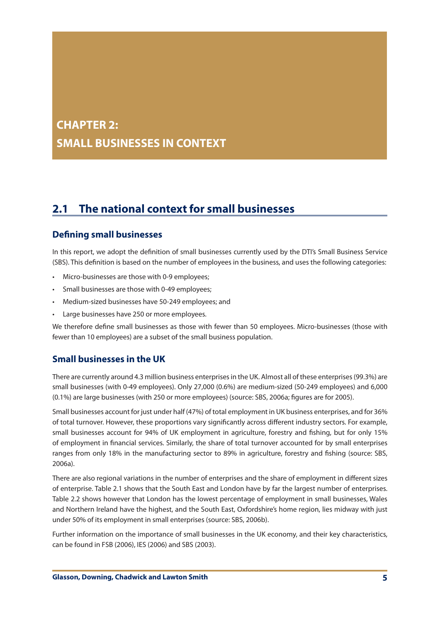# **CHAPTER 2: SMALL BUSINESSES IN CONTEXT**

# **2.1 The national context for small businesses**

# **Defining small businesses**

In this report, we adopt the definition of small businesses currently used by the DTI's Small Business Service (SBS). This definition is based on the number of employees in the business, and uses the following categories:

- Micro-businesses are those with 0-9 employees;
- Small businesses are those with 0-49 employees;
- Medium-sized businesses have 50-249 employees; and
- Large businesses have 250 or more employees.

We therefore define small businesses as those with fewer than 50 employees. Micro-businesses (those with fewer than 10 employees) are a subset of the small business population.

# **Small businesses in the UK**

There are currently around 4.3 million business enterprisesin the UK. Almost all of these enterprises(99.3%) are small businesses (with 0-49 employees). Only 27,000 (0.6%) are medium-sized (50-249 employees) and 6,000 (0.1%) are large businesses (with 250 or more employees) (source: SBS, 2006a; figures are for 2005).

Small businesses account for just under half (47%) of total employment in UK business enterprises, and for 36% of total turnover. However, these proportions vary significantly across different industry sectors. For example, small businesses account for 94% of UK employment in agriculture, forestry and fishing, but for only 15% of employment in financial services. Similarly, the share of total turnover accounted for by small enterprises ranges from only 18% in the manufacturing sector to 89% in agriculture, forestry and fishing (source: SBS, 2006a).

There are also regional variations in the number of enterprises and the share of employment in different sizes of enterprise. Table 2.1 shows that the South East and London have by far the largest number of enterprises. Table 2.2 shows however that London has the lowest percentage of employment in small businesses, Wales and Northern Ireland have the highest, and the South East, Oxfordshire's home region, lies midway with just under 50% of its employment in small enterprises (source: SBS, 2006b).

Further information on the importance of small businesses in the UK economy, and their key characteristics, can be found in FSB (2006), IES (2006) and SBS (2003).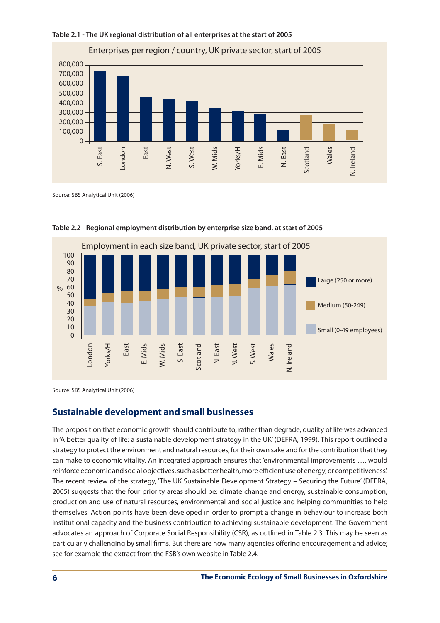



Source: SBS Analytical Unit (2006)



**Table 2.2 - Regional employment distribution by enterprise size band, at start of 2005**

Source: SBS Analytical Unit (2006)

# **Sustainable development and small businesses**

The proposition that economic growth should contribute to, rather than degrade, quality of life was advanced in 'A better quality of life: a sustainable development strategy in the UK' (DEFRA, 1999). This report outlined a strategy to protect the environment and natural resources, for their own sake and for the contribution that they can make to economic vitality. An integrated approach ensures that'environmental improvements …. would reinforce economic and social objectives, such as better health, more efficient use of energy, or competitiveness'. The recent review of the strategy, 'The UK Sustainable Development Strategy – Securing the Future' (DEFRA, 2005) suggests that the four priority areas should be: climate change and energy, sustainable consumption, production and use of natural resources, environmental and social justice and helping communities to help themselves. Action points have been developed in order to prompt a change in behaviour to increase both institutional capacity and the business contribution to achieving sustainable development. The Government advocates an approach of Corporate Social Responsibility (CSR), as outlined in Table 2.3. This may be seen as particularly challenging by small firms. But there are now many agencies offering encouragement and advice; see for example the extract from the FSB's own website in Table 2.4.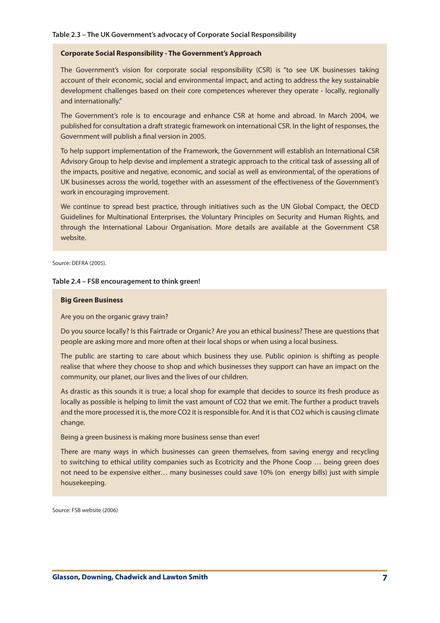#### **Table 2.3 – The UK Government's advocacy of Corporate Social Responsibility**

#### **Corporate Social Responsibility - The Government's Approach**

The Government's vision for corporate social responsibility (CSR) is "to see UK businesses taking account of their economic, social and environmental impact, and acting to address the key sustainable development challenges based on their core competences wherever they operate - locally, regionally and internationally."

The Government's role is to encourage and enhance CSR at home and abroad. In March 2004, we published for consultation a draft strategic framework on international CSR. In the light of responses, the Government will publish a final version in 2005.

To help support implementation of the Framework, the Government will establish an International CSR Advisory Group to help devise and implement a strategic approach to the critical task of assessing all of the impacts, positive and negative, economic, and social as well as environmental, of the operations of UK businesses across the world, together with an assessment of the effectiveness of the Government's work in encouraging improvement.

We continue to spread best practice, through initiatives such as the UN Global Compact, the OECD Guidelines for Multinational Enterprises, the Voluntary Principles on Security and Human Rights, and through the International Labour Organisation. More details are available at the Government CSR website.

Source: DEFRA (2005).

l

#### **Table 2.4 – FSB encouragement to think green!**

#### **Big Green Business**

Are you on the organic gravy train?

Do you source locally? Is this Fairtrade or Organic? Are you an ethical business? These are questions that people are asking more and more often at their local shops or when using a local business.

The public are starting to care about which business they use. Public opinion is shifting as people realise that where they choose to shop and which businesses they support can have an impact on the community, our planet, our lives and the lives of our children.

As drastic as this sounds it is true; a local shop for example that decides to source its fresh produce as locally as possible is helping to limit the vast amount of CO2 that we emit. The further a product travels and the more processed it is, the more CO2 it is responsible for. And it is that CO2 which is causing climate change.

Being a green business is making more business sense than ever!

There are many ways in which businesses can green themselves, from saving energy and recycling to switching to ethical utility companies such as Ecotricity and the Phone Coop … being green does not need to be expensive either… many businesses could save 10% (on energy bills) just with simple housekeeping.

Source: FSB website (2006)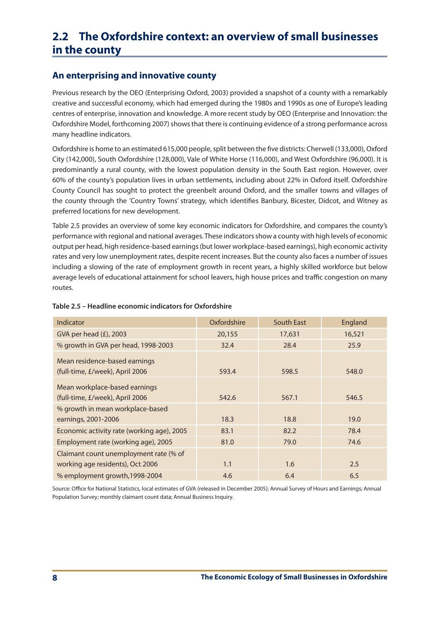# **2.2 The Oxfordshire context: an overview of small businesses in the county**

# **An enterprising and innovative county**

Previous research by the OEO (Enterprising Oxford, 2003) provided a snapshot of a county with a remarkably creative and successful economy, which had emerged during the 1980s and 1990s as one of Europe's leading centres of enterprise, innovation and knowledge. A more recent study by OEO (Enterprise and Innovation: the Oxfordshire Model, forthcoming 2007) shows that there is continuing evidence of a strong performance across many headline indicators.

Oxfordshire is home to an estimated 615,000 people, split between the five districts: Cherwell (133,000), Oxford City (142,000), South Oxfordshire (128,000), Vale of White Horse (116,000), and West Oxfordshire (96,000). It is predominantly a rural county, with the lowest population density in the South East region. However, over 60% of the county's population lives in urban settlements, including about 22% in Oxford itself. Oxfordshire County Council has sought to protect the greenbelt around Oxford, and the smaller towns and villages of the county through the 'Country Towns' strategy, which identifies Banbury, Bicester, Didcot, and Witney as preferred locations for new development.

Table 2.5 provides an overview of some key economic indicators for Oxfordshire, and compares the county's performance with regional and national averages. These indicatorsshow a county with high levels of economic output per head, high residence-based earnings(but lower workplace-based earnings), high economic activity rates and very low unemployment rates, despite recent increases. But the county also faces a number of issues including a slowing of the rate of employment growth in recent years, a highly skilled workforce but below average levels of educational attainment for school leavers, high house prices and traffic congestion on many routes.

| Indicator                                                        | Oxfordshire | South East | England |
|------------------------------------------------------------------|-------------|------------|---------|
| GVA per head $(E)$ , 2003                                        | 20,155      | 17,631     | 16,521  |
| % growth in GVA per head, 1998-2003                              | 32.4        | 28.4       | 25.9    |
| Mean residence-based earnings<br>(full-time, £/week), April 2006 | 593.4       | 598.5      | 548.0   |
| Mean workplace-based earnings<br>(full-time, £/week), April 2006 | 542.6       | 567.1      | 546.5   |
| % growth in mean workplace-based                                 |             |            |         |
| earnings, 2001-2006                                              | 18.3        | 18.8       | 19.0    |
| Economic activity rate (working age), 2005                       | 83.1        | 82.2       | 78.4    |
| Employment rate (working age), 2005                              | 81.0        | 79.0       | 74.6    |
| Claimant count unemployment rate (% of                           |             |            |         |
| working age residents), Oct 2006                                 | 1.1         | 1.6        | 2.5     |
| % employment growth, 1998-2004                                   | 4.6         | 6.4        | 6.5     |

#### **Table 2.5 – Headline economic indicators for Oxfordshire**

Source: Office for National Statistics, local estimates of GVA (released in December 2005); Annual Survey of Hours and Earnings; Annual Population Survey; monthly claimant count data; Annual Business Inquiry.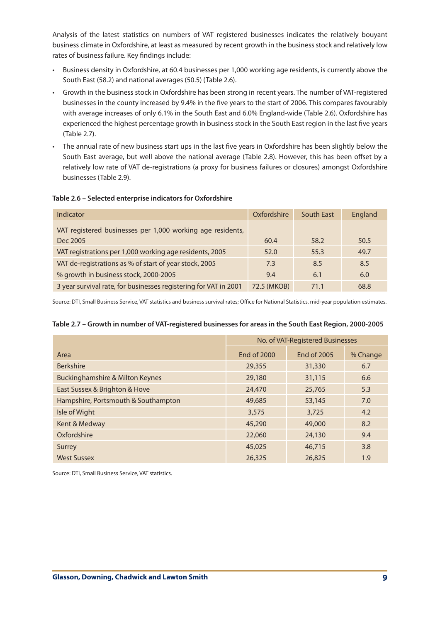Analysis of the latest statistics on numbers of VAT registered businesses indicates the relatively bouyant business climate in Oxfordshire, at least as measured by recent growth in the business stock and relatively low rates of business failure. Key findings include:

- Business density in Oxfordshire, at 60.4 businesses per 1,000 working age residents, is currently above the South East (58.2) and national averages (50.5) (Table 2.6).
- Growth in the business stock in Oxfordshire has been strong in recent years. The number of VAT-registered businesses in the county increased by 9.4% in the five years to the start of 2006. This compares favourably with average increases of only 6.1% in the South East and 6.0% England-wide (Table 2.6). Oxfordshire has experienced the highest percentage growth in business stock in the South East region in the last five years (Table 2.7).
- • The annual rate of new business start ups in the last five years in Oxfordshire has been slightly below the South East average, but well above the national average (Table 2.8). However, this has been offset by a relatively low rate of VAT de-registrations (a proxy for business failures or closures) amongst Oxfordshire businesses (Table 2.9).

#### **Table 2.6 – Selected enterprise indicators for Oxfordshire**

| Indicator                                                        | Oxfordshire | South East | England |
|------------------------------------------------------------------|-------------|------------|---------|
| VAT registered businesses per 1,000 working age residents,       |             |            |         |
| Dec 2005                                                         | 60.4        | 58.2       | 50.5    |
| VAT registrations per 1,000 working age residents, 2005          | 52.0        | 55.3       | 49.7    |
| VAT de-registrations as % of start of year stock, 2005           | 7.3         | 8.5        | 8.5     |
| % growth in business stock, 2000-2005                            | 9.4         | 6.1        | 6.0     |
| 3 year survival rate, for businesses registering for VAT in 2001 | 72.5 (MKOB) | 71.1       | 68.8    |

Source: DTI, Small Business Service, VAT statistics and business survival rates; Office for National Statistics, mid-year population estimates.

#### **Table 2.7 – Growth in number of VAT-registered businesses for areas in the South East Region, 2000-2005**

|                                            | No. of VAT-Registered Businesses |             |          |
|--------------------------------------------|----------------------------------|-------------|----------|
| Area                                       | End of 2000                      | End of 2005 | % Change |
| <b>Berkshire</b>                           | 29,355                           | 31,330      | 6.7      |
| <b>Buckinghamshire &amp; Milton Keynes</b> | 29,180                           | 31,115      | 6.6      |
| East Sussex & Brighton & Hove              | 24,470                           | 25,765      | 5.3      |
| Hampshire, Portsmouth & Southampton        | 49,685                           | 53,145      | 7.0      |
| Isle of Wight                              | 3,575                            | 3,725       | 4.2      |
| Kent & Medway                              | 45,290                           | 49,000      | 8.2      |
| Oxfordshire                                | 22,060                           | 24,130      | 9.4      |
| Surrey                                     | 45,025                           | 46,715      | 3.8      |
| <b>West Sussex</b>                         | 26,325                           | 26,825      | 1.9      |

Source: DTI, Small Business Service, VAT statistics.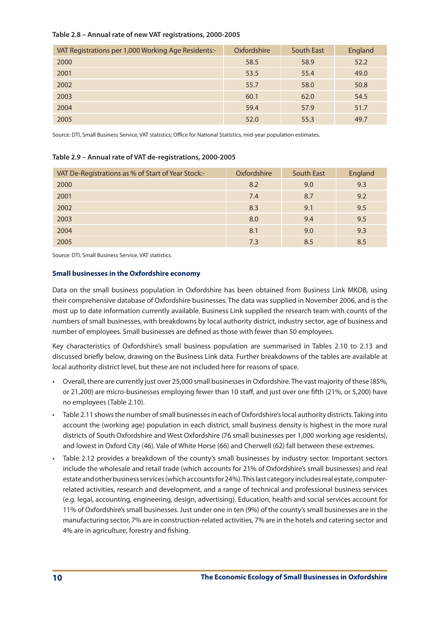#### **Table 2.8 – Annual rate of new VAT registrations, 2000-2005**

| VAT Registrations per 1,000 Working Age Residents:- | Oxfordshire | South East | England |
|-----------------------------------------------------|-------------|------------|---------|
| 2000                                                | 58.5        | 58.9       | 52.2    |
| 2001                                                | 53.5        | 55.4       | 49.0    |
| 2002                                                | 55.7        | 58.0       | 50.8    |
| 2003                                                | 60.1        | 62.0       | 54.5    |
| 2004                                                | 59.4        | 57.9       | 51.7    |
| 2005                                                | 52.0        | 55.3       | 49.7    |

Source: DTI, Small Business Service, VAT statistics; Office for National Statistics, mid-year population estimates.

#### **Table 2.9 – Annual rate of VAT de-registrations, 2000-2005**

| VAT De-Registrations as % of Start of Year Stock:- | Oxfordshire | <b>South East</b> | England |
|----------------------------------------------------|-------------|-------------------|---------|
| 2000                                               | 8.2         | 9.0               | 9.3     |
| 2001                                               | 7.4         | 8.7               | 9.2     |
| 2002                                               | 8.3         | 9.1               | 9.5     |
| 2003                                               | 8.0         | 9.4               | 9.5     |
| 2004                                               | 8.1         | 9.0               | 9.3     |
| 2005                                               | 7.3         | 8.5               | 8.5     |

Source: DTI, Small Business Service, VAT statistics.

#### **Small businesses in the Oxfordshire economy**

Data on the small business population in Oxfordshire has been obtained from Business Link MKOB, using their comprehensive database of Oxfordshire businesses. The data was supplied in November 2006, and is the most up to date information currently available. Business Link supplied the research team with counts of the numbers of small businesses, with breakdowns by local authority district, industry sector, age of business and number of employees. Small businesses are defined as those with fewer than 50 employees.

Key characteristics of Oxfordshire's small business population are summarised in Tables 2.10 to 2.13 and discussed briefly below, drawing on the Business Link data. Further breakdowns of the tables are available at local authority district level, but these are not included here for reasons of space.

- Overall, there are currently just over 25,000 small businesses in Oxfordshire. The vast majority of these (85%, or 21,200) are micro-businesses employing fewer than 10 staff, and just over one fifth (21%, or 5,200) have no employees (Table 2.10).
- Table 2.11 shows the number of small businesses in each of Oxfordshire's local authority districts. Taking into account the (working age) population in each district, small business density is highest in the more rural districts of South Oxfordshire and West Oxfordshire (76 small businesses per 1,000 working age residents), and lowest in Oxford City (46). Vale of White Horse (66) and Cherwell (62) fall between these extremes.
- Table 2.12 provides a breakdown of the county's small businesses by industry sector. Important sectors include the wholesale and retail trade (which accounts for 21% of Oxfordshire's small businesses) and real estate and other business services (which accounts for 24%). This last category includes real estate, computerrelated activities, research and development, and a range of technical and professional business services (e.g. legal, accounting, engineering, design, advertising). Education, health and social services account for 11% of Oxfordshire's small businesses. Just under one in ten (9%) of the county's small businesses are in the manufacturing sector, 7% are in construction-related activities, 7% are in the hotels and catering sector and 4% are in agriculture, forestry and fishing.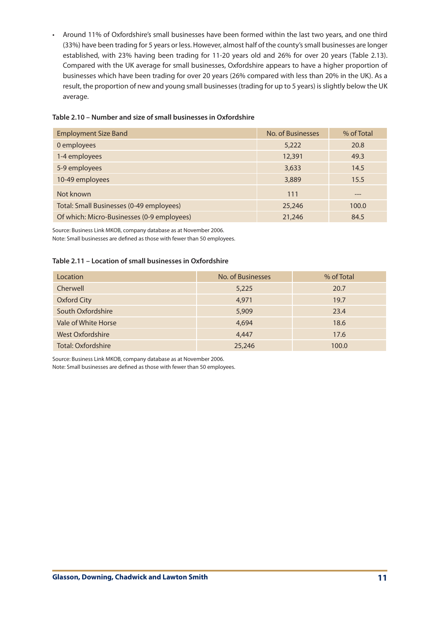• Around 11% of Oxfordshire's small businesses have been formed within the last two years, and one third (33%) have been trading for 5 years or less. However, almost half of the county'ssmall businesses are longer established, with 23% having been trading for 11-20 years old and 26% for over 20 years (Table 2.13). Compared with the UK average for small businesses, Oxfordshire appears to have a higher proportion of businesses which have been trading for over 20 years (26% compared with less than 20% in the UK). As a result, the proportion of new and young small businesses (trading for up to 5 years) is slightly below the UK average.

| <b>Employment Size Band</b>                | No. of Businesses | % of Total |
|--------------------------------------------|-------------------|------------|
| 0 employees                                | 5,222             | 20.8       |
| 1-4 employees                              | 12,391            | 49.3       |
| 5-9 employees                              | 3,633             | 14.5       |
| 10-49 employees                            | 3,889             | 15.5       |
| Not known                                  | 111               | ---        |
| Total: Small Businesses (0-49 employees)   | 25,246            | 100.0      |
| Of which: Micro-Businesses (0-9 employees) | 21,246            | 84.5       |

## **Table 2.10 – Number and size of small businesses in Oxfordshire**

Source: Business Link MKOB, company database as at November 2006.

Note: Small businesses are defined as those with fewer than 50 employees.

## **Table 2.11 – Location of small businesses in Oxfordshire**

| Location                | No. of Businesses | % of Total |
|-------------------------|-------------------|------------|
| Cherwell                | 5,225             | 20.7       |
| <b>Oxford City</b>      | 4,971             | 19.7       |
| South Oxfordshire       | 5,909             | 23.4       |
| Vale of White Horse     | 4,694             | 18.6       |
| <b>West Oxfordshire</b> | 4,447             | 17.6       |
| Total: Oxfordshire      | 25,246            | 100.0      |

Source: Business Link MKOB, company database as at November 2006.

Note: Small businesses are defined as those with fewer than 50 employees.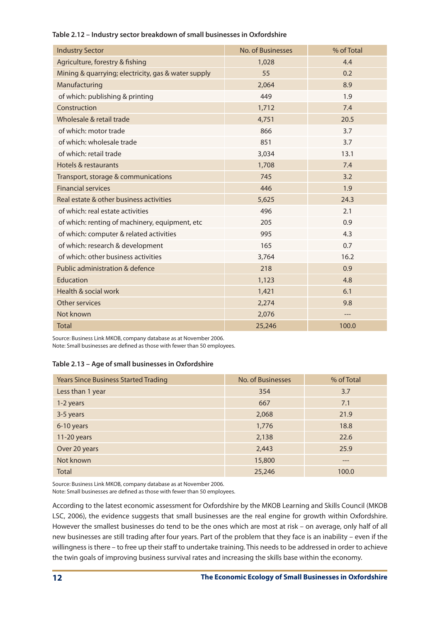| <b>Industry Sector</b>                              | No. of Businesses | % of Total |
|-----------------------------------------------------|-------------------|------------|
| Agriculture, forestry & fishing                     | 1,028             | 4.4        |
| Mining & quarrying; electricity, gas & water supply | 55                | 0.2        |
| Manufacturing                                       | 2,064             | 8.9        |
| of which: publishing & printing                     | 449               | 1.9        |
| Construction                                        | 1,712             | 7.4        |
| Wholesale & retail trade                            | 4,751             | 20.5       |
| of which: motor trade                               | 866               | 3.7        |
| of which: wholesale trade                           | 851               | 3.7        |
| of which: retail trade                              | 3,034             | 13.1       |
| Hotels & restaurants                                | 1,708             | 7.4        |
| Transport, storage & communications                 | 745               | 3.2        |
| <b>Financial services</b>                           | 446               | 1.9        |
| Real estate & other business activities             | 5,625             | 24.3       |
| of which: real estate activities                    | 496               | 2.1        |
| of which: renting of machinery, equipment, etc      | 205               | 0.9        |
| of which: computer & related activities             | 995               | 4.3        |
| of which: research & development                    | 165               | 0.7        |
| of which: other business activities                 | 3,764             | 16.2       |
| Public administration & defence                     | 218               | 0.9        |
| Education                                           | 1,123             | 4.8        |
| Health & social work                                | 1,421             | 6.1        |
| Other services                                      | 2,274             | 9.8        |
| Not known                                           | 2,076             |            |
| <b>Total</b>                                        | 25,246            | 100.0      |

#### **Table 2.12 – Industry sector breakdown of small businesses in Oxfordshire**

Source: Business Link MKOB, company database as at November 2006.

Note: Small businesses are defined as those with fewer than 50 employees.

## **Table 2.13 – Age of small businesses in Oxfordshire**

| <b>Years Since Business Started Trading</b> | No. of Businesses | % of Total |
|---------------------------------------------|-------------------|------------|
| Less than 1 year                            | 354               | 3.7        |
| 1-2 years                                   | 667               | 7.1        |
| 3-5 years                                   | 2,068             | 21.9       |
| 6-10 years                                  | 1,776             | 18.8       |
| 11-20 years                                 | 2,138             | 22.6       |
| Over 20 years                               | 2,443             | 25.9       |
| Not known                                   | 15,800            | ---        |
| <b>Total</b>                                | 25,246            | 100.0      |

Source: Business Link MKOB, company database as at November 2006.

Note: Small businesses are defined as those with fewer than 50 employees.

According to the latest economic assessment for Oxfordshire by the MKOB Learning and Skills Council (MKOB LSC, 2006), the evidence suggests that small businesses are the real engine for growth within Oxfordshire. However the smallest businesses do tend to be the ones which are most at risk – on average, only half of all new businesses are still trading after four years. Part of the problem that they face is an inability – even if the willingness is there – to free up their staff to undertake training. This needs to be addressed in order to achieve the twin goals of improving business survival rates and increasing the skills base within the economy.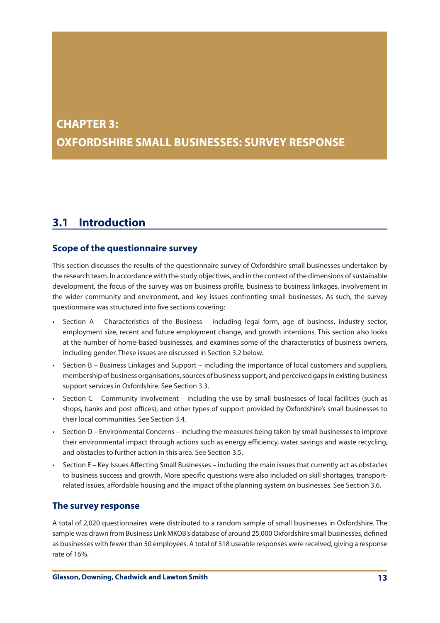# **CHAPTER 3: OXFORDSHIRE SMALL BUSINESSES: SURVEY RESPONSE**

# **3.1 Introduction**

# **Scope of the questionnaire survey**

This section discusses the results of the questionnaire survey of Oxfordshire small businesses undertaken by the research team. In accordance with the study objectives, and in the context of the dimensions of sustainable development, the focus of the survey was on business profile, business to business linkages, involvement in the wider community and environment, and key issues confronting small businesses. As such, the survey questionnaire was structured into five sections covering:

- Section  $A -$  Characteristics of the Business including legal form, age of business, industry sector, employment size, recent and future employment change, and growth intentions. This section also looks at the number of home-based businesses, and examines some of the characteristics of business owners, including gender. These issues are discussed in Section 3.2 below.
- Section  $B -$  Business Linkages and Support including the importance of local customers and suppliers, membership of business organisations, sources of business support, and perceived gaps in existing business support services in Oxfordshire. See Section 3.3.
- Section  $C$  Community Involvement including the use by small businesses of local facilities (such as shops, banks and post offices), and other types of support provided by Oxfordshire's small businesses to their local communities. See Section 3.4.
- • Section D Environmental Concerns including the measures being taken by small businesses to improve their environmental impact through actions such as energy efficiency, water savings and waste recycling, and obstacles to further action in this area. See Section 3.5.
- Section E Key Issues Affecting Small Businesses including the main issues that currently act as obstacles to business success and growth. More specific questions were also included on skill shortages, transportrelated issues, affordable housing and the impact of the planning system on businesses. See Section 3.6.

# **The survey response**

A total of 2,020 questionnaires were distributed to a random sample of small businesses in Oxfordshire. The sample was drawn from Business Link MKOB's database of around 25,000 Oxfordshire small businesses, defined as businesses with fewer than 50 employees. A total of 318 useable responses were received, giving a response rate of 16%.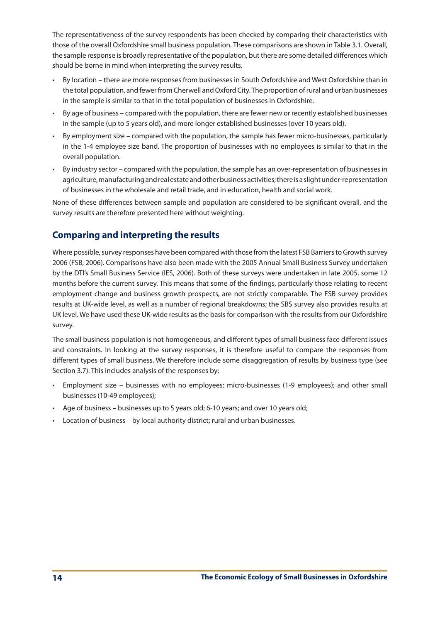The representativeness of the survey respondents has been checked by comparing their characteristics with those of the overall Oxfordshire small business population. These comparisons are shown in Table 3.1. Overall, the sample response is broadly representative of the population, but there are some detailed differences which should be borne in mind when interpreting the survey results.

- By location there are more responses from businesses in South Oxfordshire and West Oxfordshire than in the total population, and fewer from Cherwell and Oxford City. The proportion of rural and urban businesses in the sample is similar to that in the total population of businesses in Oxfordshire.
- • By age of business compared with the population, there are fewer new or recently established businesses in the sample (up to 5 years old), and more longer established businesses (over 10 years old).
- By employment size compared with the population, the sample has fewer micro-businesses, particularly in the 1-4 employee size band. The proportion of businesses with no employees is similar to that in the overall population.
- By industry sector compared with the population, the sample has an over-representation of businesses in agriculture, manufacturing and real estate and other business activities; there is a slight under-representation of businesses in the wholesale and retail trade, and in education, health and social work.

None of these differences between sample and population are considered to be significant overall, and the survey results are therefore presented here without weighting.

# **Comparing and interpreting the results**

Where possible, survey responses have been compared with those from the latest FSB Barriers to Growth survey 2006 (FSB, 2006). Comparisons have also been made with the 2005 Annual Small Business Survey undertaken by the DTI's Small Business Service (IES, 2006). Both of these surveys were undertaken in late 2005, some 12 months before the current survey. This means that some of the findings, particularly those relating to recent employment change and business growth prospects, are not strictly comparable. The FSB survey provides results at UK-wide level, as well as a number of regional breakdowns; the SBS survey also provides results at UK level. We have used these UK-wide results as the basis for comparison with the results from our Oxfordshire survey.

The small business population is not homogeneous, and different types of small business face different issues and constraints. In looking at the survey responses, it is therefore useful to compare the responses from different types of small business. We therefore include some disaggregation of results by business type (see Section 3.7). This includes analysis of the responses by:

- • Employment size businesses with no employees; micro-businesses (1-9 employees); and other small businesses (10-49 employees);
- • Age of business businesses up to 5 years old; 6-10 years; and over 10 years old;
- Location of business by local authority district; rural and urban businesses.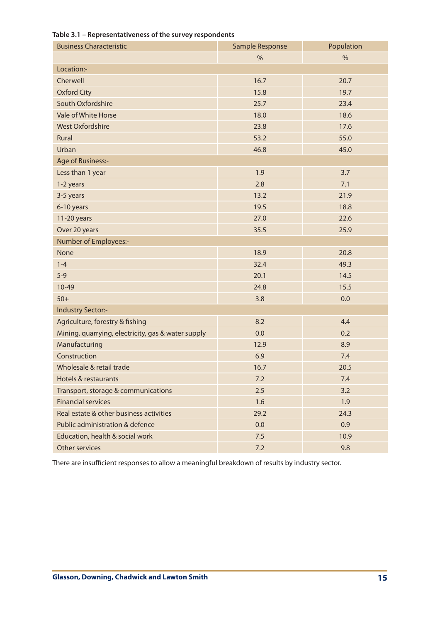| <b>Business Characteristic</b>                     | Sample Response | Population    |
|----------------------------------------------------|-----------------|---------------|
|                                                    | $\frac{0}{6}$   | $\frac{0}{0}$ |
| Location:-                                         |                 |               |
| Cherwell                                           | 16.7            | 20.7          |
| <b>Oxford City</b>                                 | 15.8            | 19.7          |
| South Oxfordshire                                  | 25.7            | 23.4          |
| Vale of White Horse                                | 18.0            | 18.6          |
| <b>West Oxfordshire</b>                            | 23.8            | 17.6          |
| Rural                                              | 53.2            | 55.0          |
| Urban                                              | 46.8            | 45.0          |
| Age of Business:-                                  |                 |               |
| Less than 1 year                                   | 1.9             | 3.7           |
| 1-2 years                                          | 2.8             | 7.1           |
| 3-5 years                                          | 13.2            | 21.9          |
| 6-10 years                                         | 19.5            | 18.8          |
| 11-20 years                                        | 27.0            | 22.6          |
| Over 20 years                                      | 35.5            | 25.9          |
| Number of Employees:-                              |                 |               |
| <b>None</b>                                        | 18.9            | 20.8          |
| $1 - 4$                                            | 32.4            | 49.3          |
| $5-9$                                              | 20.1            | 14.5          |
| $10-49$                                            | 24.8            | 15.5          |
| $50+$                                              | 3.8             | 0.0           |
| <b>Industry Sector:-</b>                           |                 |               |
| Agriculture, forestry & fishing                    | 8.2             | 4.4           |
| Mining, quarrying, electricity, gas & water supply | 0.0             | 0.2           |
| Manufacturing                                      | 12.9            | 8.9           |
| Construction                                       | 6.9             | 7.4           |
| Wholesale & retail trade                           | 16.7            | 20.5          |
| <b>Hotels &amp; restaurants</b>                    | 7.2             | 7.4           |
| Transport, storage & communications                | 2.5             | 3.2           |
| <b>Financial services</b>                          | 1.6             | 1.9           |
| Real estate & other business activities            | 29.2            | 24.3          |
| Public administration & defence                    | 0.0             | 0.9           |
| Education, health & social work                    | 7.5             | 10.9          |
| Other services                                     | 7.2             | 9.8           |

# **Table 3.1 – Representativeness of the survey respondents**

There are insufficient responses to allow a meaningful breakdown of results by industry sector.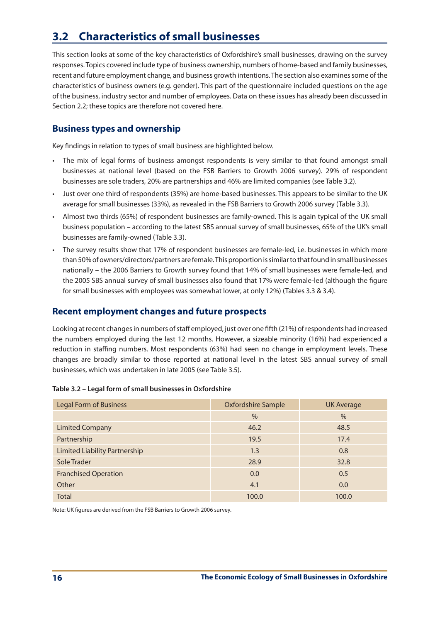# **3.2 Characteristics of small businesses**

This section looks at some of the key characteristics of Oxfordshire's small businesses, drawing on the survey responses. Topics covered include type of business ownership, numbers of home-based and family businesses, recent and future employment change, and business growth intentions. The section also examines some of the characteristics of business owners (e.g. gender). This part of the questionnaire included questions on the age of the business, industry sector and number of employees. Data on these issues has already been discussed in Section 2.2; these topics are therefore not covered here.

# **Business types and ownership**

Key findings in relation to types of small business are highlighted below.

- The mix of legal forms of business amongst respondents is very similar to that found amongst small businesses at national level (based on the FSB Barriers to Growth 2006 survey). 29% of respondent businesses are sole traders, 20% are partnerships and 46% are limited companies (see Table 3.2).
- • Just over one third of respondents (35%) are home-based businesses. This appears to be similar to the UK average for small businesses (33%), as revealed in the FSB Barriers to Growth 2006 survey (Table 3.3).
- • Almost two thirds (65%) of respondent businesses are family-owned. This is again typical of the UK small business population – according to the latest SBS annual survey of small businesses, 65% of the UK's small businesses are family-owned (Table 3.3).
- The survey results show that 17% of respondent businesses are female-led, i.e. businesses in which more than 50% of owners/directors/partners are female. This proportion is similar to that found in small businesses nationally – the 2006 Barriers to Growth survey found that 14% of small businesses were female-led, and the 2005 SBS annual survey of small businesses also found that 17% were female-led (although the figure for small businesses with employees was somewhat lower, at only 12%) (Tables 3.3 & 3.4).

# **Recent employment changes and future prospects**

Looking at recent changes in numbers of staff employed, just over one fifth (21%) of respondents had increased the numbers employed during the last 12 months. However, a sizeable minority (16%) had experienced a reduction in staffing numbers. Most respondents (63%) had seen no change in employment levels. These changes are broadly similar to those reported at national level in the latest SBS annual survey of small businesses, which was undertaken in late 2005 (see Table 3.5).

| <b>Legal Form of Business</b>        | <b>Oxfordshire Sample</b> | <b>UK Average</b> |
|--------------------------------------|---------------------------|-------------------|
|                                      | $\frac{0}{0}$             | $\frac{0}{0}$     |
| <b>Limited Company</b>               | 46.2                      | 48.5              |
| Partnership                          | 19.5                      | 17.4              |
| <b>Limited Liability Partnership</b> | 1.3                       | 0.8               |
| Sole Trader                          | 28.9                      | 32.8              |
| <b>Franchised Operation</b>          | 0.0                       | 0.5               |
| Other                                | 4.1                       | 0.0               |
| <b>Total</b>                         | 100.0                     | 100.0             |

## **Table 3.2 – Legal form of small businesses in Oxfordshire**

Note: UK figures are derived from the FSB Barriers to Growth 2006 survey.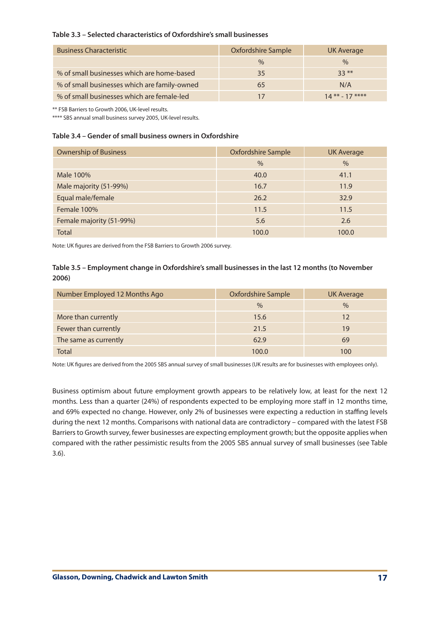## **Table 3.3 – Selected characteristics of Oxfordshire's small businesses**

| <b>Business Characteristic</b>               | <b>Oxfordshire Sample</b> | UK Average      |
|----------------------------------------------|---------------------------|-----------------|
|                                              | $\frac{0}{0}$             | $\%$            |
| % of small businesses which are home-based   | 35                        | $33**$          |
| % of small businesses which are family-owned | 65                        | N/A             |
| % of small businesses which are female-led   |                           | $14*** - 17***$ |

\*\* FSB Barriers to Growth 2006, UK-level results.

\*\*\*\* SBS annual small business survey 2005, UK-level results.

#### **Table 3.4 – Gender of small business owners in Oxfordshire**

| <b>Ownership of Business</b> | <b>Oxfordshire Sample</b> | <b>UK Average</b> |
|------------------------------|---------------------------|-------------------|
|                              | $\%$                      | $\frac{0}{0}$     |
| Male 100%                    | 40.0                      | 41.1              |
| Male majority (51-99%)       | 16.7                      | 11.9              |
| Equal male/female            | 26.2                      | 32.9              |
| Female 100%                  | 11.5                      | 11.5              |
| Female majority (51-99%)     | 5.6                       | 2.6               |
| <b>Total</b>                 | 100.0                     | 100.0             |

Note: UK figures are derived from the FSB Barriers to Growth 2006 survey.

## **Table 3.5 – Employment change in Oxfordshire's small businesses in the last 12 months (to November 2006)**

| Number Employed 12 Months Ago | Oxfordshire Sample | UK Average |
|-------------------------------|--------------------|------------|
|                               | $\%$               | $\%$       |
| More than currently           | 15.6               | 12         |
| Fewer than currently          | 21.5               | 19         |
| The same as currently         | 62.9               | 69         |
| <b>Total</b>                  | 100.0              | LOO        |

Note: UK figures are derived from the 2005 SBS annual survey of small businesses (UK results are for businesses with employees only).

Business optimism about future employment growth appears to be relatively low, at least for the next 12 months. Less than a quarter (24%) of respondents expected to be employing more staff in 12 months time, and 69% expected no change. However, only 2% of businesses were expecting a reduction in staffing levels during the next 12 months. Comparisons with national data are contradictory – compared with the latest FSB Barriers to Growth survey, fewer businesses are expecting employment growth; but the opposite applies when compared with the rather pessimistic results from the 2005 SBS annual survey of small businesses (see Table 3.6).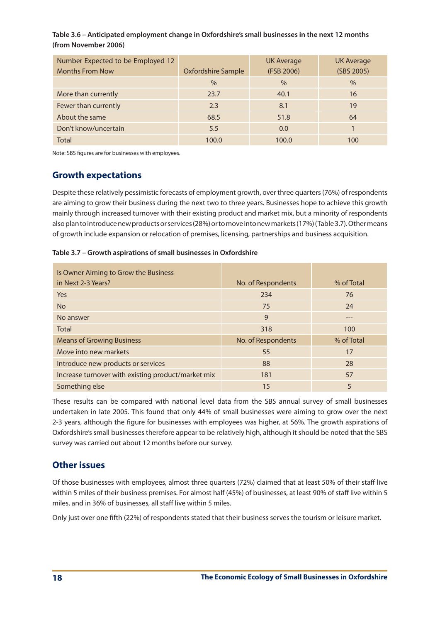**Table 3.6 – Anticipated employment change in Oxfordshire's small businesses in the next 12 months (from November 2006)**

| Number Expected to be Employed 12<br><b>Months From Now</b> | <b>Oxfordshire Sample</b> | <b>UK Average</b><br>(FSB 2006) | <b>UK Average</b><br>(SBS 2005) |
|-------------------------------------------------------------|---------------------------|---------------------------------|---------------------------------|
|                                                             |                           |                                 |                                 |
|                                                             | $\%$                      | $\frac{0}{0}$                   | $\%$                            |
| More than currently                                         | 23.7                      | 40.1                            | 16                              |
| Fewer than currently                                        | 2.3                       | 8.1                             | 19                              |
| About the same                                              | 68.5                      | 51.8                            | 64                              |
| Don't know/uncertain                                        | 5.5                       | 0.0                             |                                 |
| <b>Total</b>                                                | 100.0                     | 100.0                           | 100                             |

Note: SBS figures are for businesses with employees.

# **Growth expectations**

Despite these relatively pessimistic forecasts of employment growth, over three quarters(76%) of respondents are aiming to grow their business during the next two to three years. Businesses hope to achieve this growth mainly through increased turnover with their existing product and market mix, but a minority of respondents also plan to introduce new products or services (28%) or to move into new markets (17%) (Table 3.7). Other means of growth include expansion or relocation of premises, licensing, partnerships and business acquisition.

| Is Owner Aiming to Grow the Business               |                    |            |
|----------------------------------------------------|--------------------|------------|
| in Next 2-3 Years?                                 | No. of Respondents | % of Total |
| <b>Yes</b>                                         | 234                | 76         |
| <b>No</b>                                          | 75                 | 24         |
| No answer                                          | 9                  | ---        |
| Total                                              | 318                | 100        |
| <b>Means of Growing Business</b>                   | No. of Respondents | % of Total |
| Move into new markets                              | 55                 | 17         |
| Introduce new products or services                 | 88                 | 28         |
| Increase turnover with existing product/market mix | 181                | 57         |
| Something else                                     | 15                 | 5          |

These results can be compared with national level data from the SBS annual survey of small businesses undertaken in late 2005. This found that only 44% of small businesses were aiming to grow over the next 2-3 years, although the figure for businesses with employees was higher, at 56%. The growth aspirations of Oxfordshire's small businesses therefore appear to be relatively high, although it should be noted that the SBS survey was carried out about 12 months before our survey.

# **Other issues**

Of those businesses with employees, almost three quarters (72%) claimed that at least 50% of their staff live within 5 miles of their business premises. For almost half (45%) of businesses, at least 90% of staff live within 5 miles, and in 36% of businesses, all staff live within 5 miles.

Only just over one fifth (22%) of respondents stated that their business serves the tourism or leisure market.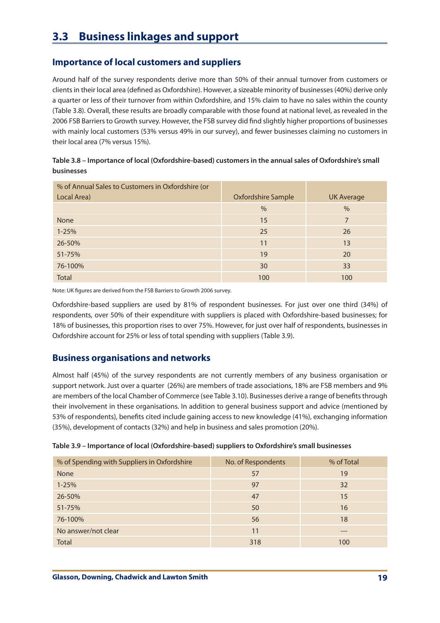# **3.3 Business linkages and support**

# **Importance of local customers and suppliers**

Around half of the survey respondents derive more than 50% of their annual turnover from customers or clients in their local area (defined as Oxfordshire). However, a sizeable minority of businesses (40%) derive only a quarter or less of their turnover from within Oxfordshire, and 15% claim to have no sales within the county (Table 3.8). Overall, these results are broadly comparable with those found at national level, as revealed in the 2006 FSB Barriersto Growth survey. However, the FSB survey did find slightly higher proportions of businesses with mainly local customers (53% versus 49% in our survey), and fewer businesses claiming no customers in their local area (7% versus 15%).

| Table 3.8 – Importance of local (Oxfordshire-based) customers in the annual sales of Oxfordshire's small |
|----------------------------------------------------------------------------------------------------------|
| <b>businesses</b>                                                                                        |

| % of Annual Sales to Customers in Oxfordshire (or |                           |                   |
|---------------------------------------------------|---------------------------|-------------------|
| Local Area)                                       | <b>Oxfordshire Sample</b> | <b>UK Average</b> |
|                                                   | $\%$                      | $\%$              |
| <b>None</b>                                       | 15                        | 7                 |
| $1 - 25%$                                         | 25                        | 26                |
| 26-50%                                            | 11                        | 13                |
| 51-75%                                            | 19                        | 20                |
| 76-100%                                           | 30                        | 33                |
| <b>Total</b>                                      | 100                       | 100               |

Note: UK figures are derived from the FSB Barriers to Growth 2006 survey.

Oxfordshire-based suppliers are used by 81% of respondent businesses. For just over one third (34%) of respondents, over 50% of their expenditure with suppliers is placed with Oxfordshire-based businesses; for 18% of businesses, this proportion rises to over 75%. However, for just over half of respondents, businesses in Oxfordshire account for 25% or less of total spending with suppliers (Table 3.9).

# **Business organisations and networks**

Almost half (45%) of the survey respondents are not currently members of any business organisation or support network. Just over a quarter (26%) are members of trade associations, 18% are FSB members and 9% are members of the local Chamber of Commerce (see Table 3.10). Businesses derive a range of benefitsthrough their involvement in these organisations. In addition to general business support and advice (mentioned by 53% of respondents), benefits cited include gaining access to new knowledge (41%), exchanging information (35%), development of contacts (32%) and help in business and sales promotion (20%).

| % of Spending with Suppliers in Oxfordshire | No. of Respondents | % of Total |
|---------------------------------------------|--------------------|------------|
| <b>None</b>                                 | 57                 | 19         |
| $1 - 25%$                                   | 97                 | 32         |
| 26-50%                                      | 47                 | 15         |
| $51 - 75%$                                  | 50                 | 16         |
| 76-100%                                     | 56                 | 18         |
| No answer/not clear                         | 11                 | $---$      |
| <b>Total</b>                                | 318                | 100        |

**Table 3.9 – Importance of local (Oxfordshire-based) suppliers to Oxfordshire's small businesses**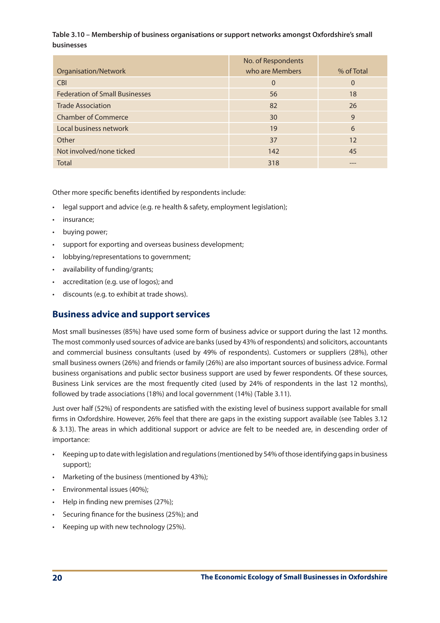## **Table 3.10 – Membership of business organisations or support networks amongst Oxfordshire's small businesses**

|                                       | No. of Respondents |            |
|---------------------------------------|--------------------|------------|
| Organisation/Network                  | who are Members    | % of Total |
| <b>CBI</b>                            | $\Omega$           | $\Omega$   |
| <b>Federation of Small Businesses</b> | 56                 | 18         |
| <b>Trade Association</b>              | 82                 | 26         |
| <b>Chamber of Commerce</b>            | 30                 | 9          |
| Local business network                | 19                 | 6          |
| Other                                 | 37                 | 12         |
| Not involved/none ticked              | 142                | 45         |
| <b>Total</b>                          | 318                | ---        |

Other more specific benefits identified by respondents include:

- legal support and advice (e.g. re health & safety, employment legislation);
- insurance;
- buying power;
- support for exporting and overseas business development;
- lobbying/representations to government;
- availability of funding/grants;
- accreditation (e.g. use of logos); and
- discounts (e.g. to exhibit at trade shows).

# **Business advice and support services**

Most small businesses (85%) have used some form of business advice or support during the last 12 months. The most commonly used sources of advice are banks(used by 43% of respondents) and solicitors, accountants and commercial business consultants (used by 49% of respondents). Customers or suppliers (28%), other small business owners (26%) and friends or family (26%) are also important sources of business advice. Formal business organisations and public sector business support are used by fewer respondents. Of these sources, Business Link services are the most frequently cited (used by 24% of respondents in the last 12 months), followed by trade associations (18%) and local government (14%) (Table 3.11).

Just over half (52%) of respondents are satisfied with the existing level of business support available for small firms in Oxfordshire. However, 26% feel that there are gaps in the existing support available (see Tables 3.12 & 3.13). The areas in which additional support or advice are felt to be needed are, in descending order of importance:

- Keeping up to date with legislation and regulations (mentioned by 54% of those identifying gaps in business support);
- Marketing of the business (mentioned by 43%);
- • Environmental issues (40%);
- • Help in finding new premises (27%);
- Securing finance for the business (25%); and
- Keeping up with new technology (25%).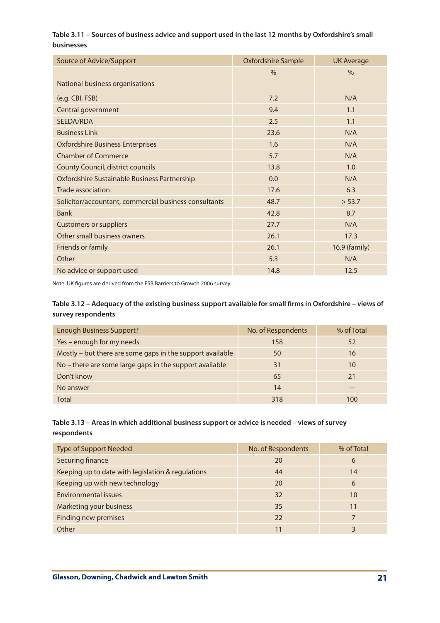## **Table 3.11 – Sources of business advice and support used in the last 12 months by Oxfordshire's small businesses**

| Source of Advice/Support                              | <b>Oxfordshire Sample</b> | <b>UK Average</b> |
|-------------------------------------------------------|---------------------------|-------------------|
|                                                       | $\frac{0}{0}$             | $\%$              |
| National business organisations                       |                           |                   |
| (e.g. CBI, FSB)                                       | 7.2                       | N/A               |
| Central government                                    | 9.4                       | 1.1               |
| SEEDA/RDA                                             | 2.5                       | 1.1               |
| <b>Business Link</b>                                  | 23.6                      | N/A               |
| <b>Oxfordshire Business Enterprises</b>               | 1.6                       | N/A               |
| <b>Chamber of Commerce</b>                            | 5.7                       | N/A               |
| <b>County Council, district councils</b>              | 13.8                      | 1.0               |
| Oxfordshire Sustainable Business Partnership          | 0.0                       | N/A               |
| <b>Trade association</b>                              | 17.6                      | 6.3               |
| Solicitor/accountant, commercial business consultants | 48.7                      | > 53.7            |
| <b>Bank</b>                                           | 42.8                      | 8.7               |
| <b>Customers or suppliers</b>                         | 27.7                      | N/A               |
| Other small business owners                           | 26.1                      | 17.3              |
| Friends or family                                     | 26.1                      | 16.9 (family)     |
| Other                                                 | 5.3                       | N/A               |
| No advice or support used                             | 14.8                      | 12.5              |

Note: UK figures are derived from the FSB Barriers to Growth 2006 survey.

## **Table 3.12 – Adequacy of the existing business support available for small firms in Oxfordshire – views of survey respondents**

| <b>Enough Business Support?</b>                           | No. of Respondents | % of Total |
|-----------------------------------------------------------|--------------------|------------|
| Yes – enough for my needs                                 | 158                | 52         |
| Mostly - but there are some gaps in the support available | 50                 | 16         |
| No - there are some large gaps in the support available   | 31                 | 10         |
| Don't know                                                | 65                 | 21         |
| No answer                                                 | 14                 | ---        |
| <b>Total</b>                                              | 318                | 100        |

## **Table 3.13 – Areas in which additional business support or advice is needed – views of survey respondents**

| <b>Type of Support Needed</b>                     | No. of Respondents | % of Total |
|---------------------------------------------------|--------------------|------------|
| Securing finance                                  | 20                 | 6          |
| Keeping up to date with legislation & regulations | 44                 | 14         |
| Keeping up with new technology                    | 20                 | 6          |
| Environmental issues                              | 32                 | 10         |
| Marketing your business                           | 35                 | 11         |
| <b>Finding new premises</b>                       | 22                 |            |
| Other                                             | 11                 |            |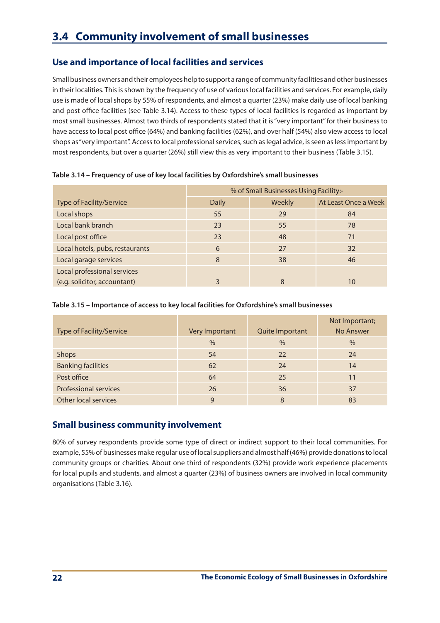# **3.4 Community involvement of small businesses**

# **Use and importance of local facilities and services**

Small business owners and their employees help to support a range of community facilities and other businesses in their localities. This is shown by the frequency of use of various local facilities and services. For example, daily use is made of local shops by 55% of respondents, and almost a quarter (23%) make daily use of local banking and post office facilities (see Table 3.14). Access to these types of local facilities is regarded as important by most small businesses. Almost two thirds of respondents stated that it is"very important"for their business to have access to local post office (64%) and banking facilities (62%), and over half (54%) also view access to local shops as "very important". Access to local professional services, such as legal advice, is seen as less important by most respondents, but over a quarter (26%) still view this as very important to their business (Table 3.15).

|                                 | % of Small Businesses Using Facility:- |        |                      |
|---------------------------------|----------------------------------------|--------|----------------------|
| Type of Facility/Service        | <b>Daily</b>                           | Weekly | At Least Once a Week |
| Local shops                     | 55                                     | 29     | 84                   |
| Local bank branch               | 23                                     | 55     | 78                   |
| Local post office               | 23                                     | 48     | 71                   |
| Local hotels, pubs, restaurants | 6                                      | 27     | 32                   |
| Local garage services           | 8                                      | 38     | 46                   |
| Local professional services     |                                        |        |                      |
| (e.g. solicitor, accountant)    |                                        | 8      | 10                   |

**Table 3.14 – Frequency of use of key local facilities by Oxfordshire's small businesses**

## **Table 3.15 – Importance of access to key local facilities for Oxfordshire's small businesses**

| <b>Type of Facility/Service</b> | Very Important | Quite Important | Not Important;<br>No Answer |
|---------------------------------|----------------|-----------------|-----------------------------|
|                                 | $\%$           | $\frac{0}{0}$   | $\%$                        |
| Shops                           | 54             | 22              | 24                          |
| <b>Banking facilities</b>       | 62             | 24              | 14                          |
| Post office                     | 64             | 25              | 11                          |
| <b>Professional services</b>    | 26             | 36              | 37                          |
| Other local services            | 9              | 8               | 83                          |

# **Small business community involvement**

80% of survey respondents provide some type of direct or indirect support to their local communities. For example, 55%of businesses make regular use of localsuppliers and almost half (46%) provide donationsto local community groups or charities. About one third of respondents (32%) provide work experience placements for local pupils and students, and almost a quarter (23%) of business owners are involved in local community organisations (Table 3.16).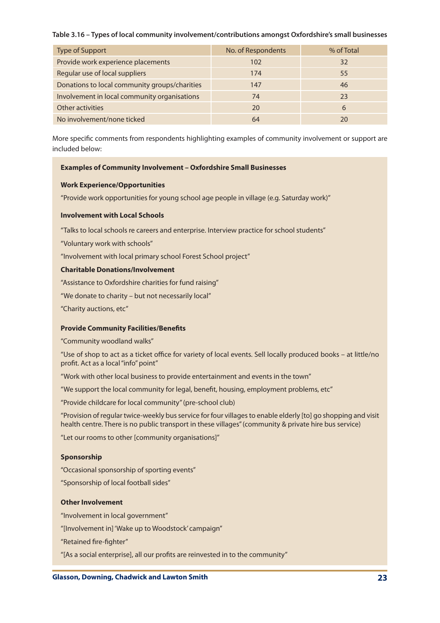### **Table 3.16 – Types of local community involvement/contributions amongst Oxfordshire's small businesses**

| <b>Type of Support</b>                        | No. of Respondents | % of Total |
|-----------------------------------------------|--------------------|------------|
| Provide work experience placements            | 102                | 32         |
| Regular use of local suppliers                | 174                | 55         |
| Donations to local community groups/charities | 147                | 46         |
| Involvement in local community organisations  | 74                 | 23         |
| Other activities                              | 20                 | 6          |
| No involvement/none ticked                    | 64                 | 20         |

More specific comments from respondents highlighting examples of community involvement or support are included below:

### **Examples of Community Involvement – Oxfordshire Small Businesses**

### **Work Experience/Opportunities**

"Provide work opportunities for young school age people in village (e.g. Saturday work)"

### **Involvement with Local Schools**

"Talks to local schools re careers and enterprise. Interview practice for school students"

"Voluntary work with schools"

"Involvement with local primary school Forest School project"

### **Charitable Donations/Involvement**

"Assistance to Oxfordshire charities for fund raising"

"We donate to charity – but not necessarily local"

"Charity auctions, etc"

## **Provide Community Facilities/Benefits**

"Community woodland walks"

"Use of shop to act as a ticket office for variety of local events. Sell locally produced books – at little/no profit. Act as a local "info" point"

"Work with other local business to provide entertainment and events in the town"

"We support the local community for legal, benefit, housing, employment problems, etc"

"Provide childcare for local community"(pre-school club)

"Provision of regular twice-weekly busservice for four villagesto enable elderly [to] go shopping and visit health centre. There is no public transport in these villages"(community & private hire bus service)

"Let our rooms to other [community organisations]"

## **Sponsorship**

"Occasional sponsorship of sporting events"

"Sponsorship of local football sides"

### **Other Involvement**

"Involvement in local government"

"[Involvement in]'Wake up to Woodstock' campaign"

"Retained fire-fighter"

"[As a social enterprise], all our profits are reinvested in to the community"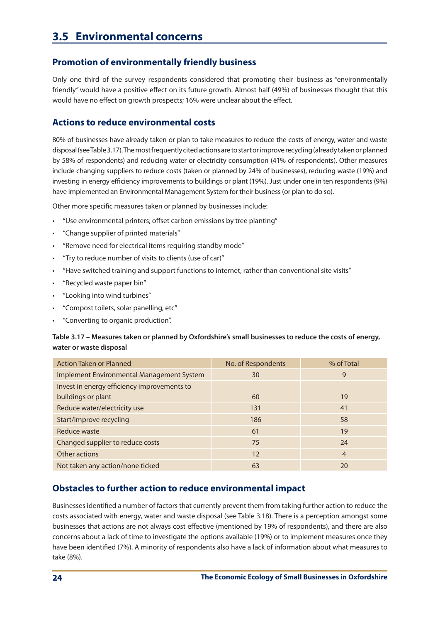# **3.5 Environmental concerns**

## **Promotion of environmentally friendly business**

Only one third of the survey respondents considered that promoting their business as "environmentally friendly" would have a positive effect on its future growth. Almost half (49%) of businesses thought that this would have no effect on growth prospects; 16% were unclear about the effect.

## **Actions to reduce environmental costs**

80% of businesses have already taken or plan to take measures to reduce the costs of energy, water and waste disposal(seeTable3.17).Themostfrequentlycitedactionsaretostartorimproverecycling(alreadytakenorplanned by 58% of respondents) and reducing water or electricity consumption (41% of respondents). Other measures include changing suppliers to reduce costs (taken or planned by 24% of businesses), reducing waste (19%) and investing in energy efficiency improvements to buildings or plant (19%). Just under one in ten respondents (9%) have implemented an Environmental Management System for their business (or plan to do so).

Other more specific measures taken or planned by businesses include:

- "Use environmental printers; offset carbon emissions by tree planting"
- • "Change supplier of printed materials"
- "Remove need for electrical items requiring standby mode"
- "Try to reduce number of visits to clients (use of car)"
- • "Have switched training and support functions to internet, rather than conventional site visits"
- "Recycled waste paper bin"
- "Looking into wind turbines"
- "Compost toilets, solar panelling, etc"
- "Converting to organic production".

**Table 3.17 – Measures taken or planned by Oxfordshire's small businesses to reduce the costs of energy, water or waste disposal**

| Action Taken or Planned                          | No. of Respondents | % of Total     |
|--------------------------------------------------|--------------------|----------------|
| <b>Implement Environmental Management System</b> | 30                 | 9              |
| Invest in energy efficiency improvements to      |                    |                |
| buildings or plant                               | 60                 | 19             |
| Reduce water/electricity use                     | 131                | 41             |
| Start/improve recycling                          | 186                | 58             |
| Reduce waste                                     | 61                 | 19             |
| Changed supplier to reduce costs                 | 75                 | 24             |
| Other actions                                    | 12                 | $\overline{4}$ |
| Not taken any action/none ticked                 | 63                 | 20             |

# **Obstacles to further action to reduce environmental impact**

Businesses identified a number of factors that currently prevent them from taking further action to reduce the costs associated with energy, water and waste disposal (see Table 3.18). There is a perception amongst some businesses that actions are not always cost effective (mentioned by 19% of respondents), and there are also concerns about a lack of time to investigate the options available (19%) or to implement measures once they have been identified (7%). A minority of respondents also have a lack of information about what measures to take (8%).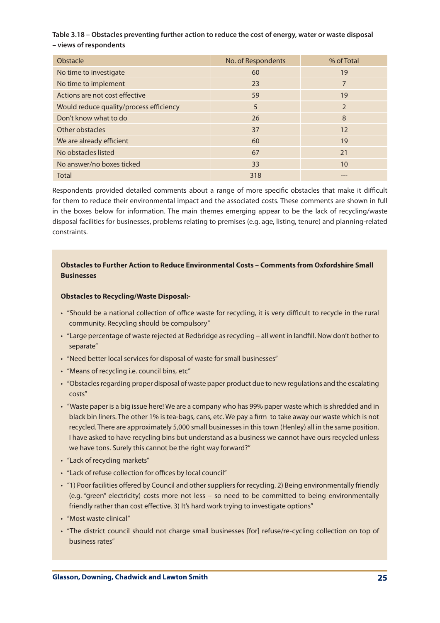## **Table 3.18 – Obstacles preventing further action to reduce the cost of energy, water or waste disposal – views of respondents**

| Obstacle                                | No. of Respondents | % of Total |
|-----------------------------------------|--------------------|------------|
| No time to investigate                  | 60                 | 19         |
| No time to implement                    | 23                 | 7          |
| Actions are not cost effective          | 59                 | 19         |
| Would reduce quality/process efficiency | 5                  | 2          |
| Don't know what to do                   | 26                 | 8          |
| Other obstacles                         | 37                 | 12         |
| We are already efficient                | 60                 | 19         |
| No obstacles listed                     | 67                 | 21         |
| No answer/no boxes ticked               | 33                 | 10         |
| <b>Total</b>                            | 318                |            |

Respondents provided detailed comments about a range of more specific obstacles that make it difficult for them to reduce their environmental impact and the associated costs. These comments are shown in full in the boxes below for information. The main themes emerging appear to be the lack of recycling/waste disposal facilities for businesses, problems relating to premises (e.g. age, listing, tenure) and planning-related constraints.

## **Obstacles to Further Action to Reduce Environmental Costs – Comments from Oxfordshire Small Businesses**

### **Obstacles to Recycling/Waste Disposal:-**

- • "Should be a national collection of office waste for recycling, it is very difficult to recycle in the rural community. Recycling should be compulsory"
- • "Large percentage of waste rejected at Redbridge asrecycling all went in landfill. Now don't bother to separate"
- "Need better local services for disposal of waste for small businesses"
- "Means of recycling i.e. council bins, etc"
- "Obstacles regarding proper disposal of waste paper product due to new regulations and the escalating costs"
- "Waste paper is a big issue here! We are a company who has 99% paper waste which is shredded and in black bin liners. The other 1% is tea-bags, cans, etc. We pay a firm to take away our waste which is not recycled. There are approximately 5,000 small businesses in this town (Henley) all in the same position. I have asked to have recycling bins but understand as a business we cannot have ours recycled unless we have tons. Surely this cannot be the right way forward?"
- "Lack of recycling markets"
- • "Lack of refuse collection for offices by local council"
- "1) Poor facilities offered by Council and other suppliers for recycling. 2) Being environmentally friendly (e.g. "green" electricity) costs more not less – so need to be committed to being environmentally friendly rather than cost effective. 3) It's hard work trying to investigate options"
- "Most waste clinical"
- • "The district council should not charge small businesses [for] refuse/re-cycling collection on top of business rates"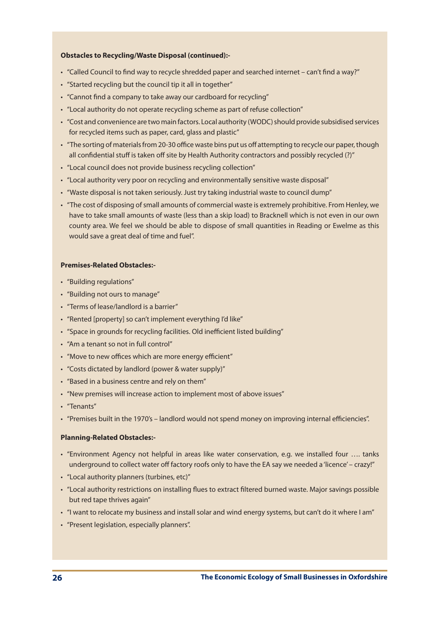### **Obstacles to Recycling/Waste Disposal (continued):-**

- "Called Council to find way to recycle shredded paper and searched internet can't find a way?"
- "Started recycling but the council tip it all in together"
- "Cannot find a company to take away our cardboard for recycling"
- "Local authority do not operate recycling scheme as part of refuse collection"
- "Cost and convenience are two main factors. Local authority (WODC) should provide subsidised services for recycled items such as paper, card, glass and plastic"
- "The sorting of materials from 20-30 office waste bins put us off attempting to recycle our paper, though all confidential stuff is taken off site by Health Authority contractors and possibly recycled (?)"
- "Local council does not provide business recycling collection"
- "Local authority very poor on recycling and environmentally sensitive waste disposal"
- "Waste disposal is not taken seriously. Just try taking industrial waste to council dump"
- • "The cost of disposing ofsmall amounts of commercial waste is extremely prohibitive. From Henley, we have to take small amounts of waste (less than a skip load) to Bracknell which is not even in our own county area. We feel we should be able to dispose of small quantities in Reading or Ewelme as this would save a great deal of time and fuel".

### **Premises-Related Obstacles:-**

- • "Building regulations"
- "Building not ours to manage"
- • "Terms of lease/landlord is a barrier"
- "Rented [property] so can't implement everything I'd like"
- "Space in grounds for recycling facilities. Old inefficient listed building"
- • "Am a tenant so not in full control"
- "Move to new offices which are more energy efficient"
- • "Costs dictated by landlord (power & water supply)"
- "Based in a business centre and rely on them"
- "New premises will increase action to implement most of above issues"
- "Tenants"
- • "Premises built in the 1970's landlord would not spend money on improving internal efficiencies".

### **Planning-Related Obstacles:-**

- • "Environment Agency not helpful in areas like water conservation, e.g. we installed four …. tanks underground to collect water off factory roofs only to have the EA say we needed a 'licence' – crazy!"
- • "Local authority planners (turbines, etc)"
- • "Local authority restrictions on installing flues to extract filtered burned waste. Major savings possible but red tape thrives again"
- "I want to relocate my business and install solar and wind energy systems, but can't do it where I am"
- • "Present legislation, especially planners".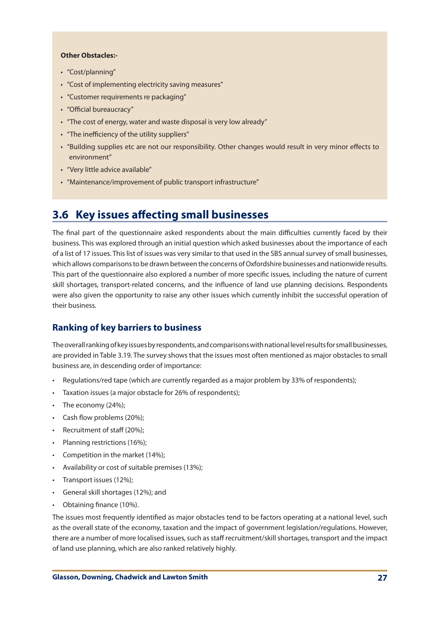## **Other Obstacles:-**

- "Cost/planning"
- "Cost of implementing electricity saving measures"
- • "Customer requirements re packaging"
- • "Official bureaucracy"
- "The cost of energy, water and waste disposal is very low already"
- "The inefficiency of the utility suppliers"
- • "Building supplies etc are not our responsibility. Other changes would result in very minor effects to environment"
- "Very little advice available"
- • "Maintenance/improvement of public transport infrastructure"

# **3.6 Key issues affecting small businesses**

The final part of the questionnaire asked respondents about the main difficulties currently faced by their business. This was explored through an initial question which asked businesses about the importance of each of a list of 17 issues. Thislist of issues was very similar to that used in the SBS annualsurvey ofsmall businesses, which allows comparisons to be drawn between the concerns of Oxfordshire businesses and nationwide results. This part of the questionnaire also explored a number of more specific issues, including the nature of current skill shortages, transport-related concerns, and the influence of land use planning decisions. Respondents were also given the opportunity to raise any other issues which currently inhibit the successful operation of their business.

## **Ranking of key barriers to business**

Theoverallrankingofkeyissuesbyrespondents,andcomparisonswithnationallevelresultsforsmallbusinesses, are provided in Table 3.19. The survey shows that the issues most often mentioned as major obstacles to small business are, in descending order of importance:

- Regulations/red tape (which are currently regarded as a major problem by 33% of respondents);
- Taxation issues (a major obstacle for 26% of respondents);
- The economy (24%);
- • Cash flow problems (20%);
- Recruitment of staff (20%);
- • Planning restrictions (16%);
- • Competition in the market (14%);
- • Availability or cost of suitable premises (13%);
- Transport issues (12%);
- General skill shortages (12%); and
- Obtaining finance (10%).

The issues most frequently identified as major obstacles tend to be factors operating at a national level, such as the overall state of the economy, taxation and the impact of government legislation/regulations. However, there are a number of more localised issues, such as staff recruitment/skill shortages, transport and the impact of land use planning, which are also ranked relatively highly.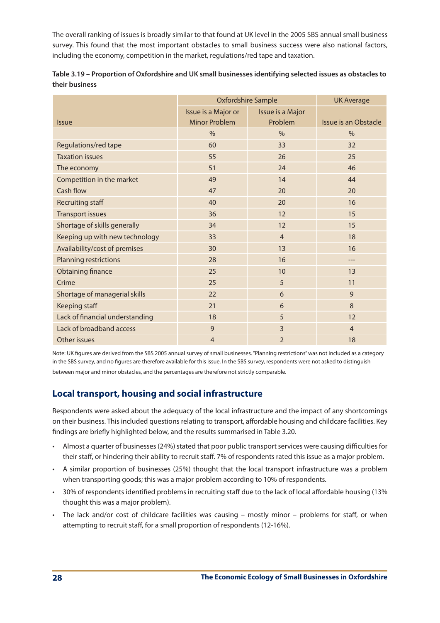The overall ranking of issues is broadly similar to that found at UK level in the 2005 SBS annual small business survey. This found that the most important obstacles to small business success were also national factors, including the economy, competition in the market, regulations/red tape and taxation.

|                                 | Oxfordshire Sample   | <b>UK Average</b> |                             |
|---------------------------------|----------------------|-------------------|-----------------------------|
|                                 | Issue is a Major or  | Issue is a Major  |                             |
| <i><u><b>Issue</b></u></i>      | <b>Minor Problem</b> | Problem           | <b>Issue is an Obstacle</b> |
|                                 | $\%$                 | $\frac{0}{0}$     | $\%$                        |
| Regulations/red tape            | 60                   | 33                | 32                          |
| <b>Taxation issues</b>          | 55                   | 26                | 25                          |
| The economy                     | 51                   | 24                | 46                          |
| Competition in the market       | 49                   | 14                | 44                          |
| Cash flow                       | 47                   | 20                | 20                          |
| Recruiting staff                | 40                   | 20                | 16                          |
| <b>Transport issues</b>         | 36                   | 12                | 15                          |
| Shortage of skills generally    | 34                   | 12                | 15                          |
| Keeping up with new technology  | 33                   | $\overline{4}$    | 18                          |
| Availability/cost of premises   | 30                   | 13                | 16                          |
| <b>Planning restrictions</b>    | 28                   | 16                |                             |
| <b>Obtaining finance</b>        | 25                   | 10                | 13                          |
| Crime                           | 25                   | 5                 | 11                          |
| Shortage of managerial skills   | 22                   | 6                 | 9                           |
| Keeping staff                   | 21                   | 6                 | 8                           |
| Lack of financial understanding | 18                   | 5                 | 12                          |
| Lack of broadband access        | 9                    | $\overline{3}$    | $\overline{4}$              |
| Other issues                    | $\overline{4}$       | $\overline{2}$    | 18                          |

| Table 3.19 – Proportion of Oxfordshire and UK small businesses identifying selected issues as obstacles to |
|------------------------------------------------------------------------------------------------------------|
| their business                                                                                             |

Note: UK figures are derived from the SBS 2005 annual survey of small businesses."Planning restrictions"was not included as a category in the SBS survey, and no figures are therefore available for this issue. In the SBS survey, respondents were not asked to distinguish between major and minor obstacles, and the percentages are therefore not strictly comparable.

# **Local transport, housing and social infrastructure**

Respondents were asked about the adequacy of the local infrastructure and the impact of any shortcomings on their business. This included questions relating to transport, affordable housing and childcare facilities. Key findings are briefly highlighted below, and the results summarised in Table 3.20.

- Almost a quarter of businesses (24%) stated that poor public transport services were causing difficulties for their staff, or hindering their ability to recruit staff. 7% of respondents rated this issue as a major problem.
- • A similar proportion of businesses (25%) thought that the local transport infrastructure was a problem when transporting goods; this was a major problem according to 10% of respondents.
- • 30% of respondents identified problems in recruiting staff due to the lack of local affordable housing (13% thought this was a major problem).
- The lack and/or cost of childcare facilities was causing mostly minor problems for staff, or when attempting to recruit staff, for a small proportion of respondents (12-16%).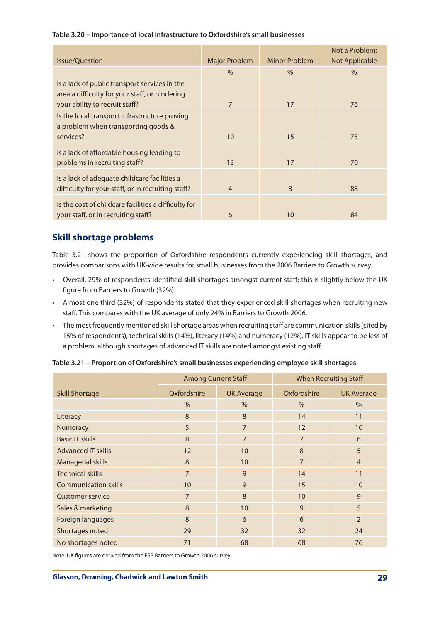## **Table 3.20 – Importance of local infrastructure to Oxfordshire's small businesses**

| <b>Issue/Question</b>                                                                                                             | <b>Major Problem</b> | Minor Problem | Not a Problem;<br><b>Not Applicable</b> |
|-----------------------------------------------------------------------------------------------------------------------------------|----------------------|---------------|-----------------------------------------|
|                                                                                                                                   | $\%$                 | $\%$          | $\%$                                    |
| Is a lack of public transport services in the<br>area a difficulty for your staff, or hindering<br>your ability to recruit staff? | $\overline{7}$       | 17            | 76                                      |
| Is the local transport infrastructure proving<br>a problem when transporting goods &<br>services?                                 | 10                   | 15            | 75                                      |
| Is a lack of affordable housing leading to<br>problems in recruiting staff?                                                       | 13                   | 17            | 70                                      |
| Is a lack of adequate childcare facilities a<br>difficulty for your staff, or in recruiting staff?                                | $\overline{4}$       | 8             | 88                                      |
| Is the cost of childcare facilities a difficulty for<br>your staff, or in recruiting staff?                                       | 6                    | 10            | 84                                      |

# **Skill shortage problems**

Table 3.21 shows the proportion of Oxfordshire respondents currently experiencing skill shortages, and provides comparisons with UK-wide results for small businesses from the 2006 Barriers to Growth survey.

- • Overall, 29% of respondents identified skill shortages amongst current staff; this is slightly below the UK figure from Barriers to Growth (32%).
- • Almost one third (32%) of respondents stated that they experienced skill shortages when recruiting new staff. This compares with the UK average of only 24% in Barriers to Growth 2006.
- The most frequently mentioned skill shortage areas when recruiting staff are communication skills (cited by 15% of respondents), technical skills (14%), literacy (14%) and numeracy (12%). IT skills appear to be less of a problem, although shortages of advanced IT skills are noted amongst existing staff.

|                             | <b>Among Current Staff</b> |                   | <b>When Recruiting Staff</b> |                   |
|-----------------------------|----------------------------|-------------------|------------------------------|-------------------|
| <b>Skill Shortage</b>       | Oxfordshire                | <b>UK Average</b> | Oxfordshire                  | <b>UK Average</b> |
|                             | $\frac{0}{0}$              | $\frac{0}{0}$     | $\frac{0}{0}$                | $\frac{0}{0}$     |
| Literacy                    | 8                          | 8                 | 14                           | 11                |
| Numeracy                    | 5                          | $\overline{7}$    | 12                           | 10                |
| <b>Basic IT skills</b>      | 8                          | $\overline{7}$    | $\overline{7}$               | 6                 |
| <b>Advanced IT skills</b>   | 12                         | 10                | 8                            | 5                 |
| Managerial skills           | 8                          | 10                | $\overline{7}$               | $\overline{4}$    |
| <b>Technical skills</b>     | $\overline{7}$             | 9                 | 14                           | 11                |
| <b>Communication skills</b> | 10                         | 9                 | 15                           | 10                |
| <b>Customer service</b>     | $\overline{7}$             | 8                 | 10                           | 9                 |
| Sales & marketing           | 8                          | 10                | 9                            | 5                 |
| Foreign languages           | 8                          | 6                 | 6                            | $\overline{2}$    |
| Shortages noted             | 29                         | 32                | 32                           | 24                |
| No shortages noted          | 71                         | 68                | 68                           | 76                |

**Table 3.21 – Proportion of Oxfordshire's small businesses experiencing employee skill shortages**

Note: UK figures are derived from the FSB Barriers to Growth 2006 survey.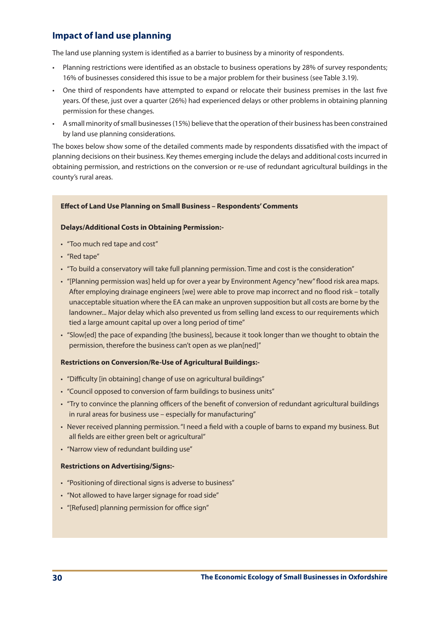# **Impact of land use planning**

The land use planning system is identified as a barrier to business by a minority of respondents.

- • Planning restrictions were identified as an obstacle to business operations by 28% of survey respondents; 16% of businesses considered this issue to be a major problem for their business (see Table 3.19).
- • One third of respondents have attempted to expand or relocate their business premises in the last five years. Of these, just over a quarter (26%) had experienced delays or other problems in obtaining planning permission for these changes.
- • A small minority ofsmall businesses(15%) believe thatthe operation oftheir business has been constrained by land use planning considerations.

The boxes below show some of the detailed comments made by respondents dissatisfied with the impact of planning decisions on their business. Key themes emerging include the delays and additional costs incurred in obtaining permission, and restrictions on the conversion or re-use of redundant agricultural buildings in the county's rural areas.

## **Effect of Land Use Planning on Small Business – Respondents' Comments**

## **Delays/Additional Costs in Obtaining Permission:-**

- "Too much red tape and cost"
- "Red tape"
- "To build a conservatory will take full planning permission. Time and cost is the consideration"
- "[Planning permission was] held up for over a year by Environment Agency "new" flood risk area maps. After employing drainage engineers [we] were able to prove map incorrect and no flood risk – totally unacceptable situation where the EA can make an unproven supposition but all costs are borne by the landowner... Major delay which also prevented us from selling land excess to our requirements which tied a large amount capital up over a long period of time"
- • "Slow[ed] the pace of expanding [the business], because it took longer than we thought to obtain the permission, therefore the business can't open as we plan[ned]"

## **Restrictions on Conversion/Re-Use of Agricultural Buildings:-**

- "Difficulty [in obtaining] change of use on agricultural buildings"
- "Council opposed to conversion of farm buildings to business units"
- "Try to convince the planning officers of the benefit of conversion of redundant agricultural buildings in rural areas for business use – especially for manufacturing"
- • Never received planning permission."I need a field with a couple of barns to expand my business. But all fields are either green belt or agricultural"
- "Narrow view of redundant building use"

## **Restrictions on Advertising/Signs:-**

- "Positioning of directional signs is adverse to business"
- "Not allowed to have larger signage for road side"
- "[Refused] planning permission for office sign"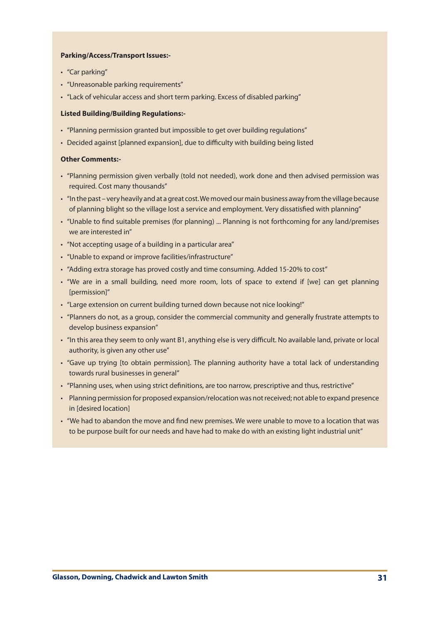### **Parking/Access/Transport Issues:-**

- "Car parking"
- • "Unreasonable parking requirements"
- "Lack of vehicular access and short term parking. Excess of disabled parking"

### **Listed Building/Building Regulations:-**

- "Planning permission granted but impossible to get over building regulations"
- Decided against [planned expansion], due to difficulty with building being listed

### **Other Comments:-**

- • "Planning permission given verbally (told not needed), work done and then advised permission was required. Cost many thousands"
- "In the past very heavily and at a great cost. We moved our main business away from the village because of planning blight so the village lost a service and employment. Very dissatisfied with planning"
- • "Unable to find suitable premises (for planning) ... Planning is not forthcoming for any land/premises we are interested in"
- "Not accepting usage of a building in a particular area"
- • "Unable to expand or improve facilities/infrastructure"
- "Adding extra storage has proved costly and time consuming. Added 15-20% to cost"
- • "We are in a small building, need more room, lots of space to extend if [we] can get planning [permission]"
- "Large extension on current building turned down because not nice looking!"
- • "Planners do not, as a group, consider the commercial community and generally frustrate attempts to develop business expansion"
- • "In this area they seem to only want B1, anything else is very difficult. No available land, private or local authority, is given any other use"
- • "Gave up trying [to obtain permission]. The planning authority have a total lack of understanding towards rural businesses in general"
- • "Planning uses, when using strict definitions, are too narrow, prescriptive and thus, restrictive"
- Planning permission for proposed expansion/relocation was not received; not able to expand presence in [desired location]
- • "We had to abandon the move and find new premises. We were unable to move to a location that was to be purpose built for our needs and have had to make do with an existing light industrial unit"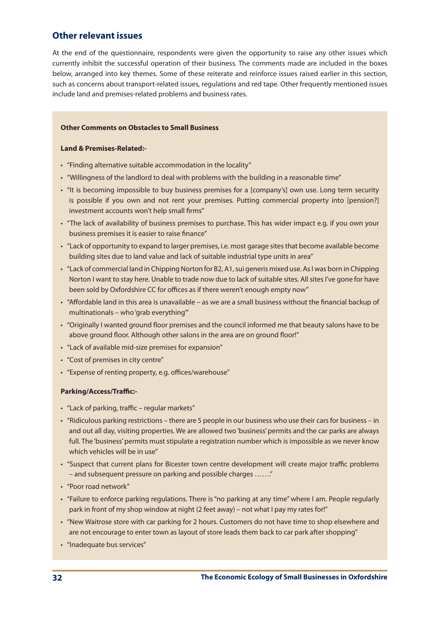# **Other relevant issues**

At the end of the questionnaire, respondents were given the opportunity to raise any other issues which currently inhibit the successful operation of their business. The comments made are included in the boxes below, arranged into key themes. Some of these reiterate and reinforce issues raised earlier in this section, such as concerns about transport-related issues, regulations and red tape. Other frequently mentioned issues include land and premises-related problems and business rates.

## **Other Comments on Obstacles to Small Business**

### **Land & Premises-Related:-**

- • "Finding alternative suitable accommodation in the locality"
- "Willingness of the landlord to deal with problems with the building in a reasonable time"
- • "It is becoming impossible to buy business premises for a [company's] own use. Long term security is possible if you own and not rent your premises. Putting commercial property into [pension?] investment accounts won't help small firms"
- • "The lack of availability of business premises to purchase. This has wider impact e.g. if you own your business premises it is easier to raise finance"
- • "Lack of opportunity to expand to larger premises, i.e. most garage sitesthat become available become building sites due to land value and lack of suitable industrial type units in area"
- "Lack of commercial land in Chipping Norton for B2, A1, sui generis mixed use. As I was born in Chipping Norton I want to stay here. Unable to trade now due to lack of suitable sites. All sites I've gone for have been sold by Oxfordshire CC for offices as if there weren't enough empty now"
- • "Affordable land in this area is unavailable as we are a small business without the financial backup of multinationals – who'grab everything'"
- • "Originally I wanted ground floor premises and the council informed me that beauty salons have to be above ground floor. Although other salons in the area are on ground floor!"
- • "Lack of available mid-size premises for expansion"
- "Cost of premises in city centre"
- • "Expense of renting property, e.g. offices/warehouse"

## **Parking/Access/Traffic:-**

- • "Lack of parking, traffic regular markets"
- "Ridiculous parking restrictions there are 5 people in our business who use their cars for business in and out all day, visiting properties. We are allowed two'business'permits and the car parks are always full. The 'business' permits must stipulate a registration number which is impossible as we never know which vehicles will be in use"
- • "Suspect that current plans for Bicester town centre development will create major traffic problems – and subsequent pressure on parking and possible charges ……."
- • "Poor road network"
- • "Failure to enforce parking regulations. There is"no parking at any time" where I am. People regularly park in front of my shop window at night (2 feet away) – not what I pay my rates for!"
- "New Waitrose store with car parking for 2 hours. Customers do not have time to shop elsewhere and are not encourage to enter town as layout of store leads them back to car park after shopping"
- "Inadequate bus services"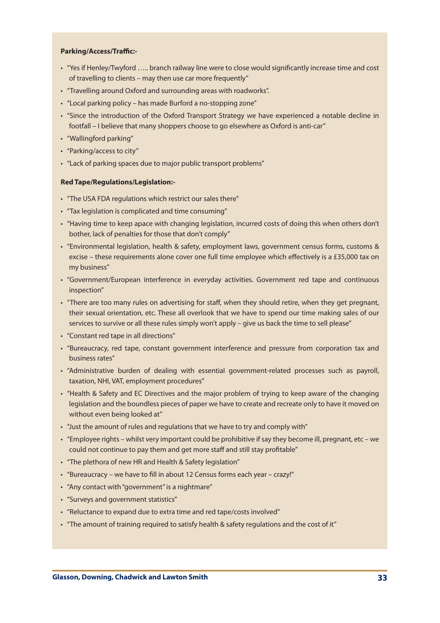### **Parking/Access/Traffic:-**

- • "Yes if Henley/Twyford ….. branch railway line were to close would significantly increase time and cost of travelling to clients – may then use car more frequently"
- "Travelling around Oxford and surrounding areas with roadworks".
- "Local parking policy has made Burford a no-stopping zone"
- • "Since the introduction of the Oxford Transport Strategy we have experienced a notable decline in footfall – I believe that many shoppers choose to go elsewhere as Oxford is anti-car"
- • "Wallingford parking"
- • "Parking/access to city"
- "Lack of parking spaces due to major public transport problems"

### **Red Tape/Regulations/Legislation:-**

- "The USA FDA regulations which restrict our sales there"
- "Tax legislation is complicated and time consuming"
- • "Having time to keep apace with changing legislation, incurred costs of doing this when others don't bother, lack of penalties for those that don't comply"
- • "Environmental legislation, health & safety, employment laws, government census forms, customs & excise – these requirements alone cover one full time employee which effectively is a £35,000 tax on my business"
- • "Government/European interference in everyday activities. Government red tape and continuous inspection"
- • "There are too many rules on advertising for staff, when they should retire, when they get pregnant, their sexual orientation, etc. These all overlook that we have to spend our time making sales of our services to survive or all these rules simply won't apply – give us back the time to sell please"
- • "Constant red tape in all directions"
- • "Bureaucracy, red tape, constant government interference and pressure from corporation tax and business rates"
- • "Administrative burden of dealing with essential government-related processes such as payroll, taxation, NHI, VAT, employment procedures"
- "Health & Safety and EC Directives and the major problem of trying to keep aware of the changing legislation and the boundless pieces of paper we have to create and recreate only to have it moved on without even being looked at"
- "Just the amount of rules and regulations that we have to try and comply with"
- "Employee rights whilst very important could be prohibitive if say they become ill, pregnant, etc we could not continue to pay them and get more staff and still stay profitable"
- "The plethora of new HR and Health & Safety legislation"
- • "Bureaucracy we have to fill in about 12 Census forms each year crazy!"
- "Any contact with "government" is a nightmare"
- • "Surveys and government statistics"
- "Reluctance to expand due to extra time and red tape/costs involved"
- "The amount of training required to satisfy health & safety regulations and the cost of it"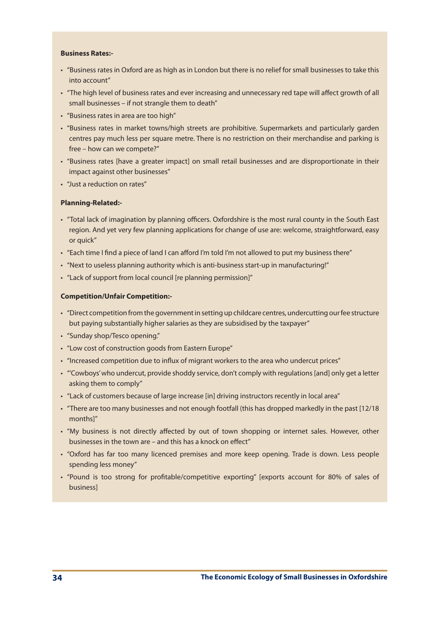### **Business Rates:-**

- • "Business rates in Oxford are as high as in London but there is no relief for small businesses to take this into account"
- • "The high level of business rates and ever increasing and unnecessary red tape will affect growth of all small businesses – if not strangle them to death"
- • "Business rates in area are too high"
- • "Business rates in market towns/high streets are prohibitive. Supermarkets and particularly garden centres pay much less per square metre. There is no restriction on their merchandise and parking is free – how can we compete?"
- • "Business rates [have a greater impact] on small retail businesses and are disproportionate in their impact against other businesses"
- "Just a reduction on rates"

#### **Planning-Related:-**

- • "Total lack of imagination by planning officers. Oxfordshire is the most rural county in the South East region. And yet very few planning applications for change of use are: welcome, straightforward, easy or quick"
- • "Each time I find a piece of land I can afford I'm told I'm not allowed to put my business there"
- "Next to useless planning authority which is anti-business start-up in manufacturing!"
- "Lack of support from local council [re planning permission]"

#### **Competition/Unfair Competition:-**

- • "Direct competition from the governmentin setting up childcare centres, undercutting ourfee structure but paying substantially higher salaries as they are subsidised by the taxpayer"
- • "Sunday shop/Tesco opening."
- "Low cost of construction goods from Eastern Europe"
- "Increased competition due to influx of migrant workers to the area who undercut prices"
- "'Cowboys' who undercut, provide shoddy service, don't comply with regulations [and] only get a letter asking them to comply"
- • "Lack of customers because of large increase [in] driving instructors recently in local area"
- • "There are too many businesses and not enough footfall (this has dropped markedly in the past [12/18 months]"
- • "My business is not directly affected by out of town shopping or internet sales. However, other businesses in the town are – and this has a knock on effect"
- • "Oxford has far too many licenced premises and more keep opening. Trade is down. Less people spending less money"
- • "Pound is too strong for profitable/competitive exporting" [exports account for 80% of sales of business]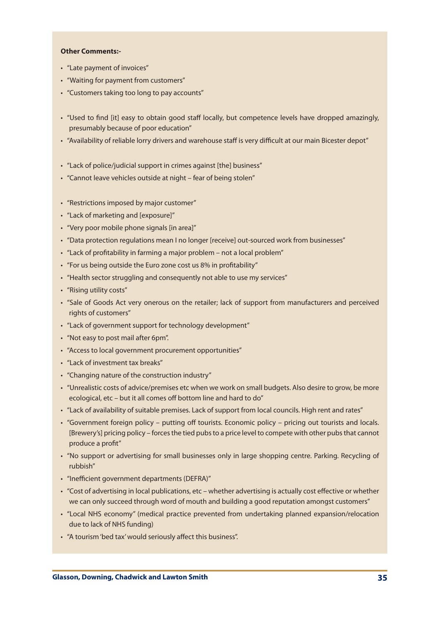#### **Other Comments:-**

- • "Late payment of invoices"
- • "Waiting for payment from customers"
- • "Customers taking too long to pay accounts"
- • "Used to find [it] easy to obtain good staff locally, but competence levels have dropped amazingly, presumably because of poor education"
- "Availability of reliable lorry drivers and warehouse staff is very difficult at our main Bicester depot"
- "Lack of police/judicial support in crimes against [the] business"
- "Cannot leave vehicles outside at night fear of being stolen"
- "Restrictions imposed by major customer"
- • "Lack of marketing and [exposure]"
- • "Very poor mobile phone signals [in area]"
- "Data protection regulations mean I no longer [receive] out-sourced work from businesses"
- "Lack of profitability in farming a major problem not a local problem"
- "For us being outside the Euro zone cost us 8% in profitability"
- "Health sector struggling and consequently not able to use my services"
- "Rising utility costs"
- • "Sale of Goods Act very onerous on the retailer; lack of support from manufacturers and perceived rights of customers"
- • "Lack of government support for technology development"
- "Not easy to post mail after 6pm".
- "Access to local government procurement opportunities"
- • "Lack of investment tax breaks"
- • "Changing nature of the construction industry"
- • "Unrealistic costs of advice/premises etc when we work on small budgets. Also desire to grow, be more ecological, etc – but it all comes off bottom line and hard to do"
- • "Lack of availability of suitable premises. Lack of support from local councils. High rent and rates"
- • "Government foreign policy putting off tourists. Economic policy pricing out tourists and locals. [Brewery's] pricing policy – forces the tied pubs to a price level to compete with other pubs that cannot produce a profit"
- • "No support or advertising for small businesses only in large shopping centre. Parking. Recycling of rubbish"
- "Inefficient government departments (DEFRA)"
- • "Cost of advertising in local publications, etc whether advertising is actually cost effective or whether we can only succeed through word of mouth and building a good reputation amongst customers"
- • "Local NHS economy" (medical practice prevented from undertaking planned expansion/relocation due to lack of NHS funding)
- • "A tourism'bed tax'would seriously affect this business".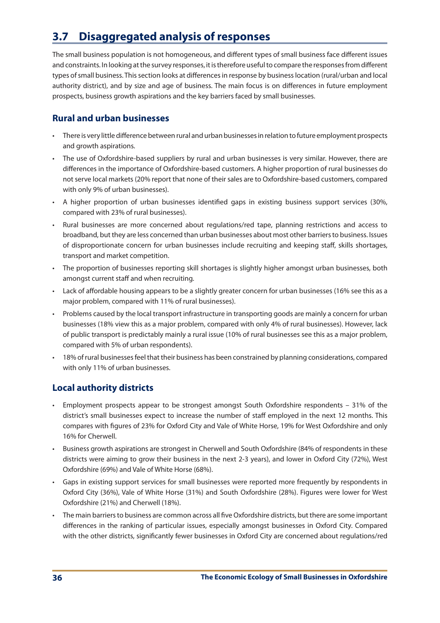# **3.7 Disaggregated analysis of responses**

The small business population is not homogeneous, and different types of small business face different issues and constraints. In looking atthe survey responses, itistherefore usefulto compare the responsesfrom different types ofsmall business. Thissection looks at differencesin response by businesslocation (rural/urban and local authority district), and by size and age of business. The main focus is on differences in future employment prospects, business growth aspirations and the key barriers faced by small businesses.

# **Rural and urban businesses**

- There is very little difference between rural and urban businesses in relation to future employment prospects and growth aspirations.
- • The use of Oxfordshire-based suppliers by rural and urban businesses is very similar. However, there are differences in the importance of Oxfordshire-based customers. A higher proportion of rural businesses do not serve local markets (20% report that none of their sales are to Oxfordshire-based customers, compared with only 9% of urban businesses).
- • A higher proportion of urban businesses identified gaps in existing business support services (30%, compared with 23% of rural businesses).
- • Rural businesses are more concerned about regulations/red tape, planning restrictions and access to broadband, but they are less concerned than urban businesses about most other barriers to business. Issues of disproportionate concern for urban businesses include recruiting and keeping staff, skills shortages, transport and market competition.
- The proportion of businesses reporting skill shortages is slightly higher amongst urban businesses, both amongst current staff and when recruiting.
- • Lack of affordable housing appears to be a slightly greater concern for urban businesses (16% see this as a major problem, compared with 11% of rural businesses).
- Problems caused by the local transport infrastructure in transporting goods are mainly a concern for urban businesses (18% view this as a major problem, compared with only 4% of rural businesses). However, lack of public transport is predictably mainly a rural issue (10% of rural businesses see this as a major problem, compared with 5% of urban respondents).
- 18% of rural businesses feel that their business has been constrained by planning considerations, compared with only 11% of urban businesses.

# **Local authority districts**

- Employment prospects appear to be strongest amongst South Oxfordshire respondents  $-31\%$  of the district's small businesses expect to increase the number of staff employed in the next 12 months. This compares with figures of 23% for Oxford City and Vale of White Horse, 19% for West Oxfordshire and only 16% for Cherwell.
- • Business growth aspirations are strongest in Cherwell and South Oxfordshire (84% of respondents in these districts were aiming to grow their business in the next 2-3 years), and lower in Oxford City (72%), West Oxfordshire (69%) and Vale of White Horse (68%).
- • Gaps in existing support services for small businesses were reported more frequently by respondents in Oxford City (36%), Vale of White Horse (31%) and South Oxfordshire (28%). Figures were lower for West Oxfordshire (21%) and Cherwell (18%).
- The main barriers to business are common across all five Oxfordshire districts, but there are some important differences in the ranking of particular issues, especially amongst businesses in Oxford City. Compared with the other districts, significantly fewer businesses in Oxford City are concerned about regulations/red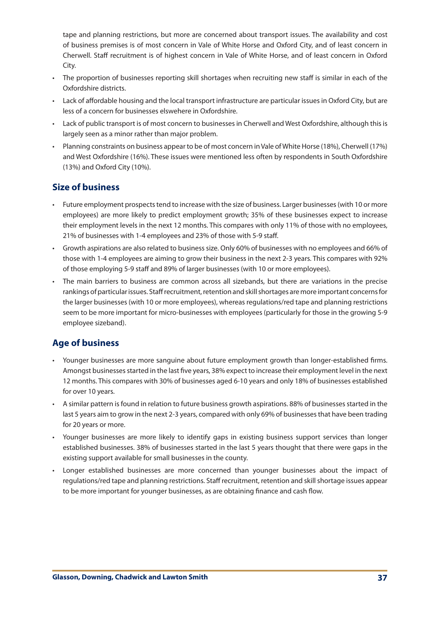tape and planning restrictions, but more are concerned about transport issues. The availability and cost of business premises is of most concern in Vale of White Horse and Oxford City, and of least concern in Cherwell. Staff recruitment is of highest concern in Vale of White Horse, and of least concern in Oxford City.

- • The proportion of businesses reporting skill shortages when recruiting new staff is similar in each of the Oxfordshire districts.
- Lack of affordable housing and the local transport infrastructure are particular issues in Oxford City, but are less of a concern for businesses elswehere in Oxfordshire.
- Lack of public transport is of most concern to businesses in Cherwell and West Oxfordshire, although this is largely seen as a minor rather than major problem.
- Planning constraints on business appear to be of most concern in Vale of White Horse (18%), Cherwell (17%) and West Oxfordshire (16%). These issues were mentioned less often by respondents in South Oxfordshire (13%) and Oxford City (10%).

## **Size of business**

- Future employment prospects tend to increase with the size of business. Larger businesses (with 10 or more employees) are more likely to predict employment growth; 35% of these businesses expect to increase their employment levels in the next 12 months. This compares with only 11% of those with no employees, 21% of businesses with 1-4 employees and 23% of those with 5-9 staff.
- Growth aspirations are also related to business size. Only 60% of businesses with no employees and 66% of those with 1-4 employees are aiming to grow their business in the next 2-3 years. This compares with 92% of those employing 5-9 staff and 89% of larger businesses (with 10 or more employees).
- The main barriers to business are common across all sizebands, but there are variations in the precise rankings of particular issues. Staff recruitment, retention and skill shortages are more important concerns for the larger businesses (with 10 or more employees), whereas regulations/red tape and planning restrictions seem to be more important for micro-businesses with employees (particularly for those in the growing 5-9 employee sizeband).

# **Age of business**

- • Younger businesses are more sanguine about future employment growth than longer-established firms. Amongst businessesstarted in the last five years, 38% expect to increase their employment level in the next 12 months. This compares with 30% of businesses aged 6-10 years and only 18% of businesses established for over 10 years.
- A similar pattern is found in relation to future business growth aspirations. 88% of businesses started in the last 5 years aim to grow in the next 2-3 years, compared with only 69% of businessesthat have been trading for 20 years or more.
- • Younger businesses are more likely to identify gaps in existing business support services than longer established businesses. 38% of businesses started in the last 5 years thought that there were gaps in the existing support available for small businesses in the county.
- Longer established businesses are more concerned than younger businesses about the impact of regulations/red tape and planning restrictions. Staff recruitment, retention and skill shortage issues appear to be more important for younger businesses, as are obtaining finance and cash flow.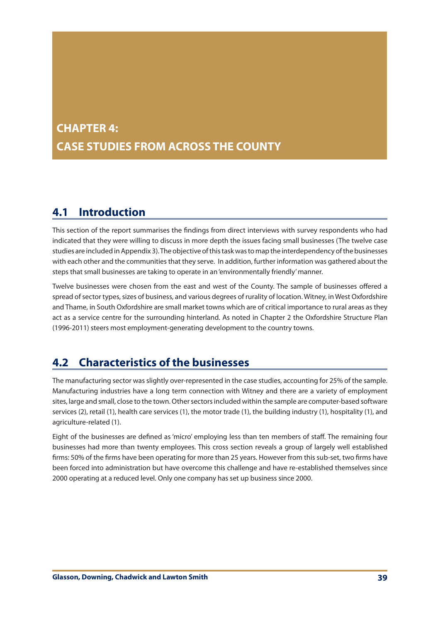# **CHAPTER 4: CASE STUDIES FROM ACROSS THE COUNTY**

# **4.1 Introduction**

This section of the report summarises the findings from direct interviews with survey respondents who had indicated that they were willing to discuss in more depth the issues facing small businesses (The twelve case studies are included in Appendix 3). The objective of this task was to map the interdependency of the businesses with each other and the communitiesthat they serve. In addition, further information was gathered about the steps that small businesses are taking to operate in an'environmentally friendly'manner.

Twelve businesses were chosen from the east and west of the County. The sample of businesses offered a spread of sector types, sizes of business, and various degrees of rurality of location. Witney, in West Oxfordshire and Thame, in South Oxfordshire are small market towns which are of critical importance to rural areas as they act as a service centre for the surrounding hinterland. As noted in Chapter 2 the Oxfordshire Structure Plan (1996-2011) steers most employment-generating development to the country towns.

# **4.2 Characteristics of the businesses**

The manufacturing sector was slightly over-represented in the case studies, accounting for 25% of the sample. Manufacturing industries have a long term connection with Witney and there are a variety of employment sites, large and small, close to the town. Other sectors included within the sample are computer-based software services (2), retail (1), health care services (1), the motor trade (1), the building industry (1), hospitality (1), and agriculture-related (1).

Eight of the businesses are defined as 'micro' employing less than ten members of staff. The remaining four businesses had more than twenty employees. This cross section reveals a group of largely well established firms: 50% of the firms have been operating for more than 25 years. However from this sub-set, two firms have been forced into administration but have overcome this challenge and have re-established themselves since 2000 operating at a reduced level. Only one company has set up business since 2000.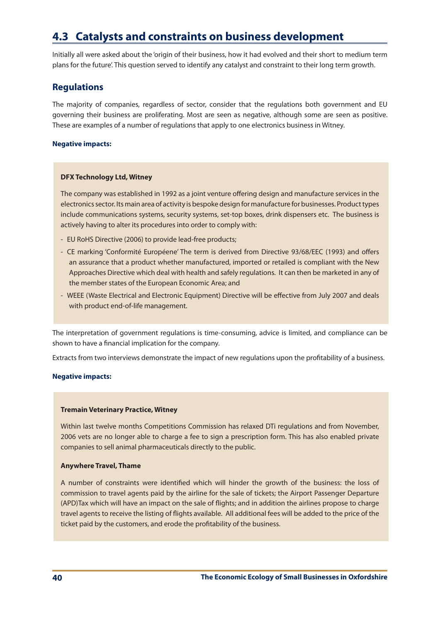# **4.3 Catalysts and constraints on business development**

Initially all were asked about the 'origin of their business, how it had evolved and their short to medium term plans for the future'. This question served to identify any catalyst and constraint to their long term growth.

## **Regulations**

The majority of companies, regardless of sector, consider that the regulations both government and EU governing their business are proliferating. Most are seen as negative, although some are seen as positive. These are examples of a number of regulations that apply to one electronics business in Witney.

### **Negative impacts:**

### **DFX Technology Ltd, Witney**

The company was established in 1992 as a joint venture offering design and manufacture services in the electronics sector. Its main area of activity is bespoke design for manufacture for businesses. Product types include communications systems, security systems, set-top boxes, drink dispensers etc. The business is actively having to alter its procedures into order to comply with:

- EU RoHS Directive (2006) to provide lead-free products;
- CE marking 'Conformité Européene' The term is derived from Directive 93/68/EEC (1993) and offers an assurance that a product whether manufactured, imported or retailed is compliant with the New Approaches Directive which deal with health and safely regulations. It can then be marketed in any of the member states of the European Economic Area; and
- WEEE (Waste Electrical and Electronic Equipment) Directive will be effective from July 2007 and deals with product end-of-life management.

The interpretation of government regulations is time-consuming, advice is limited, and compliance can be shown to have a financial implication for the company.

Extracts from two interviews demonstrate the impact of new regulations upon the profitability of a business.

### **Negative impacts:**

### **Tremain Veterinary Practice, Witney**

Within last twelve months Competitions Commission has relaxed DTi regulations and from November, 2006 vets are no longer able to charge a fee to sign a prescription form. This has also enabled private companies to sell animal pharmaceuticals directly to the public.

### **Anywhere Travel, Thame**

A number of constraints were identified which will hinder the growth of the business: the loss of commission to travel agents paid by the airline for the sale of tickets; the Airport Passenger Departure (APD)Tax which will have an impact on the sale of flights; and in addition the airlines propose to charge travel agents to receive the listing of flights available. All additional fees will be added to the price of the ticket paid by the customers, and erode the profitability of the business.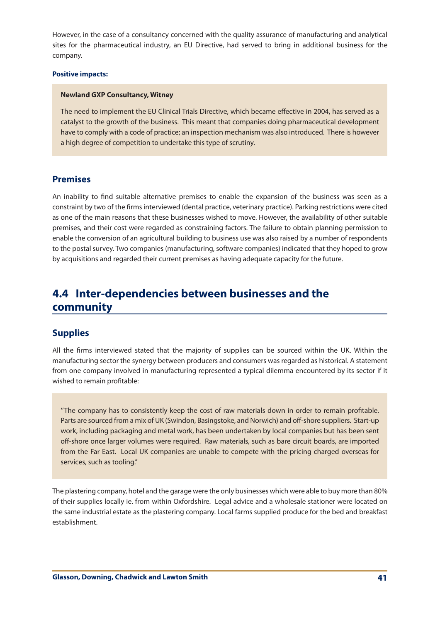However, in the case of a consultancy concerned with the quality assurance of manufacturing and analytical sites for the pharmaceutical industry, an EU Directive, had served to bring in additional business for the company.

#### **Positive impacts:**

#### **Newland GXP Consultancy, Witney**

The need to implement the EU Clinical Trials Directive, which became effective in 2004, has served as a catalyst to the growth of the business. This meant that companies doing pharmaceutical development have to comply with a code of practice; an inspection mechanism was also introduced. There is however a high degree of competition to undertake this type of scrutiny.

## **Premises**

An inability to find suitable alternative premises to enable the expansion of the business was seen as a constraint by two of the firms interviewed (dental practice, veterinary practice). Parking restrictions were cited as one of the main reasons that these businesses wished to move. However, the availability of other suitable premises, and their cost were regarded as constraining factors. The failure to obtain planning permission to enable the conversion of an agricultural building to business use was also raised by a number of respondents to the postal survey. Two companies (manufacturing, software companies) indicated that they hoped to grow by acquisitions and regarded their current premises as having adequate capacity for the future.

# **4.4 Inter-dependencies between businesses and the community**

## **Supplies**

All the firms interviewed stated that the majority of supplies can be sourced within the UK. Within the manufacturing sector the synergy between producers and consumers was regarded as historical. A statement from one company involved in manufacturing represented a typical dilemma encountered by its sector if it wished to remain profitable:

''The company has to consistently keep the cost of raw materials down in order to remain profitable. Parts are sourced from a mix of UK (Swindon, Basingstoke, and Norwich) and off-shore suppliers. Start-up work, including packaging and metal work, has been undertaken by local companies but has been sent off-shore once larger volumes were required. Raw materials, such as bare circuit boards, are imported from the Far East. Local UK companies are unable to compete with the pricing charged overseas for services, such as tooling.''

The plastering company, hotel and the garage were the only businesses which were able to buy more than 80% of their supplies locally ie. from within Oxfordshire. Legal advice and a wholesale stationer were located on the same industrial estate as the plastering company. Local farms supplied produce for the bed and breakfast establishment.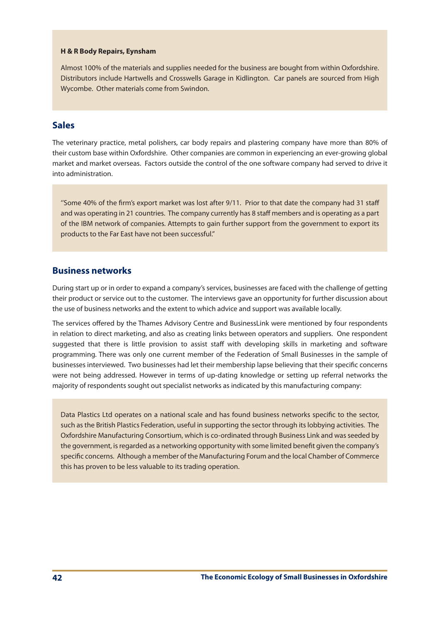#### **H & R Body Repairs, Eynsham**

Almost 100% of the materials and supplies needed for the business are bought from within Oxfordshire. Distributors include Hartwells and Crosswells Garage in Kidlington. Car panels are sourced from High Wycombe. Other materials come from Swindon.

## **Sales**

The veterinary practice, metal polishers, car body repairs and plastering company have more than 80% of their custom base within Oxfordshire. Other companies are common in experiencing an ever-growing global market and market overseas. Factors outside the control of the one software company had served to drive it into administration.

''Some 40% of the firm's export market was lost after 9/11. Prior to that date the company had 31 staff and was operating in 21 countries. The company currently has 8 staff members and is operating as a part of the IBM network of companies. Attempts to gain further support from the government to export its products to the Far East have not been successful.''

## **Business networks**

During start up or in order to expand a company's services, businesses are faced with the challenge of getting their product or service out to the customer. The interviews gave an opportunity for further discussion about the use of business networks and the extent to which advice and support was available locally.

The services offered by the Thames Advisory Centre and BusinessLink were mentioned by four respondents in relation to direct marketing, and also as creating links between operators and suppliers. One respondent suggested that there is little provision to assist staff with developing skills in marketing and software programming. There was only one current member of the Federation of Small Businesses in the sample of businesses interviewed. Two businesses had let their membership lapse believing that their specific concerns were not being addressed. However in terms of up-dating knowledge or setting up referral networks the majority of respondents sought out specialist networks as indicated by this manufacturing company:

Data Plastics Ltd operates on a national scale and has found business networks specific to the sector, such asthe British Plastics Federation, useful in supporting the sector through itslobbying activities. The Oxfordshire Manufacturing Consortium, which is co-ordinated through Business Link and wasseeded by the government, is regarded as a networking opportunity with some limited benefit given the company's specific concerns. Although a member of the Manufacturing Forum and the local Chamber of Commerce this has proven to be less valuable to its trading operation.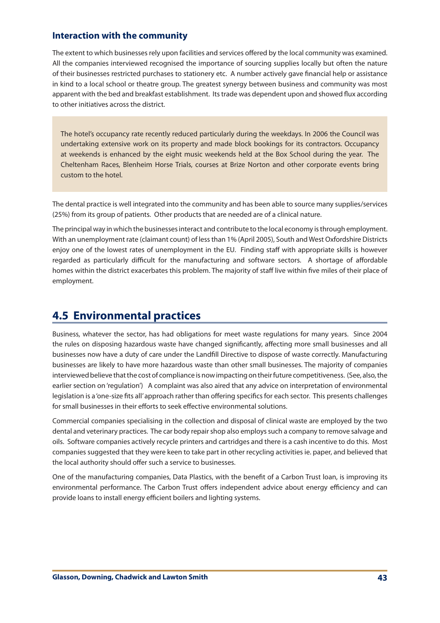## **Interaction with the community**

The extent to which businesses rely upon facilities and services offered by the local community was examined. All the companies interviewed recognised the importance of sourcing supplies locally but often the nature of their businesses restricted purchases to stationery etc. A number actively gave financial help or assistance in kind to a local school or theatre group. The greatest synergy between business and community was most apparent with the bed and breakfast establishment. Itstrade was dependent upon and showed flux according to other initiatives across the district.

The hotel's occupancy rate recently reduced particularly during the weekdays. In 2006 the Council was undertaking extensive work on its property and made block bookings for its contractors. Occupancy at weekends is enhanced by the eight music weekends held at the Box School during the year. The Cheltenham Races, Blenheim Horse Trials, courses at Brize Norton and other corporate events bring custom to the hotel.

The dental practice is well integrated into the community and has been able to source many supplies/services (25%) from its group of patients. Other products that are needed are of a clinical nature.

The principal way in which the businessesinteract and contribute to the local economy isthrough employment. With an unemployment rate (claimant count) of less than 1% (April 2005), South and West Oxfordshire Districts enjoy one of the lowest rates of unemployment in the EU. Finding staff with appropriate skills is however regarded as particularly difficult for the manufacturing and software sectors. A shortage of affordable homes within the district exacerbates this problem. The majority of staff live within five miles of their place of employment.

# **4.5 Environmental practices**

Business, whatever the sector, has had obligations for meet waste regulations for many years. Since 2004 the rules on disposing hazardous waste have changed significantly, affecting more small businesses and all businesses now have a duty of care under the Landfill Directive to dispose of waste correctly. Manufacturing businesses are likely to have more hazardous waste than other small businesses. The majority of companies interviewed believe that the cost of compliance is now impacting on their future competitiveness. (See, also, the earlier section on 'regulation') A complaint was also aired that any advice on interpretation of environmental legislation is a 'one-size fits all' approach rather than offering specifics for each sector. This presents challenges for small businesses in their efforts to seek effective environmental solutions.

Commercial companies specialising in the collection and disposal of clinical waste are employed by the two dental and veterinary practices. The car body repair shop also employs such a company to remove salvage and oils. Software companies actively recycle printers and cartridges and there is a cash incentive to do this. Most companies suggested that they were keen to take part in other recycling activities ie. paper, and believed that the local authority should offer such a service to businesses.

One of the manufacturing companies, Data Plastics, with the benefit of a Carbon Trust loan, is improving its environmental performance. The Carbon Trust offers independent advice about energy efficiency and can provide loans to install energy efficient boilers and lighting systems.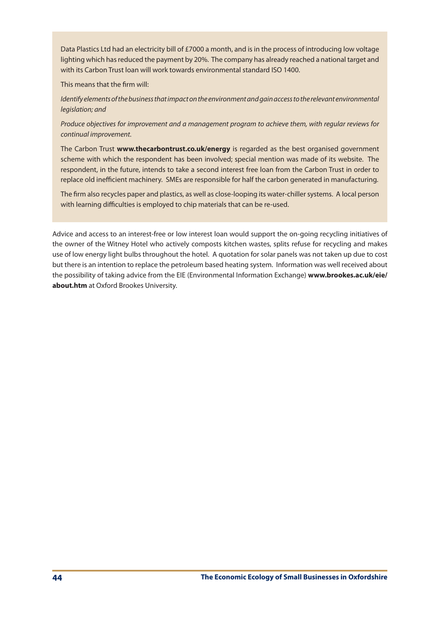Data Plastics Ltd had an electricity bill of £7000 a month, and is in the process of introducing low voltage lighting which has reduced the payment by 20%. The company has already reached a national target and with its Carbon Trust loan will work towards environmental standard ISO 1400.

This means that the firm will:

*Identify elements of the business that impact on the environment and gain access to the relevant environmental legislation; and*

*Produce objectives for improvement and a management program to achieve them, with regular reviews for continual improvement.*

The Carbon Trust **www.thecarbontrust.co.uk/energy** is regarded as the best organised government scheme with which the respondent has been involved; special mention was made of its website. The respondent, in the future, intends to take a second interest free loan from the Carbon Trust in order to replace old inefficient machinery. SMEs are responsible for half the carbon generated in manufacturing.

The firm also recycles paper and plastics, as well as close-looping its water-chillersystems. A local person with learning difficulties is employed to chip materials that can be re-used.

Advice and access to an interest-free or low interest loan would support the on-going recycling initiatives of the owner of the Witney Hotel who actively composts kitchen wastes, splits refuse for recycling and makes use of low energy light bulbs throughout the hotel. A quotation for solar panels was not taken up due to cost but there is an intention to replace the petroleum based heating system. Information was well received about the possibility of taking advice from the EIE (Environmental Information Exchange) **www.brookes.ac.uk/eie/ about.htm** at Oxford Brookes University.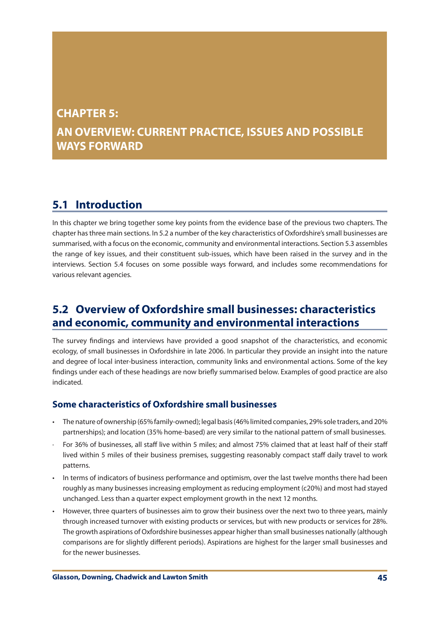# **CHAPTER 5: AN OVERVIEW: CURRENT PRACTICE, ISSUES AND POSSIBLE WAYS FORWARD**

# **5.1 Introduction**

In this chapter we bring together some key points from the evidence base of the previous two chapters. The chapter hasthree main sections. In 5.2 a number of the key characteristics of Oxfordshire'ssmall businesses are summarised, with a focus on the economic, community and environmental interactions. Section 5.3 assembles the range of key issues, and their constituent sub-issues, which have been raised in the survey and in the interviews. Section 5.4 focuses on some possible ways forward, and includes some recommendations for various relevant agencies.

# **5.2 Overview of Oxfordshire small businesses: characteristics and economic, community and environmental interactions**

The survey findings and interviews have provided a good snapshot of the characteristics, and economic ecology, of small businesses in Oxfordshire in late 2006. In particular they provide an insight into the nature and degree of local inter-business interaction, community links and environmental actions. Some of the key findings under each of these headings are now briefly summarised below. Examples of good practice are also indicated.

# **Some characteristics of Oxfordshire small businesses**

- The nature of ownership (65% family-owned); legal basis (46% limited companies, 29% sole traders, and 20% partnerships); and location (35% home-based) are very similar to the national pattern of small businesses.
- For 36% of businesses, all staff live within 5 miles; and almost 75% claimed that at least half of their staff lived within 5 miles of their business premises, suggesting reasonably compact staff daily travel to work patterns.
- In terms of indicators of business performance and optimism, over the last twelve months there had been roughly as many businesses increasing employment as reducing employment (c20%) and most had stayed unchanged. Less than a quarter expect employment growth in the next 12 months.
- However, three quarters of businesses aim to grow their business over the next two to three years, mainly through increased turnover with existing products or services, but with new products or services for 28%. The growth aspirations of Oxfordshire businesses appear higher than small businesses nationally (although comparisons are for slightly different periods). Aspirations are highest for the larger small businesses and for the newer businesses.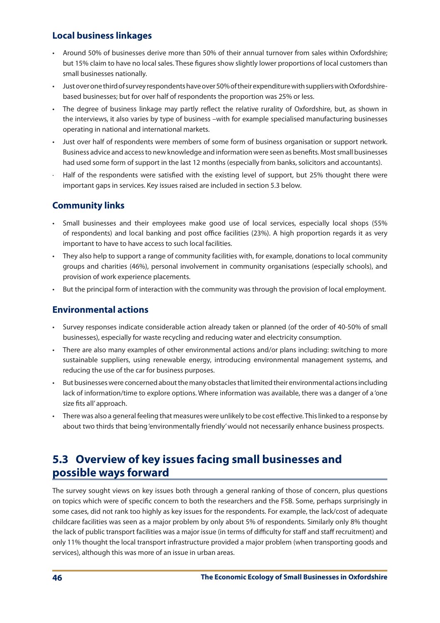# **Local business linkages**

- • Around 50% of businesses derive more than 50% of their annual turnover from sales within Oxfordshire; but 15% claim to have no local sales. These figures show slightly lower proportions of local customers than small businesses nationally.
- Just over one third of survey respondents have over 50% of their expenditure with suppliers with Oxfordshirebased businesses; but for over half of respondents the proportion was 25% or less.
- • The degree of business linkage may partly reflect the relative rurality of Oxfordshire, but, as shown in the interviews, it also varies by type of business –with for example specialised manufacturing businesses operating in national and international markets.
- Just over half of respondents were members of some form of business organisation or support network. Business advice and access to new knowledge and information were seen as benefits. Most small businesses had used some form of support in the last 12 months (especially from banks, solicitors and accountants).
- Half of the respondents were satisfied with the existing level of support, but 25% thought there were important gaps in services. Key issues raised are included in section 5.3 below.

# **Community links**

- Small businesses and their employees make good use of local services, especially local shops (55% of respondents) and local banking and post office facilities (23%). A high proportion regards it as very important to have to have access to such local facilities.
- They also help to support a range of community facilities with, for example, donations to local community groups and charities (46%), personal involvement in community organisations (especially schools), and provision of work experience placements.
- But the principal form of interaction with the community was through the provision of local employment.

# **Environmental actions**

- • Survey responses indicate considerable action already taken or planned (of the order of 40-50% of small businesses), especially for waste recycling and reducing water and electricity consumption.
- • There are also many examples of other environmental actions and/or plans including: switching to more sustainable suppliers, using renewable energy, introducing environmental management systems, and reducing the use of the car for business purposes.
- But businesses were concerned about the many obstacles that limited their environmental actions including lack of information/time to explore options. Where information was available, there was a danger of a 'one size fits all' approach.
- There was also a general feeling that measures were unlikely to be cost effective. This linked to a response by about two thirds that being'environmentally friendly'would not necessarily enhance business prospects.

# **5.3 Overview of key issues facing small businesses and possible ways forward**

The survey sought views on key issues both through a general ranking of those of concern, plus questions on topics which were of specific concern to both the researchers and the FSB. Some, perhaps surprisingly in some cases, did not rank too highly as key issues for the respondents. For example, the lack/cost of adequate childcare facilities was seen as a major problem by only about 5% of respondents. Similarly only 8% thought the lack of public transport facilities was a major issue (in terms of difficulty for staff and staff recruitment) and only 11% thought the local transport infrastructure provided a major problem (when transporting goods and services), although this was more of an issue in urban areas.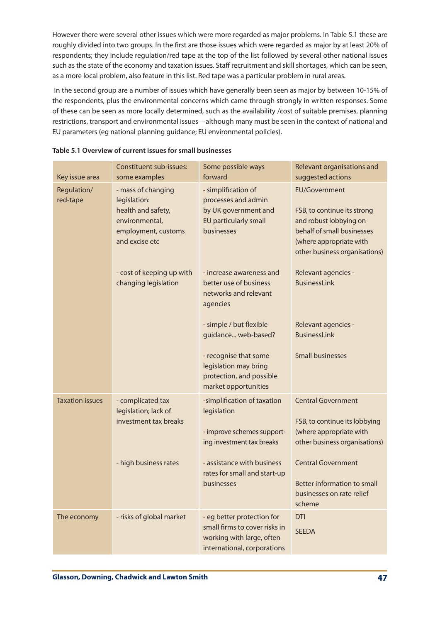However there were several other issues which were more regarded as major problems. In Table 5.1 these are roughly divided into two groups. In the first are those issues which were regarded as major by at least 20% of respondents; they include regulation/red tape at the top of the list followed by several other national issues such as the state of the economy and taxation issues. Staff recruitment and skill shortages, which can be seen, as a more local problem, also feature in this list. Red tape was a particular problem in rural areas.

In the second group are a number of issues which have generally been seen as major by between 10-15% of the respondents, plus the environmental concerns which came through strongly in written responses. Some of these can be seen as more locally determined, such as the availability /cost of suitable premises, planning restrictions, transport and environmental issues—although many must be seen in the context of national and EU parameters (eg national planning guidance; EU environmental policies).

| Key issue area          | <b>Constituent sub-issues:</b><br>some examples                                                                     | Some possible ways<br>forward                                                                                           | Relevant organisations and<br>suggested actions                                                                                                                         |
|-------------------------|---------------------------------------------------------------------------------------------------------------------|-------------------------------------------------------------------------------------------------------------------------|-------------------------------------------------------------------------------------------------------------------------------------------------------------------------|
| Regulation/<br>red-tape | - mass of changing<br>legislation:<br>health and safety,<br>environmental,<br>employment, customs<br>and excise etc | - simplification of<br>processes and admin<br>by UK government and<br>EU particularly small<br>businesses               | <b>EU/Government</b><br>FSB, to continue its strong<br>and robust lobbying on<br>behalf of small businesses<br>(where appropriate with<br>other business organisations) |
|                         | - cost of keeping up with<br>changing legislation                                                                   | - increase awareness and<br>better use of business<br>networks and relevant<br>agencies                                 | Relevant agencies -<br><b>BusinessLink</b>                                                                                                                              |
|                         |                                                                                                                     | - simple / but flexible<br>guidance web-based?                                                                          | Relevant agencies -<br><b>BusinessLink</b>                                                                                                                              |
|                         |                                                                                                                     | - recognise that some<br>legislation may bring<br>protection, and possible<br>market opportunities                      | <b>Small businesses</b>                                                                                                                                                 |
| <b>Taxation issues</b>  | - complicated tax<br>legislation; lack of<br>investment tax breaks                                                  | -simplification of taxation<br>legislation<br>- improve schemes support-<br>ing investment tax breaks                   | <b>Central Government</b><br>FSB, to continue its lobbying<br>(where appropriate with<br>other business organisations)                                                  |
|                         | - high business rates                                                                                               | - assistance with business<br>rates for small and start-up<br>businesses                                                | <b>Central Government</b><br>Better information to small<br>businesses on rate relief<br>scheme                                                                         |
| The economy             | - risks of global market                                                                                            | - eg better protection for<br>small firms to cover risks in<br>working with large, often<br>international, corporations | <b>DTI</b><br><b>SEEDA</b>                                                                                                                                              |

## **Table 5.1 Overview of current issues for small businesses**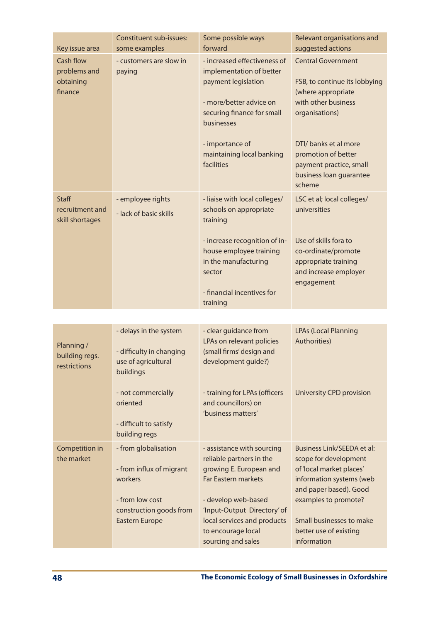| Key issue area                                     | <b>Constituent sub-issues:</b><br>some examples                                                                                                                     | Some possible ways<br>forward                                                                                                                                                                                                                    | Relevant organisations and<br>suggested actions                                                                                                                                                                                           |
|----------------------------------------------------|---------------------------------------------------------------------------------------------------------------------------------------------------------------------|--------------------------------------------------------------------------------------------------------------------------------------------------------------------------------------------------------------------------------------------------|-------------------------------------------------------------------------------------------------------------------------------------------------------------------------------------------------------------------------------------------|
| Cash flow<br>problems and<br>obtaining<br>finance  | - customers are slow in<br>paying                                                                                                                                   | - increased effectiveness of<br>implementation of better<br>payment legislation<br>- more/better advice on<br>securing finance for small<br>businesses<br>- importance of<br>maintaining local banking<br>facilities                             | <b>Central Government</b><br>FSB, to continue its lobbying<br>(where appropriate<br>with other business<br>organisations)<br>DTI/ banks et al more<br>promotion of better<br>payment practice, small<br>business loan guarantee<br>scheme |
| <b>Staff</b><br>recruitment and<br>skill shortages | - employee rights<br>- lack of basic skills                                                                                                                         | - liaise with local colleges/<br>schools on appropriate<br>training<br>- increase recognition of in-<br>house employee training<br>in the manufacturing<br>sector<br>- financial incentives for<br>training                                      | LSC et al; local colleges/<br>universities<br>Use of skills fora to<br>co-ordinate/promote<br>appropriate training<br>and increase employer<br>engagement                                                                                 |
|                                                    |                                                                                                                                                                     |                                                                                                                                                                                                                                                  |                                                                                                                                                                                                                                           |
| Planning /<br>building regs.<br>restrictions       | - delays in the system<br>- difficulty in changing<br>use of agricultural<br>buildings<br>- not commercially<br>oriented<br>- difficult to satisfy<br>building regs | - clear guidance from<br>LPAs on relevant policies<br>(small firms' design and<br>development guide?)<br>- training for LPAs (officers<br>and councillors) on<br>'business matters'                                                              | <b>LPAs (Local Planning</b><br>Authorities)<br>University CPD provision                                                                                                                                                                   |
| Competition in<br>the market                       | - from globalisation<br>- from influx of migrant<br>workers<br>- from low cost<br>construction goods from<br><b>Eastern Europe</b>                                  | - assistance with sourcing<br>reliable partners in the<br>growing E. European and<br><b>Far Eastern markets</b><br>- develop web-based<br>'Input-Output Directory' of<br>local services and products<br>to encourage local<br>sourcing and sales | Business Link/SEEDA et al:<br>scope for development<br>of 'local market places'<br>information systems (web<br>and paper based). Good<br>examples to promote?<br>Small businesses to make<br>better use of existing<br>information        |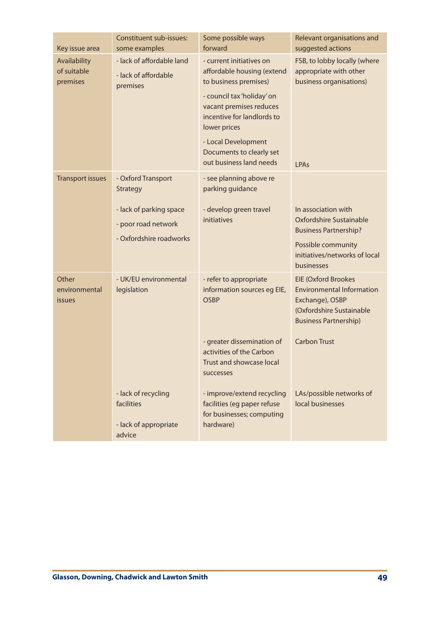| Key issue area                          | Constituent sub-issues:<br>some examples                                                                    | Some possible ways<br>forward                                                                                                                                                                                                                                        | Relevant organisations and<br>suggested actions                                                                                                                      |
|-----------------------------------------|-------------------------------------------------------------------------------------------------------------|----------------------------------------------------------------------------------------------------------------------------------------------------------------------------------------------------------------------------------------------------------------------|----------------------------------------------------------------------------------------------------------------------------------------------------------------------|
| Availability<br>of suitable<br>premises | - lack of affordable land<br>- lack of affordable<br>premises                                               | - current initiatives on<br>affordable housing (extend<br>to business premises)<br>- council tax 'holiday' on<br>vacant premises reduces<br>incentive for landlords to<br>lower prices<br>- Local Development<br>Documents to clearly set<br>out business land needs | FSB, to lobby locally (where<br>appropriate with other<br>business organisations)<br>LPAs                                                                            |
| <b>Transport issues</b>                 | - Oxford Transport<br>Strategy<br>- lack of parking space<br>- poor road network<br>- Oxfordshire roadworks | - see planning above re<br>parking guidance<br>- develop green travel<br>initiatives                                                                                                                                                                                 | In association with<br>Oxfordshire Sustainable<br><b>Business Partnership?</b><br>Possible community<br>initiatives/networks of local<br>businesses                  |
| Other<br>environmental<br><b>issues</b> | - UK/EU environmental<br>legislation                                                                        | - refer to appropriate<br>information sources eg EIE,<br><b>OSBP</b><br>- greater dissemination of<br>activities of the Carbon<br>Trust and showcase local<br>successes                                                                                              | <b>EIE (Oxford Brookes</b><br><b>Environmental Information</b><br>Exchange), OSBP<br>(Oxfordshire Sustainable<br><b>Business Partnership)</b><br><b>Carbon Trust</b> |
|                                         | - lack of recycling<br>facilities<br>- lack of appropriate<br>advice                                        | - improve/extend recycling<br>facilities (eg paper refuse<br>for businesses; computing<br>hardware)                                                                                                                                                                  | LAs/possible networks of<br>local businesses                                                                                                                         |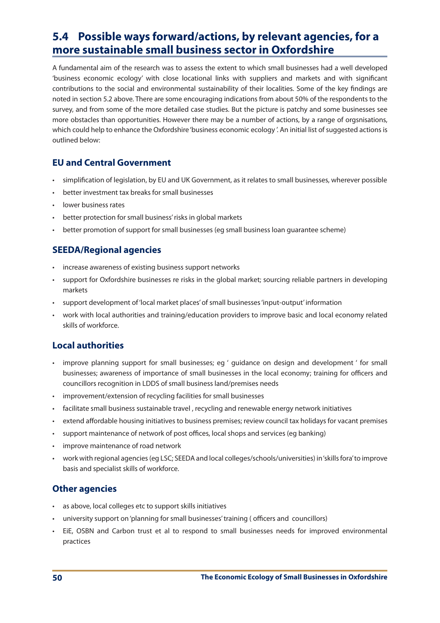# **5.4 Possible ways forward/actions, by relevant agencies, for a more sustainable small business sector in Oxfordshire**

A fundamental aim of the research was to assess the extent to which small businesses had a well developed 'business economic ecology' with close locational links with suppliers and markets and with significant contributions to the social and environmental sustainability of their localities. Some of the key findings are noted in section 5.2 above. There are some encouraging indications from about 50% of the respondents to the survey, and from some of the more detailed case studies. But the picture is patchy and some businesses see more obstacles than opportunities. However there may be a number of actions, by a range of orgsnisations, which could help to enhance the Oxfordshire 'business economic ecology '. An initial list of suggested actions is outlined below:

# **EU and Central Government**

- simplification of legislation, by EU and UK Government, as it relates to small businesses, wherever possible
- better investment tax breaks for small businesses
- lower business rates
- better protection for small business' risks in global markets
- better promotion of support for small businesses (eg small business loan guarantee scheme)

# **SEEDA/Regional agencies**

- • increase awareness of existing business support networks
- • support for Oxfordshire businesses re risks in the global market; sourcing reliable partners in developing markets
- • support development of'local market places'of small businesses'input-output' information
- work with local authorities and training/education providers to improve basic and local economy related skills of workforce.

# **Local authorities**

- improve planning support for small businesses; eg ' quidance on design and development ' for small businesses; awareness of importance of small businesses in the local economy; training for officers and councillors recognition in LDDS of small business land/premises needs
- improvement/extension of recycling facilities for small businesses
- facilitate small business sustainable travel, recycling and renewable energy network initiatives
- • extend affordable housing initiatives to business premises; review council tax holidays for vacant premises
- support maintenance of network of post offices, local shops and services (eg banking)
- improve maintenance of road network
- work with regional agencies (eg LSC; SEEDA and local colleges/schools/universities) in'skills fora'to improve basis and specialist skills of workforce.

# **Other agencies**

- • as above, local colleges etc to support skills initiatives
- university support on 'planning for small businesses' training ( officers and councillors)
- EiE, OSBN and Carbon trust et al to respond to small businesses needs for improved environmental practices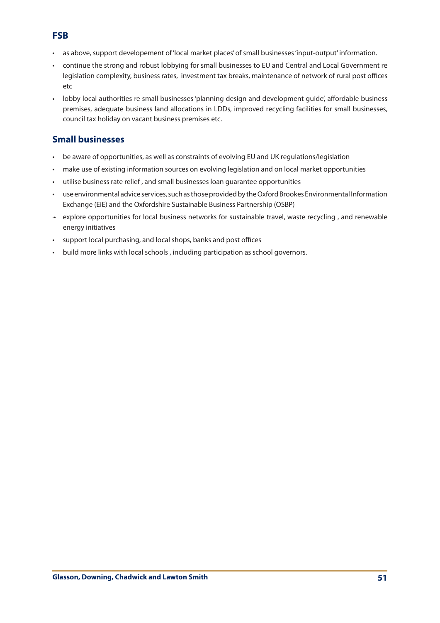# **FSB**

- • as above, support developement of'local market places'of small businesses'input-output' information.
- continue the strong and robust lobbying for small businesses to EU and Central and Local Government re legislation complexity, business rates, investment tax breaks, maintenance of network of rural post offices etc
- lobby local authorities re small businesses 'planning design and development quide', affordable business premises, adequate business land allocations in LDDs, improved recycling facilities for small businesses, council tax holiday on vacant business premises etc.

# **Small businesses**

- be aware of opportunities, as well as constraints of evolving EU and UK regulations/legislation
- make use of existing information sources on evolving legislation and on local market opportunities
- utilise business rate relief, and small businesses loan guarantee opportunities
- use environmental advice services, such as those provided by the Oxford Brookes Environmental Information Exchange (EiE) and the Oxfordshire Sustainable Business Partnership (OSBP)
- ·• explore opportunities for local business networks for sustainable travel, waste recycling , and renewable energy initiatives
- • support local purchasing, and local shops, banks and post offices
- build more links with local schools, including participation as school governors.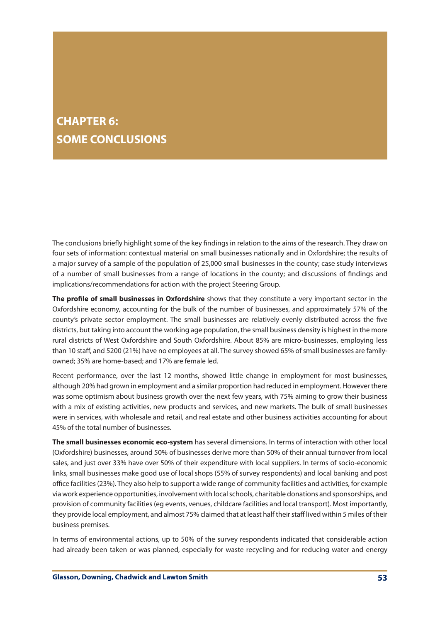# **CHAPTER 6: SOME CONCLUSIONS**

The conclusions briefly highlight some of the key findings in relation to the aims of the research. They draw on four sets of information: contextual material on small businesses nationally and in Oxfordshire; the results of a major survey of a sample of the population of 25,000 small businesses in the county; case study interviews of a number of small businesses from a range of locations in the county; and discussions of findings and implications/recommendations for action with the project Steering Group.

**The profile of small businesses in Oxfordshire** shows that they constitute a very important sector in the Oxfordshire economy, accounting for the bulk of the number of businesses, and approximately 57% of the county's private sector employment. The small businesses are relatively evenly distributed across the five districts, but taking into account the working age population, the small business density is highest in the more rural districts of West Oxfordshire and South Oxfordshire. About 85% are micro-businesses, employing less than 10 staff, and 5200 (21%) have no employees at all. The survey showed 65% of small businesses are familyowned; 35% are home-based; and 17% are female led.

Recent performance, over the last 12 months, showed little change in employment for most businesses, although 20% had grown in employment and a similar proportion had reduced in employment. However there was some optimism about business growth over the next few years, with 75% aiming to grow their business with a mix of existing activities, new products and services, and new markets. The bulk of small businesses were in services, with wholesale and retail, and real estate and other business activities accounting for about 45% of the total number of businesses.

**The small businesses economic eco-system** has several dimensions. In terms of interaction with other local (Oxfordshire) businesses, around 50% of businesses derive more than 50% of their annual turnover from local sales, and just over 33% have over 50% of their expenditure with local suppliers. In terms of socio-economic links, small businesses make good use of local shops (55% of survey respondents) and local banking and post office facilities(23%). They also help to support a wide range of community facilities and activities, for example via work experience opportunities, involvement with localschools, charitable donations and sponsorships, and provision of community facilities (eg events, venues, childcare facilities and local transport). Most importantly, they provide local employment, and almost 75% claimed that at least half their staff lived within 5 miles of their business premises.

In terms of environmental actions, up to 50% of the survey respondents indicated that considerable action had already been taken or was planned, especially for waste recycling and for reducing water and energy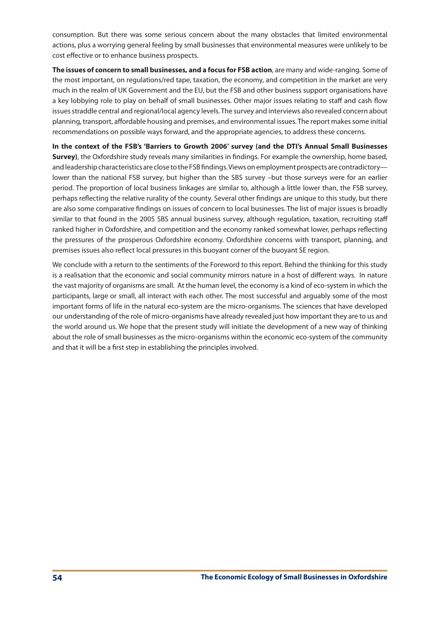consumption. But there was some serious concern about the many obstacles that limited environmental actions, plus a worrying general feeling by small businesses that environmental measures were unlikely to be cost effective or to enhance business prospects.

**The issues of concern to small businesses, and a focus for FSB action**, are many and wide-ranging. Some of the most important, on regulations/red tape, taxation, the economy, and competition in the market are very much in the realm of UK Government and the EU, but the FSB and other business support organisations have a key lobbying role to play on behalf of small businesses. Other major issues relating to staff and cash flow issues straddle central and regional/local agency levels. The survey and interviews also revealed concern about planning, transport, affordable housing and premises, and environmental issues. The report makes some initial recommendations on possible ways forward, and the appropriate agencies, to address these concerns.

**In the context of the FSB's 'Barriers to Growth 2006' survey (and the DTI's Annual Small Businesses Survey)**, the Oxfordshire study reveals many similarities in findings. For example the ownership, home based, and leadership characteristics are close to the FSB findings. Views on employment prospects are contradictory lower than the national FSB survey, but higher than the SBS survey –but those surveys were for an earlier period. The proportion of local business linkages are similar to, although a little lower than, the FSB survey, perhaps reflecting the relative rurality of the county. Several other findings are unique to this study, but there are also some comparative findings on issues of concern to local businesses. The list of major issues is broadly similar to that found in the 2005 SBS annual business survey, although regulation, taxation, recruiting staff ranked higher in Oxfordshire, and competition and the economy ranked somewhat lower, perhaps reflecting the pressures of the prosperous Oxfordshire economy. Oxfordshire concerns with transport, planning, and premises issues also reflect local pressures in this buoyant corner of the buoyant SE region.

We conclude with a return to the sentiments of the Foreword to this report. Behind the thinking for this study is a realisation that the economic and social community mirrors nature in a host of different ways. In nature the vast majority of organisms are small. At the human level, the economy is a kind of eco-system in which the participants, large or small, all interact with each other. The most successful and arguably some of the most important forms of life in the natural eco-system are the micro-organisms. The sciences that have developed our understanding of the role of micro-organisms have already revealed just how important they are to us and the world around us. We hope that the present study will initiate the development of a new way of thinking about the role of small businesses as the micro-organisms within the economic eco-system of the community and that it will be a first step in establishing the principles involved.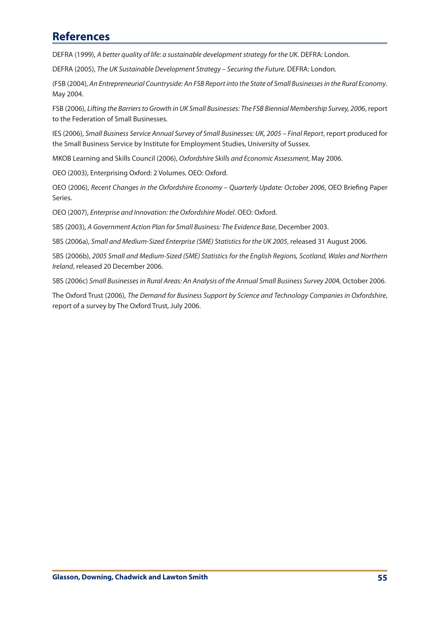# **References**

DEFRA (1999), *A better quality of life: a sustainable development strategy for the UK*. DEFRA: London.

DEFRA (2005), *The UK Sustainable Development Strategy – Securing the Future.* DEFRA: London.

(FSB (2004), *An Entrepreneurial Countryside: An FSB Report into the State of Small Businesses in the Rural Economy*. May 2004.

FSB (2006), *Lifting the Barriers to Growth in UK Small Businesses: The FSB Biennial Membership Survey, 200*6, report to the Federation of Small Businesses.

IES (2006), *Small Business Service Annual Survey of Small Businesses: UK, 2005 – Final Report*, report produced for the Small Business Service by Institute for Employment Studies, University of Sussex.

MKOB Learning and Skills Council (2006), *Oxfordshire Skills and Economic Assessment*, May 2006.

OEO (2003), Enterprising Oxford: 2 Volumes. OEO: Oxford.

OEO (2006), *Recent Changes in the Oxfordshire Economy – Quarterly Update: October 2006*, OEO Briefing Paper Series.

OEO (2007), *Enterprise and Innovation: the Oxfordshire Model*. OEO: Oxford.

SBS (2003), *A Government Action Plan for Small Business: The Evidence Base*, December 2003.

SBS (2006a), *Small and Medium-Sized Enterprise (SME) Statistics for the UK 2005*, released 31 August 2006.

SBS (2006b), *2005 Small and Medium-Sized (SME) Statistics for the English Regions, Scotland, Wales and Northern Ireland*, released 20 December 2006.

SBS (2006c) *Small Businesses in Rural Areas: An Analysis of the Annual Small Business Survey 200*4, October 2006.

The Oxford Trust (2006), *The Demand for Business Support by Science and Technology Companies in Oxfordshire*, report of a survey by The Oxford Trust, July 2006.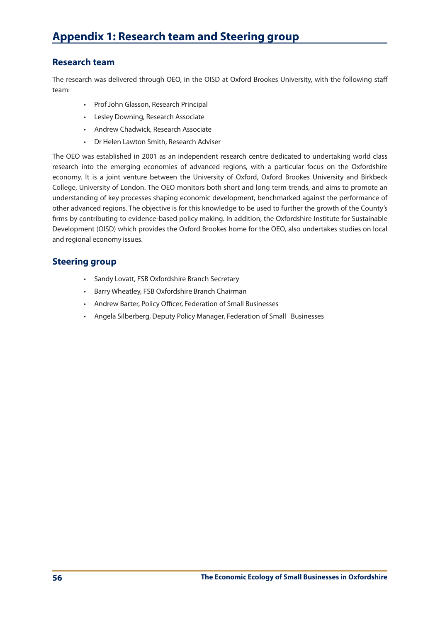## **Research team**

The research was delivered through OEO, in the OISD at Oxford Brookes University, with the following staff team:

- • Prof John Glasson, Research Principal
- • Lesley Downing, Research Associate
- • Andrew Chadwick, Research Associate
- • Dr Helen Lawton Smith, Research Adviser

The OEO was established in 2001 as an independent research centre dedicated to undertaking world class research into the emerging economies of advanced regions, with a particular focus on the Oxfordshire economy. It is a joint venture between the University of Oxford, Oxford Brookes University and Birkbeck College, University of London. The OEO monitors both short and long term trends, and aims to promote an understanding of key processes shaping economic development, benchmarked against the performance of other advanced regions. The objective is for this knowledge to be used to further the growth of the County's firms by contributing to evidence-based policy making. In addition, the Oxfordshire Institute for Sustainable Development (OISD) which provides the Oxford Brookes home for the OEO, also undertakes studies on local and regional economy issues.

## **Steering group**

- • Sandy Lovatt, FSB Oxfordshire Branch Secretary
- • Barry Wheatley, FSB Oxfordshire Branch Chairman
- • Andrew Barter, Policy Officer, Federation of Small Businesses
- • Angela Silberberg, Deputy Policy Manager, Federation of Small Businesses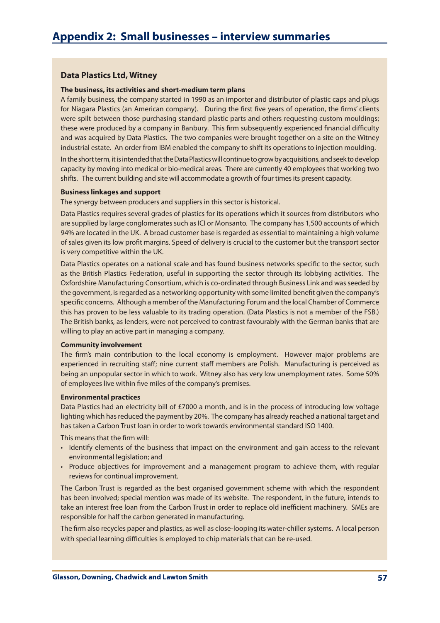## **Data Plastics Ltd, Witney**

#### **The business, its activities and short-medium term plans**

A family business, the company started in 1990 as an importer and distributor of plastic caps and plugs for Niagara Plastics (an American company). During the first five years of operation, the firms' clients were spilt between those purchasing standard plastic parts and others requesting custom mouldings; these were produced by a company in Banbury. This firm subsequently experienced financial difficulty and was acquired by Data Plastics. The two companies were brought together on a site on the Witney industrial estate. An order from IBM enabled the company to shift its operations to injection moulding.

In the short term, it is intended that the Data Plastics will continue to grow by acquisitions, and seek to develop capacity by moving into medical or bio-medical areas. There are currently 40 employees that working two shifts. The current building and site will accommodate a growth of four timesits present capacity.

#### **Business linkages and support**

The synergy between producers and suppliers in this sector is historical.

Data Plastics requires several grades of plastics for its operations which it sources from distributors who are supplied by large conglomerates such as ICI or Monsanto. The company has 1,500 accounts of which 94% are located in the UK. A broad customer base is regarded as essential to maintaining a high volume of sales given its low profit margins. Speed of delivery is crucial to the customer but the transport sector is very competitive within the UK.

Data Plastics operates on a national scale and has found business networks specific to the sector, such as the British Plastics Federation, useful in supporting the sector through its lobbying activities. The Oxfordshire Manufacturing Consortium, which is co-ordinated through Business Link and wasseeded by the government, isregarded as a networking opportunity with some limited benefit given the company's specific concerns. Although a member of the Manufacturing Forum and the local Chamber of Commerce this has proven to be less valuable to its trading operation. (Data Plastics is not a member of the FSB.) The British banks, as lenders, were not perceived to contrast favourably with the German banks that are willing to play an active part in managing a company.

### **Community involvement**

The firm's main contribution to the local economy is employment. However major problems are experienced in recruiting staff; nine current staff members are Polish. Manufacturing is perceived as being an unpopular sector in which to work. Witney also has very low unemployment rates. Some 50% of employees live within five miles of the company's premises.

#### **Environmental practices**

Data Plastics had an electricity bill of £7000 a month, and is in the process of introducing low voltage lighting which has reduced the payment by 20%. The company has already reached a national target and has taken a Carbon Trust loan in order to work towards environmental standard ISO 1400.

This means that the firm will:

- Identify elements of the business that impact on the environment and gain access to the relevant environmental legislation; and
- Produce objectives for improvement and a management program to achieve them, with regular reviews for continual improvement.

The Carbon Trust is regarded as the best organised government scheme with which the respondent has been involved; special mention was made of its website. The respondent, in the future, intends to take an interest free loan from the Carbon Trust in order to replace old inefficient machinery. SMEs are responsible for half the carbon generated in manufacturing.

The firm also recycles paper and plastics, as well as close-looping its water-chillersystems. A local person with special learning difficulties is employed to chip materials that can be re-used.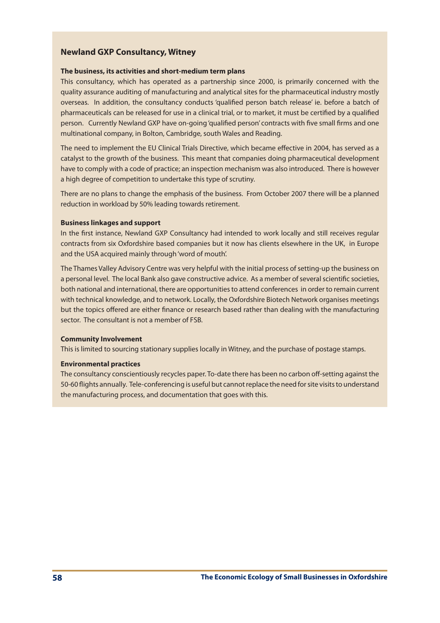## **Newland GXP Consultancy, Witney**

### **The business, its activities and short-medium term plans**

This consultancy, which has operated as a partnership since 2000, is primarily concerned with the quality assurance auditing of manufacturing and analytical sites for the pharmaceutical industry mostly overseas. In addition, the consultancy conducts 'qualified person batch release' ie. before a batch of pharmaceuticals can be released for use in a clinical trial, or to market, it must be certified by a qualified person. Currently Newland GXP have on-going'qualified person' contracts with five small firms and one multinational company, in Bolton, Cambridge, south Wales and Reading.

The need to implement the EU Clinical Trials Directive, which became effective in 2004, has served as a catalyst to the growth of the business. This meant that companies doing pharmaceutical development have to comply with a code of practice; an inspection mechanism was also introduced. There is however a high degree of competition to undertake this type of scrutiny.

There are no plans to change the emphasis of the business. From October 2007 there will be a planned reduction in workload by 50% leading towards retirement.

### **Business linkages and support**

In the first instance, Newland GXP Consultancy had intended to work locally and still receives regular contracts from six Oxfordshire based companies but it now has clients elsewhere in the UK, in Europe and the USA acquired mainly through'word of mouth'.

The Thames Valley Advisory Centre was very helpful with the initial process of setting-up the business on a personal level. The local Bank also gave constructive advice. As a member of several scientific societies, both national and international, there are opportunitiesto attend conferences in order to remain current with technical knowledge, and to network. Locally, the Oxfordshire Biotech Network organises meetings but the topics offered are either finance or research based rather than dealing with the manufacturing sector. The consultant is not a member of FSB.

### **Community Involvement**

This is limited to sourcing stationary supplies locally in Witney, and the purchase of postage stamps.

## **Environmental practices**

The consultancy conscientiously recycles paper. To-date there has been no carbon off-setting against the 50-60 flights annually. Tele-conferencing is useful but cannot replace the need for site visits to understand the manufacturing process, and documentation that goes with this.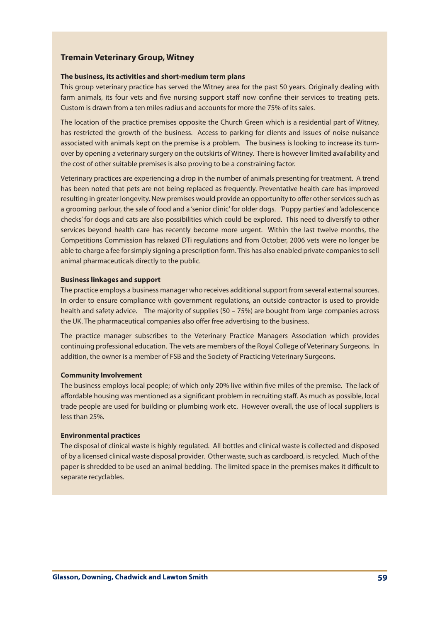## **Tremain Veterinary Group, Witney**

#### **The business, its activities and short-medium term plans**

This group veterinary practice has served the Witney area for the past 50 years. Originally dealing with farm animals, its four vets and five nursing support staff now confine their services to treating pets. Custom is drawn from a ten miles radius and accounts for more the 75% of its sales.

The location of the practice premises opposite the Church Green which is a residential part of Witney, has restricted the growth of the business. Access to parking for clients and issues of noise nuisance associated with animals kept on the premise is a problem. The business is looking to increase its turnover by opening a veterinary surgery on the outskirts of Witney. There is however limited availability and the cost of other suitable premises is also proving to be a constraining factor.

Veterinary practices are experiencing a drop in the number of animals presenting for treatment. A trend has been noted that pets are not being replaced as frequently. Preventative health care has improved resulting in greater longevity. New premises would provide an opportunity to offer other services such as a grooming parlour, the sale of food and a 'senior clinic'for older dogs. 'Puppy parties' and'adolescence checks' for dogs and cats are also possibilities which could be explored. This need to diversify to other services beyond health care has recently become more urgent. Within the last twelve months, the Competitions Commission has relaxed DTi regulations and from October, 2006 vets were no longer be able to charge a fee for simply signing a prescription form. This has also enabled private companies to sell animal pharmaceuticals directly to the public.

### **Business linkages and support**

The practice employs a business manager who receives additional support from several external sources. In order to ensure compliance with government regulations, an outside contractor is used to provide health and safety advice. The majority of supplies (50 – 75%) are bought from large companies across the UK. The pharmaceutical companies also offer free advertising to the business.

The practice manager subscribes to the Veterinary Practice Managers Association which provides continuing professional education. The vets are members of the Royal College of Veterinary Surgeons. In addition, the owner is a member of FSB and the Society of Practicing Veterinary Surgeons.

## **Community Involvement**

The business employs local people; of which only 20% live within five miles of the premise. The lack of affordable housing was mentioned as a significant problem in recruiting staff. As much as possible, local trade people are used for building or plumbing work etc. However overall, the use of local suppliers is less than 25%.

### **Environmental practices**

The disposal of clinical waste is highly regulated. All bottles and clinical waste is collected and disposed of by a licensed clinical waste disposal provider. Other waste, such as cardboard, is recycled. Much of the paper is shredded to be used an animal bedding. The limited space in the premises makes it difficult to separate recyclables.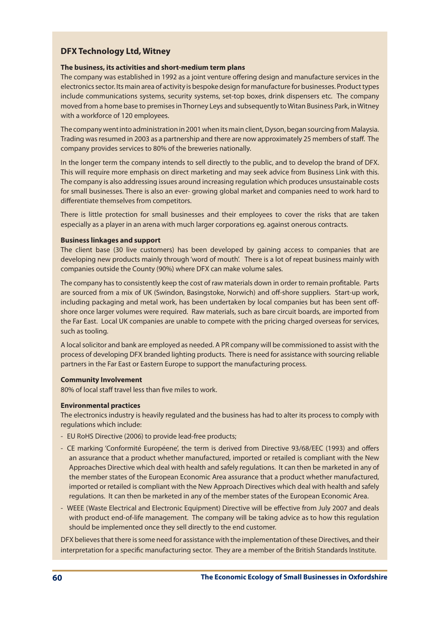# **DFX Technology Ltd, Witney**

## **The business, its activities and short-medium term plans**

The company was established in 1992 as a joint venture offering design and manufacture services in the electronicssector. Its main area of activity is bespoke design for manufacture for businesses. Producttypes include communications systems, security systems, set-top boxes, drink dispensers etc. The company moved from a home base to premises in Thorney Leys and subsequently to Witan Business Park, in Witney with a workforce of 120 employees.

The company went into administration in 2001 when its main client, Dyson, began sourcing from Malaysia. Trading was resumed in 2003 as a partnership and there are now approximately 25 members of staff. The company provides services to 80% of the breweries nationally.

In the longer term the company intends to sell directly to the public, and to develop the brand of DFX. This will require more emphasis on direct marketing and may seek advice from Business Link with this. The company is also addressing issues around increasing regulation which produces unsustainable costs for small businesses. There is also an ever- growing global market and companies need to work hard to differentiate themselves from competitors.

There is little protection for small businesses and their employees to cover the risks that are taken especially as a player in an arena with much larger corporations eg. against onerous contracts.

## **Business linkages and support**

The client base (30 live customers) has been developed by gaining access to companies that are developing new products mainly through 'word of mouth'. There is a lot of repeat business mainly with companies outside the County (90%) where DFX can make volume sales.

The company hasto consistently keep the cost of raw materials down in order to remain profitable. Parts are sourced from a mix of UK (Swindon, Basingstoke, Norwich) and off-shore suppliers. Start-up work, including packaging and metal work, has been undertaken by local companies but has been sent offshore once larger volumes were required. Raw materials, such as bare circuit boards, are imported from the Far East. Local UK companies are unable to compete with the pricing charged overseas for services, such as tooling.

A localsolicitor and bank are employed as needed. A PR company will be commissioned to assist with the process of developing DFX branded lighting products. There is need for assistance with sourcing reliable partners in the Far East or Eastern Europe to support the manufacturing process.

## **Community Involvement**

80% of local staff travel less than five miles to work.

## **Environmental practices**

The electronics industry is heavily regulated and the business has had to alter its process to comply with regulations which include:

- EU RoHS Directive (2006) to provide lead-free products;
- CE marking 'Conformité Européene', the term is derived from Directive 93/68/EEC (1993) and offers an assurance that a product whether manufactured, imported or retailed is compliant with the New Approaches Directive which deal with health and safely regulations. It can then be marketed in any of the member states of the European Economic Area assurance that a product whether manufactured, imported or retailed is compliant with the New Approach Directives which deal with health and safely regulations. It can then be marketed in any of the member states of the European Economic Area.
- WEEE (Waste Electrical and Electronic Equipment) Directive will be effective from July 2007 and deals with product end-of-life management. The company will be taking advice as to how this regulation should be implemented once they sell directly to the end customer.

DFX believesthat there issome need for assistance with the implementation of these Directives, and their interpretation for a specific manufacturing sector. They are a member of the British Standards Institute.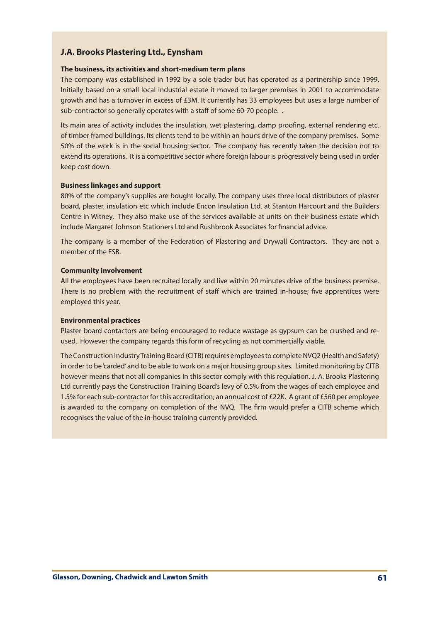# **J.A. Brooks Plastering Ltd., Eynsham**

### **The business, its activities and short-medium term plans**

The company was established in 1992 by a sole trader but has operated as a partnership since 1999. Initially based on a small local industrial estate it moved to larger premises in 2001 to accommodate growth and has a turnover in excess of £3M. It currently has 33 employees but uses a large number of sub-contractor so generally operates with a staff of some 60-70 people. .

Its main area of activity includes the insulation, wet plastering, damp proofing, external rendering etc. of timber framed buildings. Its clients tend to be within an hour's drive of the company premises. Some 50% of the work is in the social housing sector. The company has recently taken the decision not to extend its operations. It is a competitive sector where foreign labour is progressively being used in order keep cost down.

### **Business linkages and support**

80% of the company's supplies are bought locally. The company uses three local distributors of plaster board, plaster, insulation etc which include Encon Insulation Ltd. at Stanton Harcourt and the Builders Centre in Witney. They also make use of the services available at units on their business estate which include Margaret Johnson Stationers Ltd and Rushbrook Associates for financial advice.

The company is a member of the Federation of Plastering and Drywall Contractors. They are not a member of the FSB.

### **Community involvement**

All the employees have been recruited locally and live within 20 minutes drive of the business premise. There is no problem with the recruitment of staff which are trained in-house; five apprentices were employed this year.

### **Environmental practices**

Plaster board contactors are being encouraged to reduce wastage as gypsum can be crushed and reused. However the company regards this form of recycling as not commercially viable.

The Construction Industry Training Board (CITB) requires employees to complete NVQ2 (Health and Safety) in order to be'carded'and to be able to work on a major housing group sites. Limited monitoring by CITB however means that not all companies in this sector comply with this regulation. J. A. Brooks Plastering Ltd currently pays the Construction Training Board's levy of 0.5% from the wages of each employee and 1.5% for each sub-contractor for this accreditation; an annual cost of £22K. A grant of £560 per employee is awarded to the company on completion of the NVQ. The firm would prefer a CITB scheme which recognises the value of the in-house training currently provided.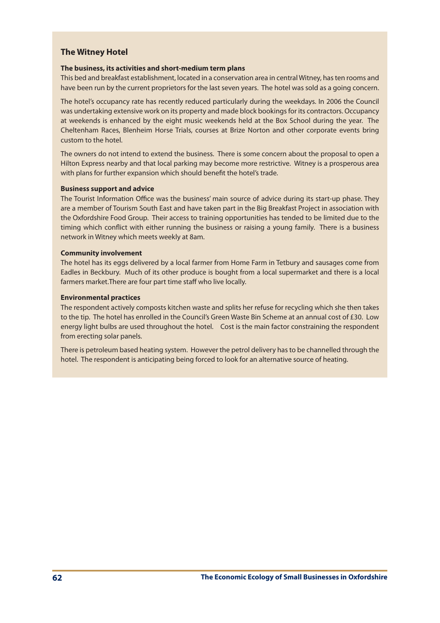# **The Witney Hotel**

## **The business, its activities and short-medium term plans**

This bed and breakfast establishment, located in a conservation area in central Witney, hasten rooms and have been run by the current proprietors for the last seven years. The hotel was sold as a going concern.

The hotel's occupancy rate has recently reduced particularly during the weekdays. In 2006 the Council was undertaking extensive work on its property and made block bookings for its contractors. Occupancy at weekends is enhanced by the eight music weekends held at the Box School during the year. The Cheltenham Races, Blenheim Horse Trials, courses at Brize Norton and other corporate events bring custom to the hotel.

The owners do not intend to extend the business. There is some concern about the proposal to open a Hilton Express nearby and that local parking may become more restrictive. Witney is a prosperous area with plans for further expansion which should benefit the hotel's trade.

## **Business support and advice**

The Tourist Information Office was the business' main source of advice during its start-up phase. They are a member of Tourism South East and have taken part in the Big Breakfast Project in association with the Oxfordshire Food Group. Their access to training opportunities has tended to be limited due to the timing which conflict with either running the business or raising a young family. There is a business network in Witney which meets weekly at 8am.

## **Community involvement**

The hotel has its eggs delivered by a local farmer from Home Farm in Tetbury and sausages come from Eadles in Beckbury. Much of its other produce is bought from a local supermarket and there is a local farmers market.There are four part time staff who live locally.

## **Environmental practices**

The respondent actively composts kitchen waste and splits her refuse for recycling which she then takes to the tip. The hotel has enrolled in the Council's Green Waste Bin Scheme at an annual cost of £30. Low energy light bulbs are used throughout the hotel. Cost is the main factor constraining the respondent from erecting solar panels.

There is petroleum based heating system. However the petrol delivery has to be channelled through the hotel. The respondent is anticipating being forced to look for an alternative source of heating.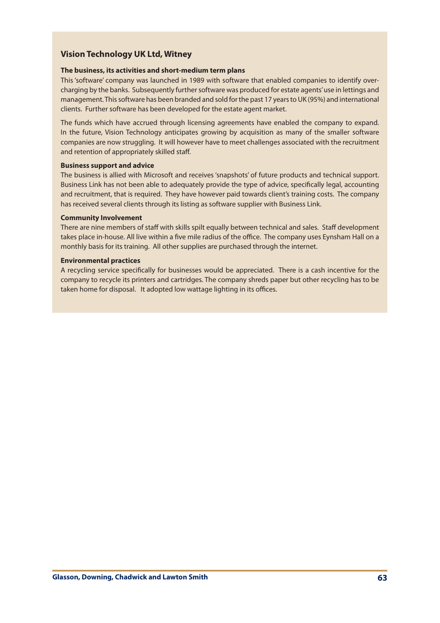# **Vision Technology UK Ltd, Witney**

## **The business, its activities and short-medium term plans**

This 'software' company was launched in 1989 with software that enabled companies to identify overcharging by the banks. Subsequently further software was produced for estate agents'use in lettings and management. This software has been branded and sold for the past 17 years to UK (95%) and international clients. Further software has been developed for the estate agent market.

The funds which have accrued through licensing agreements have enabled the company to expand. In the future, Vision Technology anticipates growing by acquisition as many of the smaller software companies are now struggling. It will however have to meet challenges associated with the recruitment and retention of appropriately skilled staff.

## **Business support and advice**

The business is allied with Microsoft and receives'snapshots' of future products and technical support. Business Link has not been able to adequately provide the type of advice, specifically legal, accounting and recruitment, that is required. They have however paid towards client's training costs. The company has received several clients through its listing as software supplier with Business Link.

## **Community Involvement**

There are nine members of staff with skills spilt equally between technical and sales. Staff development takes place in-house. All live within a five mile radius of the office. The company uses Eynsham Hall on a monthly basis for its training. All other supplies are purchased through the internet.

## **Environmental practices**

A recycling service specifically for businesses would be appreciated. There is a cash incentive for the company to recycle its printers and cartridges. The company shreds paper but other recycling has to be taken home for disposal. It adopted low wattage lighting in its offices.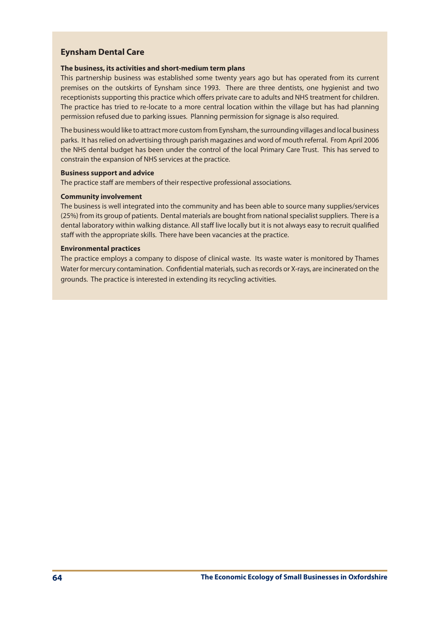# **Eynsham Dental Care**

## **The business, its activities and short-medium term plans**

This partnership business was established some twenty years ago but has operated from its current premises on the outskirts of Eynsham since 1993. There are three dentists, one hygienist and two receptionists supporting this practice which offers private care to adults and NHS treatment for children. The practice has tried to re-locate to a more central location within the village but has had planning permission refused due to parking issues. Planning permission for signage is also required.

The business would like to attract more custom from Eynsham, the surrounding villages and local business parks. It hasrelied on advertising through parish magazines and word of mouth referral. From April 2006 the NHS dental budget has been under the control of the local Primary Care Trust. This has served to constrain the expansion of NHS services at the practice.

#### **Business support and advice**

The practice staff are members of their respective professional associations.

### **Community involvement**

The business is well integrated into the community and has been able to source many supplies/services (25%) from its group of patients. Dental materials are bought from national specialist suppliers. There is a dental laboratory within walking distance. All staff live locally but it is not always easy to recruit qualified staff with the appropriate skills. There have been vacancies at the practice.

### **Environmental practices**

The practice employs a company to dispose of clinical waste. Its waste water is monitored by Thames Water for mercury contamination. Confidential materials, such as records or X-rays, are incinerated on the grounds. The practice is interested in extending its recycling activities.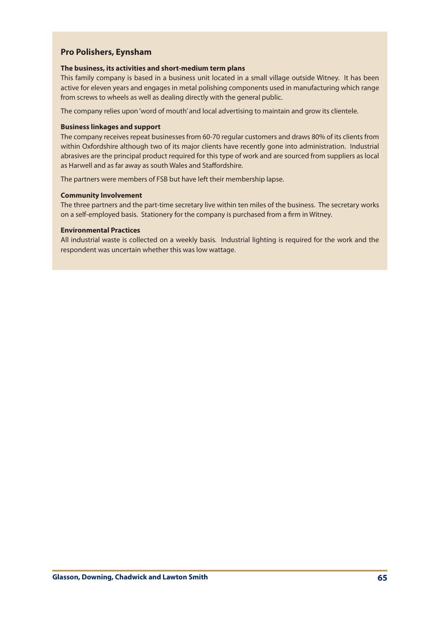## **Pro Polishers, Eynsham**

### **The business, its activities and short-medium term plans**

This family company is based in a business unit located in a small village outside Witney. It has been active for eleven years and engages in metal polishing components used in manufacturing which range from screws to wheels as well as dealing directly with the general public.

The company relies upon'word of mouth' and local advertising to maintain and grow its clientele.

### **Business linkages and support**

The company receives repeat businesses from 60-70 regular customers and draws 80% of its clients from within Oxfordshire although two of its major clients have recently gone into administration. Industrial abrasives are the principal product required for this type of work and are sourced from suppliers as local as Harwell and as far away as south Wales and Staffordshire.

The partners were members of FSB but have left their membership lapse.

### **Community Involvement**

The three partners and the part-time secretary live within ten miles of the business. The secretary works on a self-employed basis. Stationery for the company is purchased from a firm in Witney.

### **Environmental Practices**

All industrial waste is collected on a weekly basis. Industrial lighting is required for the work and the respondent was uncertain whether this was low wattage.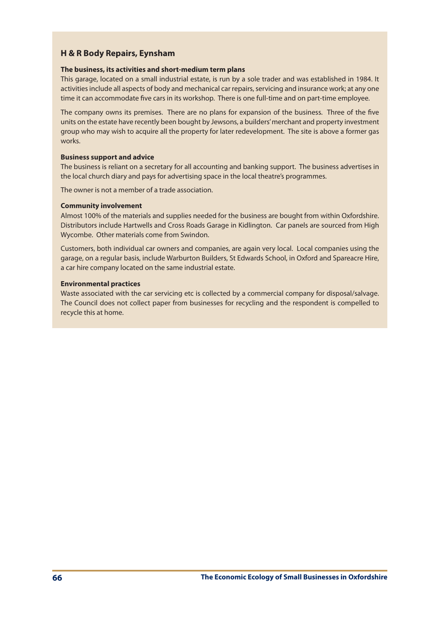# **H & R Body Repairs, Eynsham**

## **The business, its activities and short-medium term plans**

This garage, located on a small industrial estate, is run by a sole trader and was established in 1984. It activities include all aspects of body and mechanical car repairs, servicing and insurance work; at any one time it can accommodate five cars in its workshop. There is one full-time and on part-time employee.

The company owns its premises. There are no plans for expansion of the business. Three of the five units on the estate have recently been bought by Jewsons, a builders'merchant and property investment group who may wish to acquire all the property for later redevelopment. The site is above a former gas works.

### **Business support and advice**

The business is reliant on a secretary for all accounting and banking support. The business advertises in the local church diary and pays for advertising space in the local theatre's programmes.

The owner is not a member of a trade association.

## **Community involvement**

Almost 100% of the materials and supplies needed for the business are bought from within Oxfordshire. Distributors include Hartwells and Cross Roads Garage in Kidlington. Car panels are sourced from High Wycombe. Other materials come from Swindon.

Customers, both individual car owners and companies, are again very local. Local companies using the garage, on a regular basis, include Warburton Builders, St Edwards School, in Oxford and Spareacre Hire, a car hire company located on the same industrial estate.

### **Environmental practices**

Waste associated with the car servicing etc is collected by a commercial company for disposal/salvage. The Council does not collect paper from businesses for recycling and the respondent is compelled to recycle this at home.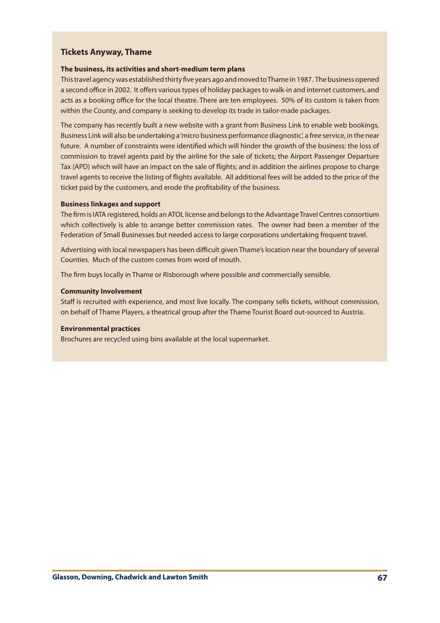## **Tickets Anyway, Thame**

### **The business, its activities and short-medium term plans**

This travel agency was established thirty five years ago and moved to Thame in 1987. The business opened a second office in 2002. It offers varioustypes of holiday packagesto walk-in and internet customers, and acts as a booking office for the local theatre. There are ten employees. 50% of its custom is taken from within the County, and company is seeking to develop its trade in tailor-made packages.

The company has recently built a new website with a grant from Business Link to enable web bookings. Business Link will also be undertaking a'micro business performance diagnostic', a free service, in the near future. A number of constraints were identified which will hinder the growth of the business: the loss of commission to travel agents paid by the airline for the sale of tickets; the Airport Passenger Departure Tax (APD) which will have an impact on the sale of flights; and in addition the airlines propose to charge travel agents to receive the listing of flights available. All additional fees will be added to the price of the ticket paid by the customers, and erode the profitability of the business.

## **Business linkages and support**

The firm is IATA registered, holds an ATOL license and belongs to the Advantage Travel Centres consortium which collectively is able to arrange better commission rates. The owner had been a member of the Federation of Small Businesses but needed access to large corporations undertaking frequent travel.

Advertising with local newspapers has been difficult given Thame'slocation near the boundary ofseveral Counties. Much of the custom comes from word of mouth.

The firm buys locally in Thame or Risborough where possible and commercially sensible.

### **Community Involvement**

Staff is recruited with experience, and most live locally. The company sells tickets, without commission, on behalf of Thame Players, a theatrical group after the Thame Tourist Board out-sourced to Austria.

### **Environmental practices**

Brochures are recycled using bins available at the local supermarket.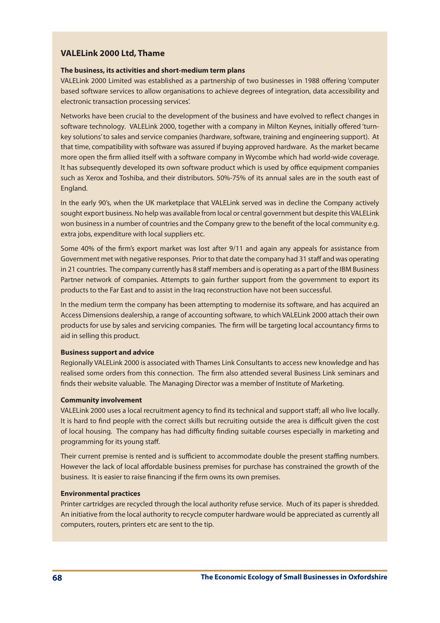# **VALELink 2000 Ltd, Thame**

## **The business, its activities and short-medium term plans**

VALELink 2000 Limited was established as a partnership of two businesses in 1988 offering 'computer based software services to allow organisations to achieve degrees of integration, data accessibility and electronic transaction processing services'.

Networks have been crucial to the development of the business and have evolved to reflect changes in software technology. VALELink 2000, together with a company in Milton Keynes, initially offered 'turnkey solutions'to sales and service companies (hardware, software, training and engineering support). At that time, compatibility with software was assured if buying approved hardware. As the market became more open the firm allied itself with a software company in Wycombe which had world-wide coverage. It has subsequently developed its own software product which is used by office equipment companies such as Xerox and Toshiba, and their distributors. 50%-75% of its annual sales are in the south east of England.

In the early 90's, when the UK marketplace that VALELink served was in decline the Company actively sought export business. No help was available from local or central government but despite this VALELink won businessin a number of countries and the Company grew to the benefit of the local community e.g. extra jobs, expenditure with local suppliers etc.

Some 40% of the firm's export market was lost after 9/11 and again any appeals for assistance from Government met with negative responses. Prior to that date the company had 31 staff and was operating in 21 countries. The company currently has 8 staff members and is operating as a part of the IBM Business Partner network of companies. Attempts to gain further support from the government to export its products to the Far East and to assist in the Iraq reconstruction have not been successful.

In the medium term the company has been attempting to modernise its software, and has acquired an Access Dimensions dealership, a range of accounting software, to which VALELink 2000 attach their own products for use by sales and servicing companies. The firm will be targeting local accountancy firms to aid in selling this product.

## **Business support and advice**

Regionally VALELink 2000 is associated with Thames Link Consultants to access new knowledge and has realised some orders from this connection. The firm also attended several Business Link seminars and finds their website valuable. The Managing Director was a member of Institute of Marketing.

## **Community involvement**

VALELink 2000 uses a local recruitment agency to find its technical and support staff; all who live locally. It is hard to find people with the correct skills but recruiting outside the area is difficult given the cost of local housing. The company has had difficulty finding suitable courses especially in marketing and programming for its young staff.

Their current premise is rented and is sufficient to accommodate double the present staffing numbers. However the lack of local affordable business premises for purchase has constrained the growth of the business. It is easier to raise financing if the firm owns its own premises.

#### **Environmental practices**

Printer cartridges are recycled through the local authority refuse service. Much of its paper is shredded. An initiative from the local authority to recycle computer hardware would be appreciated as currently all computers, routers, printers etc are sent to the tip.